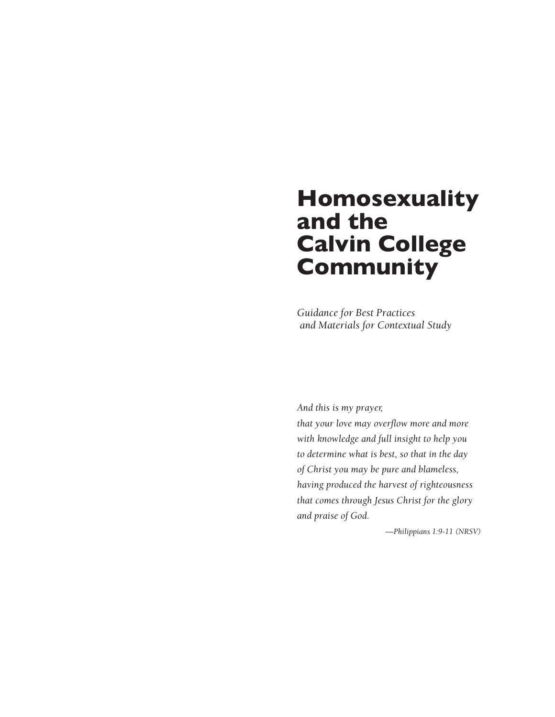# **Homosexuality and the Calvin College Community**

*Guidance for Best Practices and Materials for Contextual Study*

*And this is my prayer,* 

*that your love may overflow more and more with knowledge and full insight to help you to determine what is best, so that in the day of Christ you may be pure and blameless, having produced the harvest of righteousness that comes through Jesus Christ for the glory and praise of God.* 

*—Philippians 1:9-11 (NRSV)*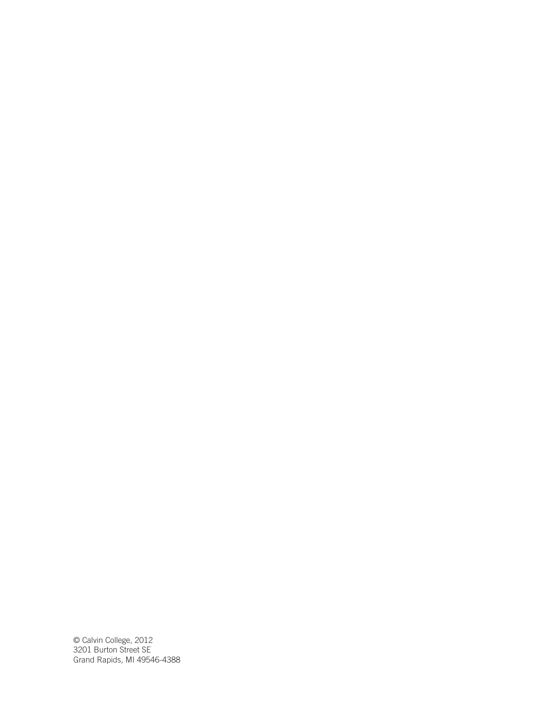© Calvin College, 2012 3201 Burton Street SE Grand Rapids, MI 49546-4388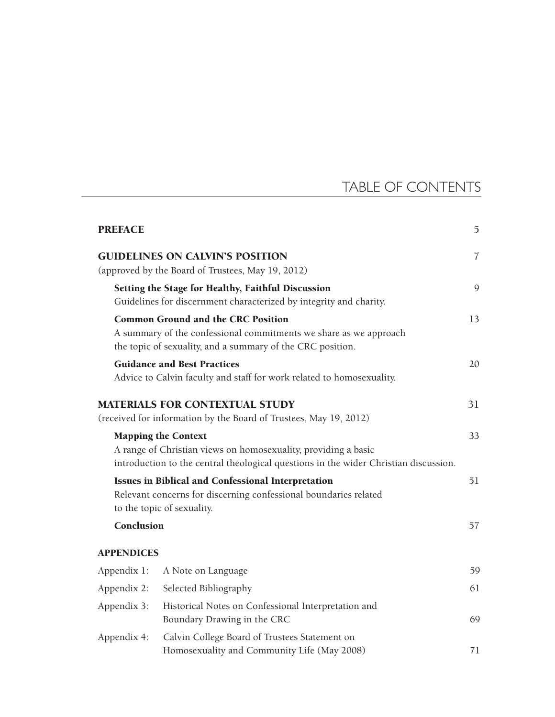# TABLE OF CONTENTS

| <b>PREFACE</b>                                                                                                                                                               |                                                                                                                                                                                      |    |  |  |  |
|------------------------------------------------------------------------------------------------------------------------------------------------------------------------------|--------------------------------------------------------------------------------------------------------------------------------------------------------------------------------------|----|--|--|--|
|                                                                                                                                                                              | <b>GUIDELINES ON CALVIN'S POSITION</b><br>(approved by the Board of Trustees, May 19, 2012)                                                                                          | 7  |  |  |  |
| Setting the Stage for Healthy, Faithful Discussion<br>Guidelines for discernment characterized by integrity and charity.                                                     |                                                                                                                                                                                      |    |  |  |  |
| <b>Common Ground and the CRC Position</b><br>A summary of the confessional commitments we share as we approach<br>the topic of sexuality, and a summary of the CRC position. |                                                                                                                                                                                      |    |  |  |  |
| <b>Guidance and Best Practices</b><br>Advice to Calvin faculty and staff for work related to homosexuality.                                                                  |                                                                                                                                                                                      |    |  |  |  |
| <b>MATERIALS FOR CONTEXTUAL STUDY</b><br>(received for information by the Board of Trustees, May 19, 2012)                                                                   |                                                                                                                                                                                      |    |  |  |  |
|                                                                                                                                                                              | <b>Mapping the Context</b><br>A range of Christian views on homosexuality, providing a basic<br>introduction to the central theological questions in the wider Christian discussion. | 33 |  |  |  |
|                                                                                                                                                                              | <b>Issues in Biblical and Confessional Interpretation</b><br>Relevant concerns for discerning confessional boundaries related<br>to the topic of sexuality.                          | 51 |  |  |  |
| Conclusion                                                                                                                                                                   |                                                                                                                                                                                      |    |  |  |  |
| <b>APPENDICES</b>                                                                                                                                                            |                                                                                                                                                                                      |    |  |  |  |
| Appendix 1:                                                                                                                                                                  | A Note on Language                                                                                                                                                                   | 59 |  |  |  |
| Appendix 2:                                                                                                                                                                  | Selected Bibliography                                                                                                                                                                | 61 |  |  |  |
| Appendix 3:                                                                                                                                                                  | Historical Notes on Confessional Interpretation and<br>Boundary Drawing in the CRC                                                                                                   | 69 |  |  |  |
| Appendix 4:                                                                                                                                                                  | Calvin College Board of Trustees Statement on<br>Homosexuality and Community Life (May 2008)                                                                                         | 71 |  |  |  |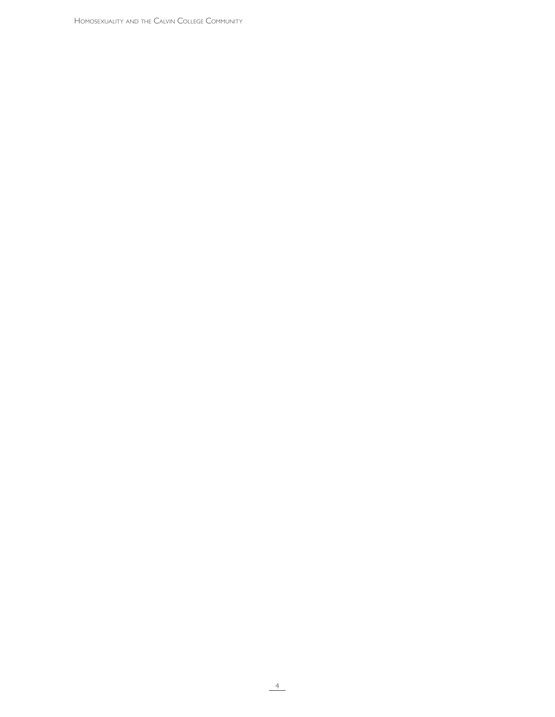Homosexuality and the Calvin College Community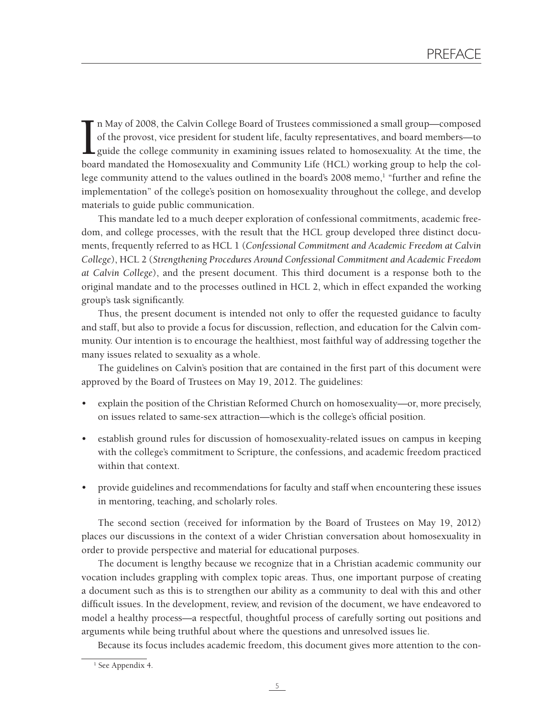In May of 2008, the Calvin College Board of Trustees commissioned a small group—composed of the provost, vice president for student life, faculty representatives, and board members—to guide the college community in examini n May of 2008, the Calvin College Board of Trustees commissioned a small group—composed of the provost, vice president for student life, faculty representatives, and board members—to guide the college community in examining issues related to homosexuality. At the time, the lege community attend to the values outlined in the board's 2008 memo,<sup>1</sup> "further and refine the implementation" of the college's position on homosexuality throughout the college, and develop materials to guide public communication.

This mandate led to a much deeper exploration of confessional commitments, academic freedom, and college processes, with the result that the HCL group developed three distinct documents, frequently referred to as HCL 1 (*Confessional Commitment and Academic Freedom at Calvin College*), HCL 2 (*Strengthening Procedures Around Confessional Commitment and Academic Freedom at Calvin College*), and the present document. This third document is a response both to the original mandate and to the processes outlined in HCL 2, which in effect expanded the working group's task significantly.

Thus, the present document is intended not only to offer the requested guidance to faculty and staff, but also to provide a focus for discussion, reflection, and education for the Calvin community. Our intention is to encourage the healthiest, most faithful way of addressing together the many issues related to sexuality as a whole.

The guidelines on Calvin's position that are contained in the first part of this document were approved by the Board of Trustees on May 19, 2012. The guidelines:

- explain the position of the Christian Reformed Church on homosexuality—or, more precisely, on issues related to same-sex attraction—which is the college's official position.
- • establish ground rules for discussion of homosexuality-related issues on campus in keeping with the college's commitment to Scripture, the confessions, and academic freedom practiced within that context.
- provide guidelines and recommendations for faculty and staff when encountering these issues in mentoring, teaching, and scholarly roles.

The second section (received for information by the Board of Trustees on May 19, 2012) places our discussions in the context of a wider Christian conversation about homosexuality in order to provide perspective and material for educational purposes.

The document is lengthy because we recognize that in a Christian academic community our vocation includes grappling with complex topic areas. Thus, one important purpose of creating a document such as this is to strengthen our ability as a community to deal with this and other difficult issues. In the development, review, and revision of the document, we have endeavored to model a healthy process—a respectful, thoughtful process of carefully sorting out positions and arguments while being truthful about where the questions and unresolved issues lie.

Because its focus includes academic freedom, this document gives more attention to the con-

<sup>&</sup>lt;sup>1</sup> See Appendix 4.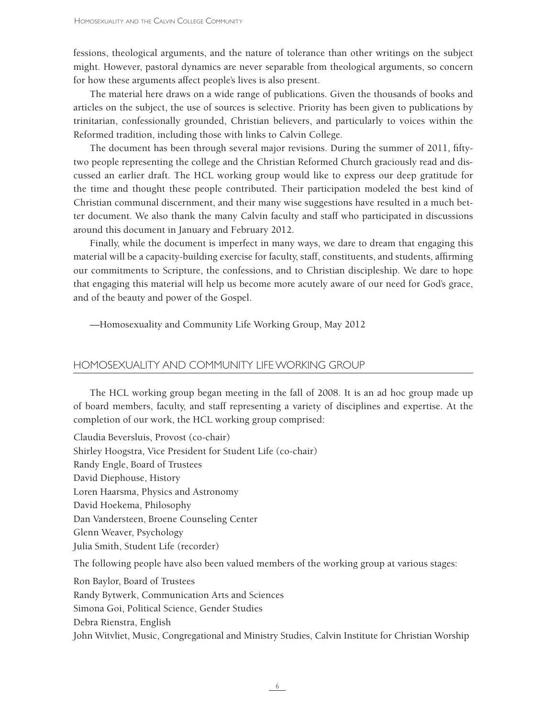fessions, theological arguments, and the nature of tolerance than other writings on the subject might. However, pastoral dynamics are never separable from theological arguments, so concern for how these arguments affect people's lives is also present.

The material here draws on a wide range of publications. Given the thousands of books and articles on the subject, the use of sources is selective. Priority has been given to publications by trinitarian, confessionally grounded, Christian believers, and particularly to voices within the Reformed tradition, including those with links to Calvin College.

The document has been through several major revisions. During the summer of 2011, fiftytwo people representing the college and the Christian Reformed Church graciously read and discussed an earlier draft. The HCL working group would like to express our deep gratitude for the time and thought these people contributed. Their participation modeled the best kind of Christian communal discernment, and their many wise suggestions have resulted in a much better document. We also thank the many Calvin faculty and staff who participated in discussions around this document in January and February 2012.

Finally, while the document is imperfect in many ways, we dare to dream that engaging this material will be a capacity-building exercise for faculty, staff, constituents, and students, affirming our commitments to Scripture, the confessions, and to Christian discipleship. We dare to hope that engaging this material will help us become more acutely aware of our need for God's grace, and of the beauty and power of the Gospel.

—Homosexuality and Community Life Working Group, May 2012

#### HOMOSEXUALITY AND COMMUNITY LIFE WORKING GROUP

The HCL working group began meeting in the fall of 2008. It is an ad hoc group made up of board members, faculty, and staff representing a variety of disciplines and expertise. At the completion of our work, the HCL working group comprised:

Claudia Beversluis, Provost (co-chair) Shirley Hoogstra, Vice President for Student Life (co-chair) Randy Engle, Board of Trustees David Diephouse, History Loren Haarsma, Physics and Astronomy David Hoekema, Philosophy Dan Vandersteen, Broene Counseling Center Glenn Weaver, Psychology Julia Smith, Student Life (recorder)

The following people have also been valued members of the working group at various stages:

Ron Baylor, Board of Trustees Randy Bytwerk, Communication Arts and Sciences Simona Goi, Political Science, Gender Studies Debra Rienstra, English John Witvliet, Music, Congregational and Ministry Studies, Calvin Institute for Christian Worship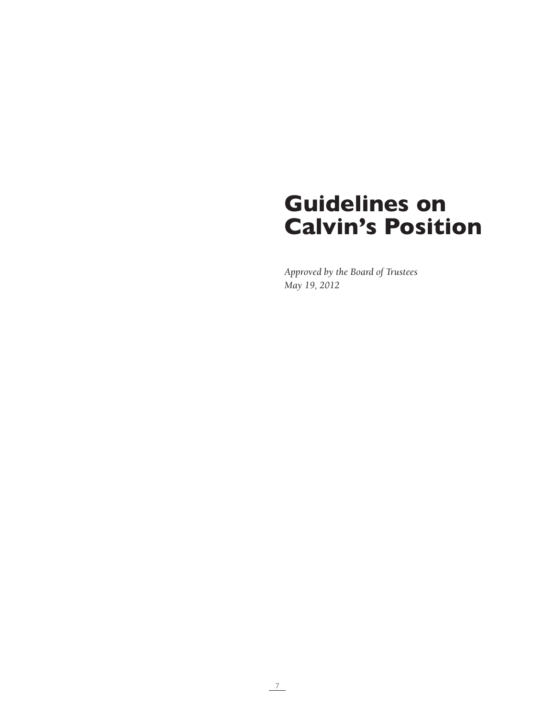# **Guidelines on Calvin's Position**

*Approved by the Board of Trustees May 19, 2012*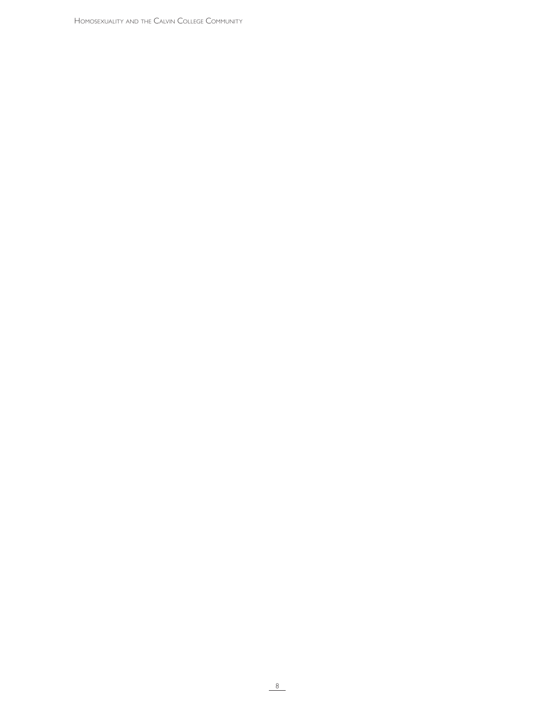Homosexuality and the Calvin College Community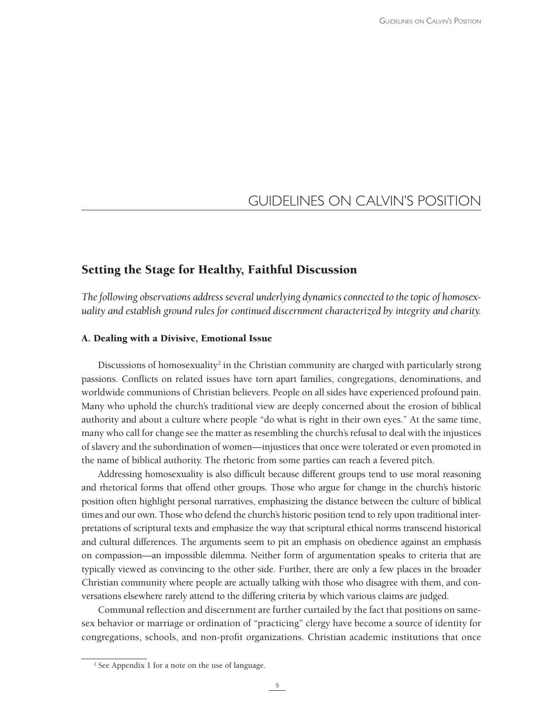# GUIDELINES ON CALVIN'S POSITION

### Setting the Stage for Healthy, Faithful Discussion

*The following observations address several underlying dynamics connected to the topic of homosexuality and establish ground rules for continued discernment characterized by integrity and charity.*

#### A. Dealing with a Divisive, Emotional Issue

Discussions of homosexuality<sup>2</sup> in the Christian community are charged with particularly strong passions. Conflicts on related issues have torn apart families, congregations, denominations, and worldwide communions of Christian believers. People on all sides have experienced profound pain. Many who uphold the church's traditional view are deeply concerned about the erosion of biblical authority and about a culture where people "do what is right in their own eyes." At the same time, many who call for change see the matter as resembling the church's refusal to deal with the injustices of slavery and the subordination of women—injustices that once were tolerated or even promoted in the name of biblical authority. The rhetoric from some parties can reach a fevered pitch.

Addressing homosexuality is also difficult because different groups tend to use moral reasoning and rhetorical forms that offend other groups. Those who argue for change in the church's historic position often highlight personal narratives, emphasizing the distance between the culture of biblical times and our own. Those who defend the church's historic position tend to rely upon traditional interpretations of scriptural texts and emphasize the way that scriptural ethical norms transcend historical and cultural differences. The arguments seem to pit an emphasis on obedience against an emphasis on compassion—an impossible dilemma. Neither form of argumentation speaks to criteria that are typically viewed as convincing to the other side. Further, there are only a few places in the broader Christian community where people are actually talking with those who disagree with them, and conversations elsewhere rarely attend to the differing criteria by which various claims are judged.

Communal reflection and discernment are further curtailed by the fact that positions on samesex behavior or marriage or ordination of "practicing" clergy have become a source of identity for congregations, schools, and non-profit organizations. Christian academic institutions that once

<sup>&</sup>lt;sup>2</sup> See Appendix 1 for a note on the use of language.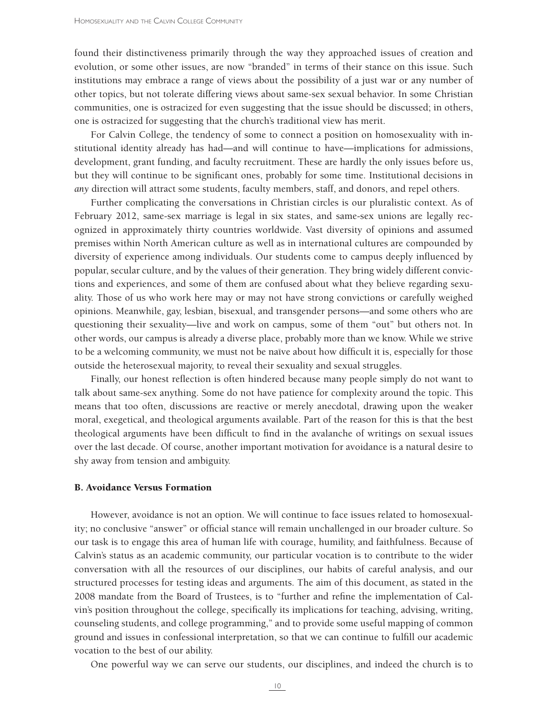found their distinctiveness primarily through the way they approached issues of creation and evolution, or some other issues, are now "branded" in terms of their stance on this issue. Such institutions may embrace a range of views about the possibility of a just war or any number of other topics, but not tolerate differing views about same-sex sexual behavior. In some Christian communities, one is ostracized for even suggesting that the issue should be discussed; in others, one is ostracized for suggesting that the church's traditional view has merit.

For Calvin College, the tendency of some to connect a position on homosexuality with institutional identity already has had—and will continue to have—implications for admissions, development, grant funding, and faculty recruitment. These are hardly the only issues before us, but they will continue to be significant ones, probably for some time. Institutional decisions in *any* direction will attract some students, faculty members, staff, and donors, and repel others.

Further complicating the conversations in Christian circles is our pluralistic context. As of February 2012, same-sex marriage is legal in six states, and same-sex unions are legally recognized in approximately thirty countries worldwide. Vast diversity of opinions and assumed premises within North American culture as well as in international cultures are compounded by diversity of experience among individuals. Our students come to campus deeply influenced by popular, secular culture, and by the values of their generation. They bring widely different convictions and experiences, and some of them are confused about what they believe regarding sexuality. Those of us who work here may or may not have strong convictions or carefully weighed opinions. Meanwhile, gay, lesbian, bisexual, and transgender persons—and some others who are questioning their sexuality—live and work on campus, some of them "out" but others not. In other words, our campus is already a diverse place, probably more than we know. While we strive to be a welcoming community, we must not be naïve about how difficult it is, especially for those outside the heterosexual majority, to reveal their sexuality and sexual struggles.

Finally, our honest reflection is often hindered because many people simply do not want to talk about same-sex anything. Some do not have patience for complexity around the topic. This means that too often, discussions are reactive or merely anecdotal, drawing upon the weaker moral, exegetical, and theological arguments available. Part of the reason for this is that the best theological arguments have been difficult to find in the avalanche of writings on sexual issues over the last decade. Of course, another important motivation for avoidance is a natural desire to shy away from tension and ambiguity.

#### B. Avoidance Versus Formation

However, avoidance is not an option. We will continue to face issues related to homosexuality; no conclusive "answer" or official stance will remain unchallenged in our broader culture. So our task is to engage this area of human life with courage, humility, and faithfulness. Because of Calvin's status as an academic community, our particular vocation is to contribute to the wider conversation with all the resources of our disciplines, our habits of careful analysis, and our structured processes for testing ideas and arguments. The aim of this document, as stated in the 2008 mandate from the Board of Trustees, is to "further and refine the implementation of Calvin's position throughout the college, specifically its implications for teaching, advising, writing, counseling students, and college programming," and to provide some useful mapping of common ground and issues in confessional interpretation, so that we can continue to fulfill our academic vocation to the best of our ability.

One powerful way we can serve our students, our disciplines, and indeed the church is to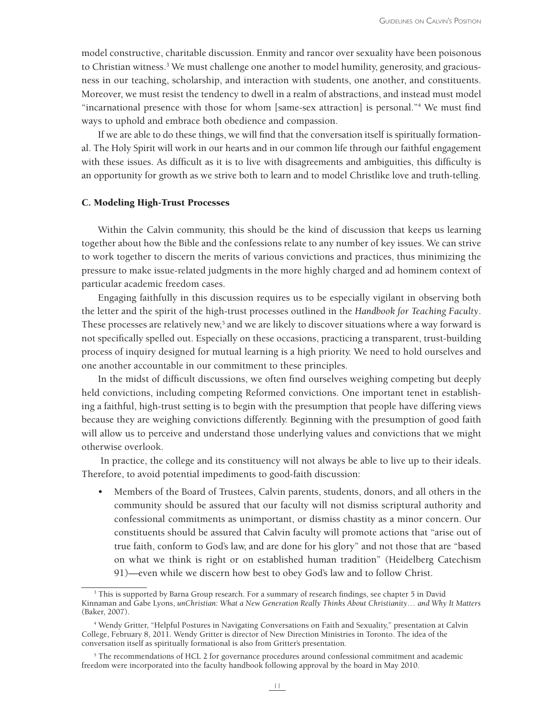model constructive, charitable discussion. Enmity and rancor over sexuality have been poisonous to Christian witness.<sup>3</sup> We must challenge one another to model humility, generosity, and graciousness in our teaching, scholarship, and interaction with students, one another, and constituents. Moreover, we must resist the tendency to dwell in a realm of abstractions, and instead must model "incarnational presence with those for whom [same-sex attraction] is personal."<sup>4</sup> We must find ways to uphold and embrace both obedience and compassion.

If we are able to do these things, we will find that the conversation itself is spiritually formational. The Holy Spirit will work in our hearts and in our common life through our faithful engagement with these issues. As difficult as it is to live with disagreements and ambiguities, this difficulty is an opportunity for growth as we strive both to learn and to model Christlike love and truth-telling.

#### C. Modeling High-Trust Processes

Within the Calvin community, this should be the kind of discussion that keeps us learning together about how the Bible and the confessions relate to any number of key issues. We can strive to work together to discern the merits of various convictions and practices, thus minimizing the pressure to make issue-related judgments in the more highly charged and ad hominem context of particular academic freedom cases.

Engaging faithfully in this discussion requires us to be especially vigilant in observing both the letter and the spirit of the high-trust processes outlined in the *Handbook for Teaching Faculty*. These processes are relatively new,<sup>5</sup> and we are likely to discover situations where a way forward is not specifically spelled out. Especially on these occasions, practicing a transparent, trust-building process of inquiry designed for mutual learning is a high priority. We need to hold ourselves and one another accountable in our commitment to these principles.

In the midst of difficult discussions, we often find ourselves weighing competing but deeply held convictions, including competing Reformed convictions. One important tenet in establishing a faithful, high-trust setting is to begin with the presumption that people have differing views because they are weighing convictions differently. Beginning with the presumption of good faith will allow us to perceive and understand those underlying values and convictions that we might otherwise overlook.

 In practice, the college and its constituency will not always be able to live up to their ideals. Therefore, to avoid potential impediments to good-faith discussion:

• Members of the Board of Trustees, Calvin parents, students, donors, and all others in the community should be assured that our faculty will not dismiss scriptural authority and confessional commitments as unimportant, or dismiss chastity as a minor concern. Our constituents should be assured that Calvin faculty will promote actions that "arise out of true faith, conform to God's law, and are done for his glory" and not those that are "based on what we think is right or on established human tradition" (Heidelberg Catechism 91)—even while we discern how best to obey God's law and to follow Christ.

<sup>&</sup>lt;sup>3</sup> This is supported by Barna Group research. For a summary of research findings, see chapter 5 in David Kinnaman and Gabe Lyons, *unChristian: What a New Generation Really Thinks About Christianity… and Why It Matters* (Baker, 2007).

<sup>4</sup> Wendy Gritter, "Helpful Postures in Navigating Conversations on Faith and Sexuality," presentation at Calvin College, February 8, 2011. Wendy Gritter is director of New Direction Ministries in Toronto. The idea of the conversation itself as spiritually formational is also from Gritter's presentation.

<sup>&</sup>lt;sup>5</sup> The recommendations of HCL 2 for governance procedures around confessional commitment and academic freedom were incorporated into the faculty handbook following approval by the board in May 2010.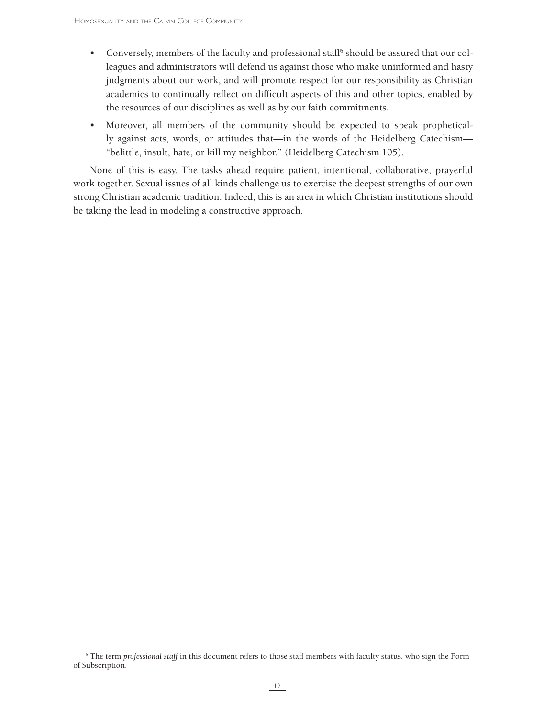- Conversely, members of the faculty and professional staff<sup>6</sup> should be assured that our colleagues and administrators will defend us against those who make uninformed and hasty judgments about our work, and will promote respect for our responsibility as Christian academics to continually reflect on difficult aspects of this and other topics, enabled by the resources of our disciplines as well as by our faith commitments.
- • Moreover, all members of the community should be expected to speak prophetically against acts, words, or attitudes that—in the words of the Heidelberg Catechism— "belittle, insult, hate, or kill my neighbor." (Heidelberg Catechism 105).

None of this is easy. The tasks ahead require patient, intentional, collaborative, prayerful work together. Sexual issues of all kinds challenge us to exercise the deepest strengths of our own strong Christian academic tradition. Indeed, this is an area in which Christian institutions should be taking the lead in modeling a constructive approach.

<sup>6</sup> The term *professional staff* in this document refers to those staff members with faculty status, who sign the Form of Subscription.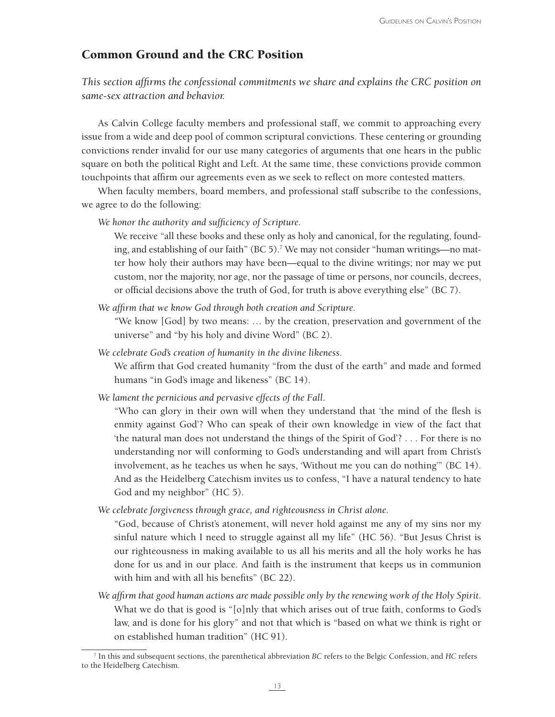## Common Ground and the CRC Position

*This section affirms the confessional commitments we share and explains the CRC position on same-sex attraction and behavior.*

As Calvin College faculty members and professional staff, we commit to approaching every issue from a wide and deep pool of common scriptural convictions. These centering or grounding convictions render invalid for our use many categories of arguments that one hears in the public square on both the political Right and Left. At the same time, these convictions provide common touchpoints that affirm our agreements even as we seek to reflect on more contested matters.

When faculty members, board members, and professional staff subscribe to the confessions, we agree to do the following:

*We honor the authority and sufficiency of Scripture.*

We receive "all these books and these only as holy and canonical, for the regulating, founding, and establishing of our faith" (BC 5).7 We may not consider "human writings—no matter how holy their authors may have been—equal to the divine writings; nor may we put custom, nor the majority, nor age, nor the passage of time or persons, nor councils, decrees, or official decisions above the truth of God, for truth is above everything else" (BC 7).

*We affirm that we know God through both creation and Scripture.*

*"*We know [God] by two means: … by the creation, preservation and government of the universe" and "by his holy and divine Word" (BC 2).

*We celebrate God's creation of humanity in the divine likeness*.

We affirm that God created humanity "from the dust of the earth" and made and formed humans "in God's image and likeness" (BC 14).

*We lament the pernicious and pervasive effects of the Fall*.

"Who can glory in their own will when they understand that 'the mind of the flesh is enmity against God'? Who can speak of their own knowledge in view of the fact that 'the natural man does not understand the things of the Spirit of God'? . . . For there is no understanding nor will conforming to God's understanding and will apart from Christ's involvement, as he teaches us when he says, 'Without me you can do nothing'" (BC 14). And as the Heidelberg Catechism invites us to confess, "I have a natural tendency to hate God and my neighbor" (HC 5).

*We celebrate forgiveness through grace, and righteousness in Christ alone.*

"God, because of Christ's atonement, will never hold against me any of my sins nor my sinful nature which I need to struggle against all my life" (HC 56). "But Jesus Christ is our righteousness in making available to us all his merits and all the holy works he has done for us and in our place. And faith is the instrument that keeps us in communion with him and with all his benefits" (BC 22).

*We affirm that good human actions are made possible only by the renewing work of the Holy Spirit.*  What we do that is good is "[o]nly that which arises out of true faith, conforms to God's law, and is done for his glory" and not that which is "based on what we think is right or on established human tradition" (HC 91).

<sup>7</sup> In this and subsequent sections, the parenthetical abbreviation *BC* refers to the Belgic Confession, and *HC* refers to the Heidelberg Catechism.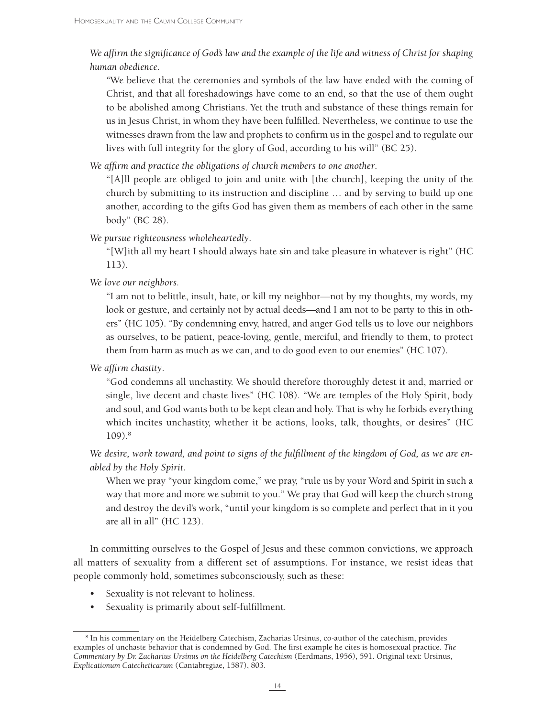*We affirm the significance of God's law and the example of the life and witness of Christ for shaping human obedience.*

*"*We believe that the ceremonies and symbols of the law have ended with the coming of Christ, and that all foreshadowings have come to an end, so that the use of them ought to be abolished among Christians. Yet the truth and substance of these things remain for us in Jesus Christ, in whom they have been fulfilled. Nevertheless, we continue to use the witnesses drawn from the law and prophets to confirm us in the gospel and to regulate our lives with full integrity for the glory of God, according to his will" (BC 25).

*We affirm and practice the obligations of church members to one another*.

"[A]ll people are obliged to join and unite with [the church], keeping the unity of the church by submitting to its instruction and discipline … and by serving to build up one another, according to the gifts God has given them as members of each other in the same body" (BC 28).

*We pursue righteousness wholeheartedly*.

"[W]ith all my heart I should always hate sin and take pleasure in whatever is right" (HC 113).

*We love our neighbors.*

"I am not to belittle, insult, hate, or kill my neighbor—not by my thoughts, my words, my look or gesture, and certainly not by actual deeds—and I am not to be party to this in others" (HC 105). "By condemning envy, hatred, and anger God tells us to love our neighbors as ourselves, to be patient, peace-loving, gentle, merciful, and friendly to them, to protect them from harm as much as we can, and to do good even to our enemies" (HC 107).

*We affirm chastity*.

"God condemns all unchastity. We should therefore thoroughly detest it and, married or single, live decent and chaste lives" (HC 108). "We are temples of the Holy Spirit, body and soul, and God wants both to be kept clean and holy. That is why he forbids everything which incites unchastity, whether it be actions, looks, talk, thoughts, or desires" (HC 109).8

*We desire, work toward, and point to signs of the fulfillment of the kingdom of God, as we are enabled by the Holy Spirit*.

When we pray "your kingdom come," we pray, "rule us by your Word and Spirit in such a way that more and more we submit to you." We pray that God will keep the church strong and destroy the devil's work, "until your kingdom is so complete and perfect that in it you are all in all" (HC 123).

In committing ourselves to the Gospel of Jesus and these common convictions, we approach all matters of sexuality from a different set of assumptions. For instance, we resist ideas that people commonly hold, sometimes subconsciously, such as these:

- • Sexuality is not relevant to holiness.
- • Sexuality is primarily about self-fulfillment.

<sup>&</sup>lt;sup>8</sup> In his commentary on the Heidelberg Catechism, Zacharias Ursinus, co-author of the catechism, provides examples of unchaste behavior that is condemned by God. The first example he cites is homosexual practice. *The Commentary by Dr. Zacharius Ursinus on the Heidelberg Catechism* (Eerdmans, 1956), 591. Original text: Ursinus, *Explicationum Catecheticarum* (Cantabregiae, 1587), 803.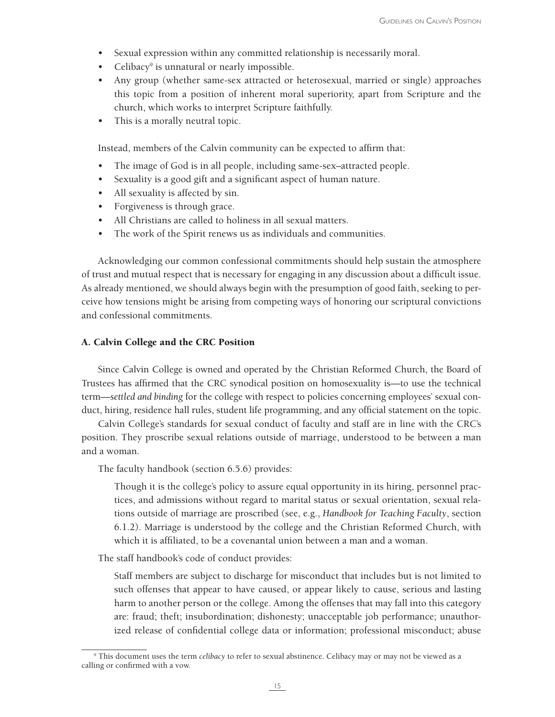- • Sexual expression within any committed relationship is necessarily moral.
- Celibacy<sup>9</sup> is unnatural or nearly impossible.
- Any group (whether same-sex attracted or heterosexual, married or single) approaches this topic from a position of inherent moral superiority, apart from Scripture and the church, which works to interpret Scripture faithfully.
- This is a morally neutral topic.

Instead, members of the Calvin community can be expected to affirm that:

- The image of God is in all people, including same-sex-attracted people.
- Sexuality is a good gift and a significant aspect of human nature.
- All sexuality is affected by sin.
- Forgiveness is through grace.
- All Christians are called to holiness in all sexual matters.
- The work of the Spirit renews us as individuals and communities.

Acknowledging our common confessional commitments should help sustain the atmosphere of trust and mutual respect that is necessary for engaging in any discussion about a difficult issue. As already mentioned, we should always begin with the presumption of good faith, seeking to perceive how tensions might be arising from competing ways of honoring our scriptural convictions and confessional commitments.

#### A. Calvin College and the CRC Position

Since Calvin College is owned and operated by the Christian Reformed Church, the Board of Trustees has affirmed that the CRC synodical position on homosexuality is—to use the technical term—*settled and binding* for the college with respect to policies concerning employees' sexual conduct, hiring, residence hall rules, student life programming, and any official statement on the topic.

Calvin College's standards for sexual conduct of faculty and staff are in line with the CRC's position. They proscribe sexual relations outside of marriage, understood to be between a man and a woman.

The faculty handbook (section 6.5.6) provides:

Though it is the college's policy to assure equal opportunity in its hiring, personnel practices, and admissions without regard to marital status or sexual orientation, sexual relations outside of marriage are proscribed (see, e.g., *Handbook for Teaching Faculty*, section 6.1.2). Marriage is understood by the college and the Christian Reformed Church, with which it is affiliated, to be a covenantal union between a man and a woman.

The staff handbook's code of conduct provides:

Staff members are subject to discharge for misconduct that includes but is not limited to such offenses that appear to have caused, or appear likely to cause, serious and lasting harm to another person or the college. Among the offenses that may fall into this category are: fraud; theft; insubordination; dishonesty; unacceptable job performance; unauthorized release of confidential college data or information; professional misconduct; abuse

<sup>9</sup> This document uses the term *celibacy* to refer to sexual abstinence. Celibacy may or may not be viewed as a calling or confirmed with a vow.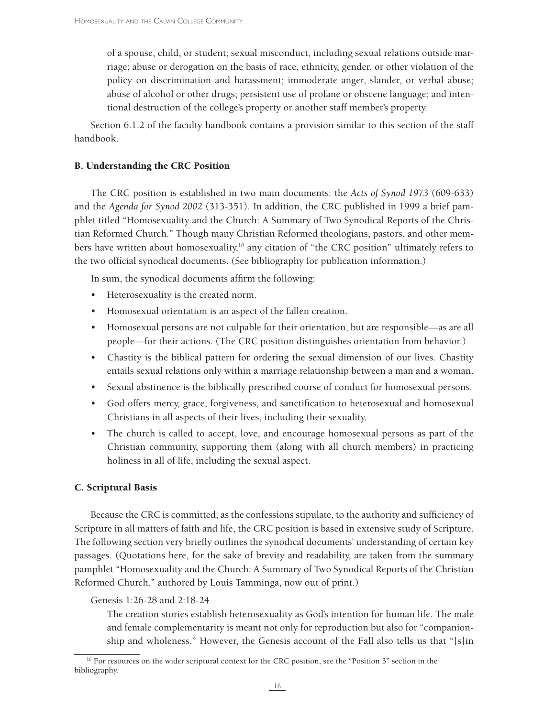of a spouse, child, or student; sexual misconduct, including sexual relations outside marriage; abuse or derogation on the basis of race, ethnicity, gender, or other violation of the policy on discrimination and harassment; immoderate anger, slander, or verbal abuse; abuse of alcohol or other drugs; persistent use of profane or obscene language; and intentional destruction of the college's property or another staff member's property.

Section 6.1.2 of the faculty handbook contains a provision similar to this section of the staff handbook.

#### B. Understanding the CRC Position

The CRC position is established in two main documents: the *Acts of Synod 1973* (609-633) and the *Agenda for Synod 2002* (313-351). In addition, the CRC published in 1999 a brief pamphlet titled "Homosexuality and the Church: A Summary of Two Synodical Reports of the Christian Reformed Church." Though many Christian Reformed theologians, pastors, and other members have written about homosexuality,<sup>10</sup> any citation of "the CRC position" ultimately refers to the two official synodical documents. (See bibliography for publication information.)

In sum, the synodical documents affirm the following:

- Heterosexuality is the created norm.
- • Homosexual orientation is an aspect of the fallen creation.
- Homosexual persons are not culpable for their orientation, but are responsible—as are all people—for their actions. (The CRC position distinguishes orientation from behavior.)
- Chastity is the biblical pattern for ordering the sexual dimension of our lives. Chastity entails sexual relations only within a marriage relationship between a man and a woman.
- Sexual abstinence is the biblically prescribed course of conduct for homosexual persons.
- • God offers mercy, grace, forgiveness, and sanctification to heterosexual and homosexual Christians in all aspects of their lives, including their sexuality.
- The church is called to accept, love, and encourage homosexual persons as part of the Christian community, supporting them (along with all church members) in practicing holiness in all of life, including the sexual aspect.

#### C. Scriptural Basis

Because the CRC is committed, as the confessions stipulate, to the authority and sufficiency of Scripture in all matters of faith and life, the CRC position is based in extensive study of Scripture. The following section very briefly outlines the synodical documents' understanding of certain key passages. (Quotations here, for the sake of brevity and readability, are taken from the summary pamphlet "Homosexuality and the Church: A Summary of Two Synodical Reports of the Christian Reformed Church," authored by Louis Tamminga, now out of print.)

#### Genesis 1:26-28 and 2:18-24

The creation stories establish heterosexuality as God's intention for human life. The male and female complementarity is meant not only for reproduction but also for "companionship and wholeness." However, the Genesis account of the Fall also tells us that "[s]in

<sup>&</sup>lt;sup>10</sup> For resources on the wider scriptural context for the CRC position, see the "Position 3" section in the bibliography.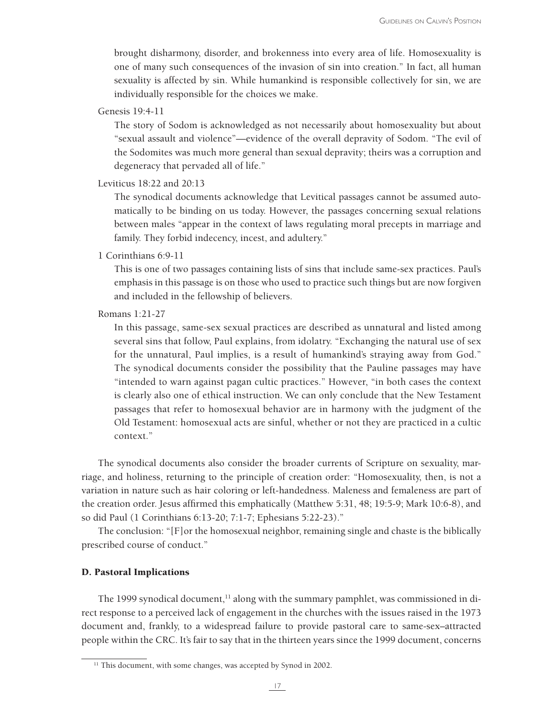brought disharmony, disorder, and brokenness into every area of life. Homosexuality is one of many such consequences of the invasion of sin into creation." In fact, all human sexuality is affected by sin. While humankind is responsible collectively for sin, we are individually responsible for the choices we make.

Genesis 19:4-11

The story of Sodom is acknowledged as not necessarily about homosexuality but about "sexual assault and violence"—evidence of the overall depravity of Sodom. "The evil of the Sodomites was much more general than sexual depravity; theirs was a corruption and degeneracy that pervaded all of life."

Leviticus 18:22 and 20:13

The synodical documents acknowledge that Levitical passages cannot be assumed automatically to be binding on us today. However, the passages concerning sexual relations between males "appear in the context of laws regulating moral precepts in marriage and family. They forbid indecency, incest, and adultery."

1 Corinthians 6:9-11

This is one of two passages containing lists of sins that include same-sex practices. Paul's emphasis in this passage is on those who used to practice such things but are now forgiven and included in the fellowship of believers.

Romans 1:21-27

In this passage, same-sex sexual practices are described as unnatural and listed among several sins that follow, Paul explains, from idolatry. "Exchanging the natural use of sex for the unnatural, Paul implies, is a result of humankind's straying away from God." The synodical documents consider the possibility that the Pauline passages may have "intended to warn against pagan cultic practices." However, "in both cases the context is clearly also one of ethical instruction. We can only conclude that the New Testament passages that refer to homosexual behavior are in harmony with the judgment of the Old Testament: homosexual acts are sinful, whether or not they are practiced in a cultic context."

The synodical documents also consider the broader currents of Scripture on sexuality, marriage, and holiness, returning to the principle of creation order: "Homosexuality, then, is not a variation in nature such as hair coloring or left-handedness. Maleness and femaleness are part of the creation order. Jesus affirmed this emphatically (Matthew 5:31, 48; 19:5-9; Mark 10:6-8), and so did Paul (1 Corinthians 6:13-20; 7:1-7; Ephesians 5:22-23)."

The conclusion: "[F]or the homosexual neighbor, remaining single and chaste is the biblically prescribed course of conduct."

#### D. Pastoral Implications

The 1999 synodical document,<sup>11</sup> along with the summary pamphlet, was commissioned in direct response to a perceived lack of engagement in the churches with the issues raised in the 1973 document and, frankly, to a widespread failure to provide pastoral care to same-sex–attracted people within the CRC. It's fair to say that in the thirteen years since the 1999 document, concerns

<sup>&</sup>lt;sup>11</sup> This document, with some changes, was accepted by Synod in 2002.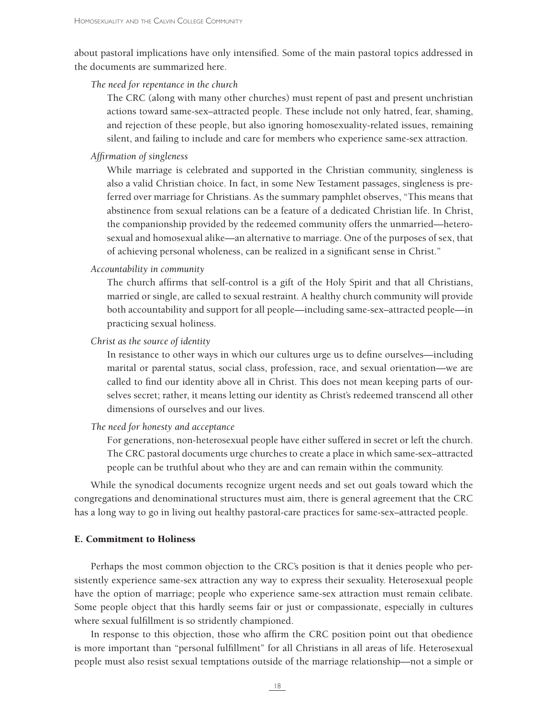about pastoral implications have only intensified. Some of the main pastoral topics addressed in the documents are summarized here.

#### *The need for repentance in the church*

The CRC (along with many other churches) must repent of past and present unchristian actions toward same-sex–attracted people. These include not only hatred, fear, shaming, and rejection of these people, but also ignoring homosexuality-related issues, remaining silent, and failing to include and care for members who experience same-sex attraction.

#### *Affirmation of singleness*

While marriage is celebrated and supported in the Christian community, singleness is also a valid Christian choice. In fact, in some New Testament passages, singleness is preferred over marriage for Christians. As the summary pamphlet observes, "This means that abstinence from sexual relations can be a feature of a dedicated Christian life. In Christ, the companionship provided by the redeemed community offers the unmarried—heterosexual and homosexual alike—an alternative to marriage. One of the purposes of sex, that of achieving personal wholeness, can be realized in a significant sense in Christ."

*Accountability in community*

The church affirms that self-control is a gift of the Holy Spirit and that all Christians, married or single, are called to sexual restraint. A healthy church community will provide both accountability and support for all people—including same-sex–attracted people—in practicing sexual holiness.

#### *Christ as the source of identity*

In resistance to other ways in which our cultures urge us to define ourselves—including marital or parental status, social class, profession, race, and sexual orientation—we are called to find our identity above all in Christ. This does not mean keeping parts of ourselves secret; rather, it means letting our identity as Christ's redeemed transcend all other dimensions of ourselves and our lives.

#### *The need for honesty and acceptance*

For generations, non-heterosexual people have either suffered in secret or left the church. The CRC pastoral documents urge churches to create a place in which same-sex–attracted people can be truthful about who they are and can remain within the community.

While the synodical documents recognize urgent needs and set out goals toward which the congregations and denominational structures must aim, there is general agreement that the CRC has a long way to go in living out healthy pastoral-care practices for same-sex–attracted people.

#### E. Commitment to Holiness

Perhaps the most common objection to the CRC's position is that it denies people who persistently experience same-sex attraction any way to express their sexuality. Heterosexual people have the option of marriage; people who experience same-sex attraction must remain celibate. Some people object that this hardly seems fair or just or compassionate, especially in cultures where sexual fulfillment is so stridently championed.

In response to this objection, those who affirm the CRC position point out that obedience is more important than "personal fulfillment" for all Christians in all areas of life. Heterosexual people must also resist sexual temptations outside of the marriage relationship—not a simple or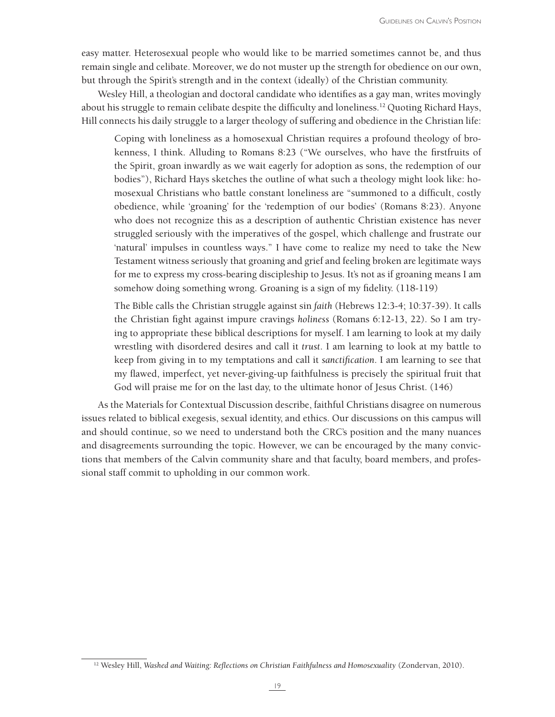easy matter. Heterosexual people who would like to be married sometimes cannot be, and thus remain single and celibate. Moreover, we do not muster up the strength for obedience on our own, but through the Spirit's strength and in the context (ideally) of the Christian community.

Wesley Hill, a theologian and doctoral candidate who identifies as a gay man, writes movingly about his struggle to remain celibate despite the difficulty and loneliness.12 Quoting Richard Hays, Hill connects his daily struggle to a larger theology of suffering and obedience in the Christian life:

Coping with loneliness as a homosexual Christian requires a profound theology of brokenness, I think. Alluding to Romans 8:23 ("We ourselves, who have the firstfruits of the Spirit, groan inwardly as we wait eagerly for adoption as sons, the redemption of our bodies"), Richard Hays sketches the outline of what such a theology might look like: homosexual Christians who battle constant loneliness are "summoned to a difficult, costly obedience, while 'groaning' for the 'redemption of our bodies' (Romans 8:23). Anyone who does not recognize this as a description of authentic Christian existence has never struggled seriously with the imperatives of the gospel, which challenge and frustrate our 'natural' impulses in countless ways." I have come to realize my need to take the New Testament witness seriously that groaning and grief and feeling broken are legitimate ways for me to express my cross-bearing discipleship to Jesus. It's not as if groaning means I am somehow doing something wrong. Groaning is a sign of my fidelity. (118-119)

The Bible calls the Christian struggle against sin *faith* (Hebrews 12:3-4; 10:37-39). It calls the Christian fight against impure cravings *holiness* (Romans 6:12-13, 22). So I am trying to appropriate these biblical descriptions for myself. I am learning to look at my daily wrestling with disordered desires and call it *trust*. I am learning to look at my battle to keep from giving in to my temptations and call it *sanctification*. I am learning to see that my flawed, imperfect, yet never-giving-up faithfulness is precisely the spiritual fruit that God will praise me for on the last day, to the ultimate honor of Jesus Christ. (146)

As the Materials for Contextual Discussion describe, faithful Christians disagree on numerous issues related to biblical exegesis, sexual identity, and ethics. Our discussions on this campus will and should continue, so we need to understand both the CRC's position and the many nuances and disagreements surrounding the topic. However, we can be encouraged by the many convictions that members of the Calvin community share and that faculty, board members, and professional staff commit to upholding in our common work.

<sup>&</sup>lt;sup>12</sup> Wesley Hill, *Washed and Waiting: Reflections on Christian Faithfulness and Homosexuality (Zondervan, 2010).*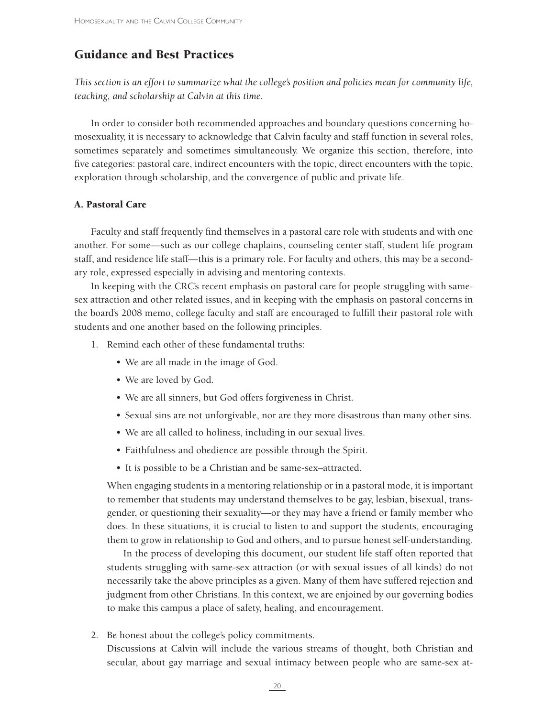## Guidance and Best Practices

*This section is an effort to summarize what the college's position and policies mean for community life, teaching, and scholarship at Calvin at this time.* 

In order to consider both recommended approaches and boundary questions concerning homosexuality, it is necessary to acknowledge that Calvin faculty and staff function in several roles, sometimes separately and sometimes simultaneously. We organize this section, therefore, into five categories: pastoral care, indirect encounters with the topic, direct encounters with the topic, exploration through scholarship, and the convergence of public and private life.

#### A. Pastoral Care

Faculty and staff frequently find themselves in a pastoral care role with students and with one another. For some—such as our college chaplains, counseling center staff, student life program staff, and residence life staff—this is a primary role. For faculty and others, this may be a secondary role, expressed especially in advising and mentoring contexts.

In keeping with the CRC's recent emphasis on pastoral care for people struggling with samesex attraction and other related issues, and in keeping with the emphasis on pastoral concerns in the board's 2008 memo, college faculty and staff are encouraged to fulfill their pastoral role with students and one another based on the following principles.

- 1. Remind each other of these fundamental truths:
	- We are all made in the image of God.
	- We are loved by God.
	- • We are all sinners, but God offers forgiveness in Christ.
	- Sexual sins are not unforgivable, nor are they more disastrous than many other sins.
	- We are all called to holiness, including in our sexual lives.
	- Faithfulness and obedience are possible through the Spirit.
	- • It *is* possible to be a Christian and be same-sex–attracted.

When engaging students in a mentoring relationship or in a pastoral mode, it is important to remember that students may understand themselves to be gay, lesbian, bisexual, transgender, or questioning their sexuality—or they may have a friend or family member who does. In these situations, it is crucial to listen to and support the students, encouraging them to grow in relationship to God and others, and to pursue honest self-understanding.

In the process of developing this document, our student life staff often reported that students struggling with same-sex attraction (or with sexual issues of all kinds) do not necessarily take the above principles as a given. Many of them have suffered rejection and judgment from other Christians. In this context, we are enjoined by our governing bodies to make this campus a place of safety, healing, and encouragement.

2. Be honest about the college's policy commitments.

Discussions at Calvin will include the various streams of thought, both Christian and secular, about gay marriage and sexual intimacy between people who are same-sex at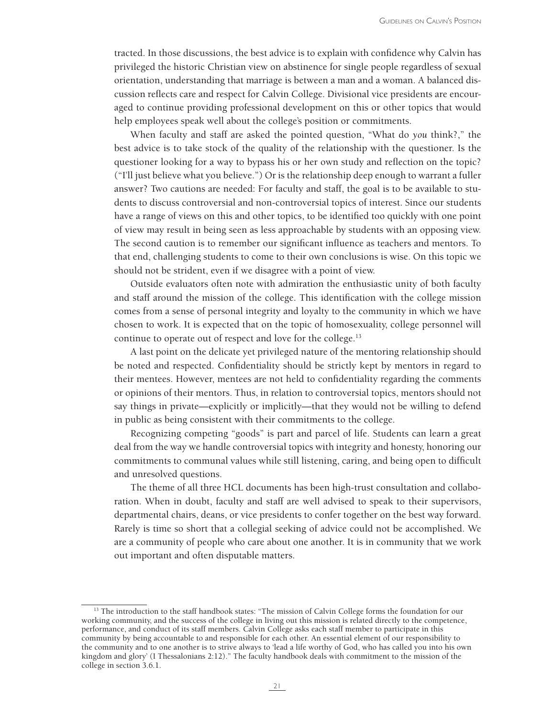tracted. In those discussions, the best advice is to explain with confidence why Calvin has privileged the historic Christian view on abstinence for single people regardless of sexual orientation, understanding that marriage is between a man and a woman. A balanced discussion reflects care and respect for Calvin College. Divisional vice presidents are encouraged to continue providing professional development on this or other topics that would help employees speak well about the college's position or commitments.

When faculty and staff are asked the pointed question, "What do *you* think?," the best advice is to take stock of the quality of the relationship with the questioner. Is the questioner looking for a way to bypass his or her own study and reflection on the topic? ("I'll just believe what you believe.") Or is the relationship deep enough to warrant a fuller answer? Two cautions are needed: For faculty and staff, the goal is to be available to students to discuss controversial and non-controversial topics of interest. Since our students have a range of views on this and other topics, to be identified too quickly with one point of view may result in being seen as less approachable by students with an opposing view. The second caution is to remember our significant influence as teachers and mentors. To that end, challenging students to come to their own conclusions is wise. On this topic we should not be strident, even if we disagree with a point of view.

Outside evaluators often note with admiration the enthusiastic unity of both faculty and staff around the mission of the college. This identification with the college mission comes from a sense of personal integrity and loyalty to the community in which we have chosen to work. It is expected that on the topic of homosexuality, college personnel will continue to operate out of respect and love for the college.<sup>13</sup>

A last point on the delicate yet privileged nature of the mentoring relationship should be noted and respected. Confidentiality should be strictly kept by mentors in regard to their mentees. However, mentees are not held to confidentiality regarding the comments or opinions of their mentors. Thus, in relation to controversial topics, mentors should not say things in private—explicitly or implicitly—that they would not be willing to defend in public as being consistent with their commitments to the college.

Recognizing competing "goods" is part and parcel of life. Students can learn a great deal from the way we handle controversial topics with integrity and honesty, honoring our commitments to communal values while still listening, caring, and being open to difficult and unresolved questions.

The theme of all three HCL documents has been high-trust consultation and collaboration. When in doubt, faculty and staff are well advised to speak to their supervisors, departmental chairs, deans, or vice presidents to confer together on the best way forward. Rarely is time so short that a collegial seeking of advice could not be accomplished. We are a community of people who care about one another. It is in community that we work out important and often disputable matters.

<sup>&</sup>lt;sup>13</sup> The introduction to the staff handbook states: "The mission of Calvin College forms the foundation for our working community, and the success of the college in living out this mission is related directly to the competence, performance, and conduct of its staff members. Calvin College asks each staff member to participate in this community by being accountable to and responsible for each other. An essential element of our responsibility to the community and to one another is to strive always to 'lead a life worthy of God, who has called you into his own kingdom and glory' (I Thessalonians 2:12)." The faculty handbook deals with commitment to the mission of the college in section 3.6.1.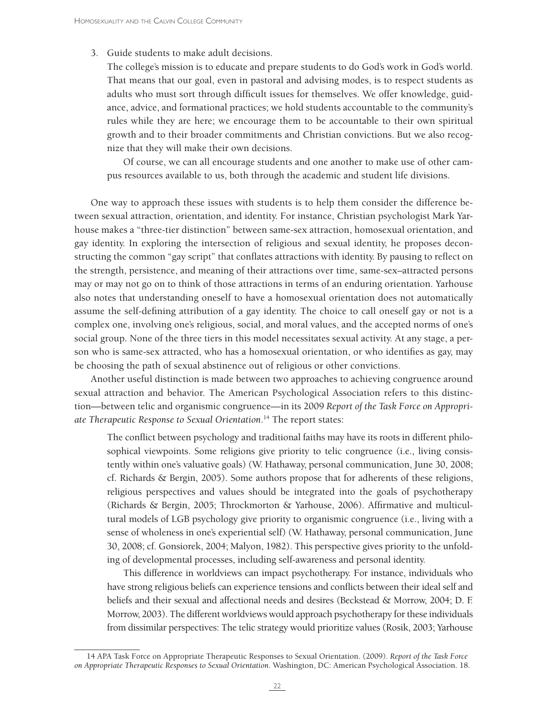3. Guide students to make adult decisions.

The college's mission is to educate and prepare students to do God's work in God's world. That means that our goal, even in pastoral and advising modes, is to respect students as adults who must sort through difficult issues for themselves. We offer knowledge, guidance, advice, and formational practices; we hold students accountable to the community's rules while they are here; we encourage them to be accountable to their own spiritual growth and to their broader commitments and Christian convictions. But we also recognize that they will make their own decisions.

Of course, we can all encourage students and one another to make use of other campus resources available to us, both through the academic and student life divisions.

One way to approach these issues with students is to help them consider the difference between sexual attraction, orientation, and identity. For instance, Christian psychologist Mark Yarhouse makes a "three-tier distinction" between same-sex attraction, homosexual orientation, and gay identity. In exploring the intersection of religious and sexual identity, he proposes deconstructing the common "gay script" that conflates attractions with identity. By pausing to reflect on the strength, persistence, and meaning of their attractions over time, same-sex–attracted persons may or may not go on to think of those attractions in terms of an enduring orientation. Yarhouse also notes that understanding oneself to have a homosexual orientation does not automatically assume the self-defining attribution of a gay identity. The choice to call oneself gay or not is a complex one, involving one's religious, social, and moral values, and the accepted norms of one's social group. None of the three tiers in this model necessitates sexual activity. At any stage, a person who is same-sex attracted, who has a homosexual orientation, or who identifies as gay, may be choosing the path of sexual abstinence out of religious or other convictions.

Another useful distinction is made between two approaches to achieving congruence around sexual attraction and behavior. The American Psychological Association refers to this distinction—between telic and organismic congruence—in its 2009 *Report of the Task Force on Appropriate Therapeutic Response to Sexual Orientation*. 14 The report states:

The conflict between psychology and traditional faiths may have its roots in different philosophical viewpoints. Some religions give priority to telic congruence (i.e., living consistently within one's valuative goals) (W. Hathaway, personal communication, June 30, 2008; cf. Richards & Bergin, 2005). Some authors propose that for adherents of these religions, religious perspectives and values should be integrated into the goals of psychotherapy (Richards & Bergin, 2005; Throckmorton & Yarhouse, 2006). Affirmative and multicultural models of LGB psychology give priority to organismic congruence (i.e., living with a sense of wholeness in one's experiential self) (W. Hathaway, personal communication, June 30, 2008; cf. Gonsiorek, 2004; Malyon, 1982). This perspective gives priority to the unfolding of developmental processes, including self-awareness and personal identity.

This difference in worldviews can impact psychotherapy. For instance, individuals who have strong religious beliefs can experience tensions and conflicts between their ideal self and beliefs and their sexual and affectional needs and desires (Beckstead & Morrow, 2004; D. F. Morrow, 2003). The different worldviews would approach psychotherapy for these individuals from dissimilar perspectives: The telic strategy would prioritize values (Rosik, 2003; Yarhouse

<sup>14</sup> APA Task Force on Appropriate Therapeutic Responses to Sexual Orientation. (2009). *Report of the Task Force on Appropriate Therapeutic Responses to Sexual Orientation*. Washington, DC: American Psychological Association. 18.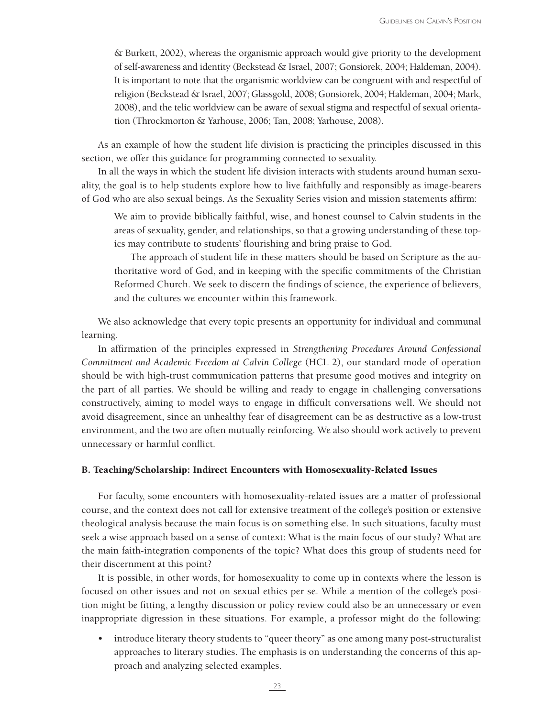& Burkett, 2002), whereas the organismic approach would give priority to the development of self-awareness and identity (Beckstead & Israel, 2007; Gonsiorek, 2004; Haldeman, 2004). It is important to note that the organismic worldview can be congruent with and respectful of religion (Beckstead & Israel, 2007; Glassgold, 2008; Gonsiorek, 2004; Haldeman, 2004; Mark, 2008), and the telic worldview can be aware of sexual stigma and respectful of sexual orientation (Throckmorton & Yarhouse, 2006; Tan, 2008; Yarhouse, 2008).

As an example of how the student life division is practicing the principles discussed in this section, we offer this guidance for programming connected to sexuality.

In all the ways in which the student life division interacts with students around human sexuality, the goal is to help students explore how to live faithfully and responsibly as image-bearers of God who are also sexual beings. As the Sexuality Series vision and mission statements affirm:

We aim to provide biblically faithful, wise, and honest counsel to Calvin students in the areas of sexuality, gender, and relationships, so that a growing understanding of these topics may contribute to students' flourishing and bring praise to God.

The approach of student life in these matters should be based on Scripture as the authoritative word of God, and in keeping with the specific commitments of the Christian Reformed Church. We seek to discern the findings of science, the experience of believers, and the cultures we encounter within this framework.

We also acknowledge that every topic presents an opportunity for individual and communal learning.

In affirmation of the principles expressed in *Strengthening Procedures Around Confessional Commitment and Academic Freedom at Calvin College* (HCL 2), our standard mode of operation should be with high-trust communication patterns that presume good motives and integrity on the part of all parties. We should be willing and ready to engage in challenging conversations constructively, aiming to model ways to engage in difficult conversations well. We should not avoid disagreement, since an unhealthy fear of disagreement can be as destructive as a low-trust environment, and the two are often mutually reinforcing. We also should work actively to prevent unnecessary or harmful conflict.

#### B. Teaching/Scholarship: Indirect Encounters with Homosexuality-Related Issues

For faculty, some encounters with homosexuality-related issues are a matter of professional course, and the context does not call for extensive treatment of the college's position or extensive theological analysis because the main focus is on something else. In such situations, faculty must seek a wise approach based on a sense of context: What is the main focus of our study? What are the main faith-integration components of the topic? What does this group of students need for their discernment at this point?

It is possible, in other words, for homosexuality to come up in contexts where the lesson is focused on other issues and not on sexual ethics per se. While a mention of the college's position might be fitting, a lengthy discussion or policy review could also be an unnecessary or even inappropriate digression in these situations. For example, a professor might do the following:

introduce literary theory students to "queer theory" as one among many post-structuralist approaches to literary studies. The emphasis is on understanding the concerns of this approach and analyzing selected examples.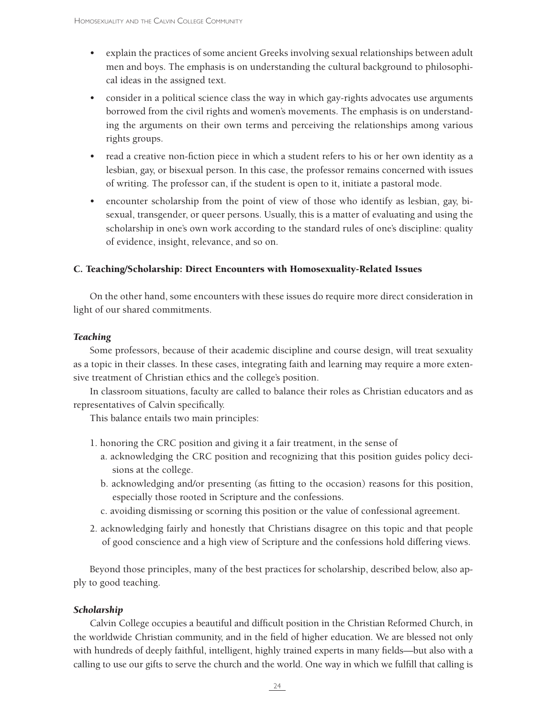- explain the practices of some ancient Greeks involving sexual relationships between adult men and boys. The emphasis is on understanding the cultural background to philosophical ideas in the assigned text.
- consider in a political science class the way in which gay-rights advocates use arguments borrowed from the civil rights and women's movements. The emphasis is on understanding the arguments on their own terms and perceiving the relationships among various rights groups.
- read a creative non-fiction piece in which a student refers to his or her own identity as a lesbian, gay, or bisexual person. In this case, the professor remains concerned with issues of writing. The professor can, if the student is open to it, initiate a pastoral mode.
- encounter scholarship from the point of view of those who identify as lesbian, gay, bisexual, transgender, or queer persons. Usually, this is a matter of evaluating and using the scholarship in one's own work according to the standard rules of one's discipline: quality of evidence, insight, relevance, and so on.

### C. Teaching/Scholarship: Direct Encounters with Homosexuality-Related Issues

On the other hand, some encounters with these issues do require more direct consideration in light of our shared commitments.

#### *Teaching*

Some professors, because of their academic discipline and course design, will treat sexuality as a topic in their classes. In these cases, integrating faith and learning may require a more extensive treatment of Christian ethics and the college's position.

In classroom situations, faculty are called to balance their roles as Christian educators and as representatives of Calvin specifically.

This balance entails two main principles:

- 1. honoring the CRC position and giving it a fair treatment, in the sense of
	- a. acknowledging the CRC position and recognizing that this position guides policy decisions at the college.
	- b. acknowledging and/or presenting (as fitting to the occasion) reasons for this position, especially those rooted in Scripture and the confessions.
	- c. avoiding dismissing or scorning this position or the value of confessional agreement.
- 2. acknowledging fairly and honestly that Christians disagree on this topic and that people of good conscience and a high view of Scripture and the confessions hold differing views.

Beyond those principles, many of the best practices for scholarship, described below, also apply to good teaching.

#### *Scholarship*

Calvin College occupies a beautiful and difficult position in the Christian Reformed Church, in the worldwide Christian community, and in the field of higher education. We are blessed not only with hundreds of deeply faithful, intelligent, highly trained experts in many fields—but also with a calling to use our gifts to serve the church and the world. One way in which we fulfill that calling is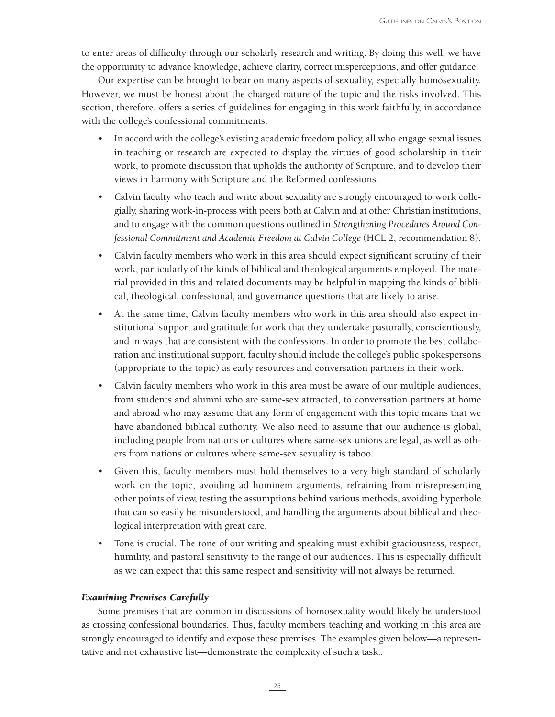to enter areas of difficulty through our scholarly research and writing. By doing this well, we have the opportunity to advance knowledge, achieve clarity, correct misperceptions, and offer guidance.

Our expertise can be brought to bear on many aspects of sexuality, especially homosexuality. However, we must be honest about the charged nature of the topic and the risks involved. This section, therefore, offers a series of guidelines for engaging in this work faithfully, in accordance with the college's confessional commitments.

- In accord with the college's existing academic freedom policy, all who engage sexual issues in teaching or research are expected to display the virtues of good scholarship in their work, to promote discussion that upholds the authority of Scripture, and to develop their views in harmony with Scripture and the Reformed confessions.
- Calvin faculty who teach and write about sexuality are strongly encouraged to work collegially, sharing work-in-process with peers both at Calvin and at other Christian institutions, and to engage with the common questions outlined in *Strengthening Procedures Around Confessional Commitment and Academic Freedom at Calvin College (HCL 2, recommendation 8).*
- Calvin faculty members who work in this area should expect significant scrutiny of their work, particularly of the kinds of biblical and theological arguments employed. The material provided in this and related documents may be helpful in mapping the kinds of biblical, theological, confessional, and governance questions that are likely to arise.
- • At the same time, Calvin faculty members who work in this area should also expect institutional support and gratitude for work that they undertake pastorally, conscientiously, and in ways that are consistent with the confessions. In order to promote the best collaboration and institutional support, faculty should include the college's public spokespersons (appropriate to the topic) as early resources and conversation partners in their work.
- Calvin faculty members who work in this area must be aware of our multiple audiences, from students and alumni who are same-sex attracted, to conversation partners at home and abroad who may assume that any form of engagement with this topic means that we have abandoned biblical authority. We also need to assume that our audience is global, including people from nations or cultures where same-sex unions are legal, as well as others from nations or cultures where same-sex sexuality is taboo.
- • Given this, faculty members must hold themselves to a very high standard of scholarly work on the topic, avoiding ad hominem arguments, refraining from misrepresenting other points of view, testing the assumptions behind various methods, avoiding hyperbole that can so easily be misunderstood, and handling the arguments about biblical and theological interpretation with great care.
- Tone is crucial. The tone of our writing and speaking must exhibit graciousness, respect, humility, and pastoral sensitivity to the range of our audiences. This is especially difficult as we can expect that this same respect and sensitivity will not always be returned.

### *Examining Premises Carefully*

Some premises that are common in discussions of homosexuality would likely be understood as crossing confessional boundaries. Thus, faculty members teaching and working in this area are strongly encouraged to identify and expose these premises. The examples given below—a representative and not exhaustive list—demonstrate the complexity of such a task..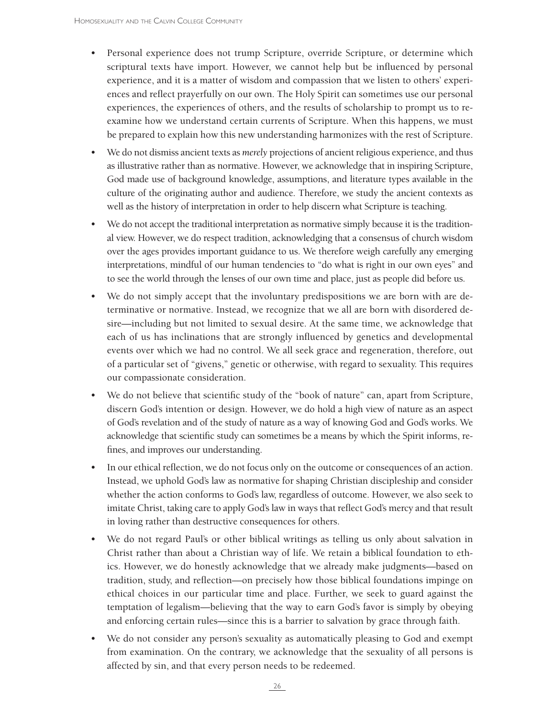- Personal experience does not trump Scripture, override Scripture, or determine which scriptural texts have import. However, we cannot help but be influenced by personal experience, and it is a matter of wisdom and compassion that we listen to others' experiences and reflect prayerfully on our own. The Holy Spirit can sometimes use our personal experiences, the experiences of others, and the results of scholarship to prompt us to reexamine how we understand certain currents of Scripture. When this happens, we must be prepared to explain how this new understanding harmonizes with the rest of Scripture.
- We do not dismiss ancient texts as *merely* projections of ancient religious experience, and thus as illustrative rather than as normative. However, we acknowledge that in inspiring Scripture, God made use of background knowledge, assumptions, and literature types available in the culture of the originating author and audience. Therefore, we study the ancient contexts as well as the history of interpretation in order to help discern what Scripture is teaching.
- We do not accept the traditional interpretation as normative simply because it is the traditional view. However, we do respect tradition, acknowledging that a consensus of church wisdom over the ages provides important guidance to us. We therefore weigh carefully any emerging interpretations, mindful of our human tendencies to "do what is right in our own eyes" and to see the world through the lenses of our own time and place, just as people did before us.
- We do not simply accept that the involuntary predispositions we are born with are determinative or normative. Instead, we recognize that we all are born with disordered desire—including but not limited to sexual desire. At the same time, we acknowledge that each of us has inclinations that are strongly influenced by genetics and developmental events over which we had no control. We all seek grace and regeneration, therefore, out of a particular set of "givens," genetic or otherwise, with regard to sexuality. This requires our compassionate consideration.
- We do not believe that scientific study of the "book of nature" can, apart from Scripture, discern God's intention or design. However, we do hold a high view of nature as an aspect of God's revelation and of the study of nature as a way of knowing God and God's works. We acknowledge that scientific study can sometimes be a means by which the Spirit informs, refines, and improves our understanding.
- In our ethical reflection, we do not focus only on the outcome or consequences of an action. Instead, we uphold God's law as normative for shaping Christian discipleship and consider whether the action conforms to God's law, regardless of outcome. However, we also seek to imitate Christ, taking care to apply God's law in ways that reflect God's mercy and that result in loving rather than destructive consequences for others.
- • We do not regard Paul's or other biblical writings as telling us only about salvation in Christ rather than about a Christian way of life. We retain a biblical foundation to ethics. However, we do honestly acknowledge that we already make judgments—based on tradition, study, and reflection—on precisely how those biblical foundations impinge on ethical choices in our particular time and place. Further, we seek to guard against the temptation of legalism—believing that the way to earn God's favor is simply by obeying and enforcing certain rules—since this is a barrier to salvation by grace through faith.
- We do not consider any person's sexuality as automatically pleasing to God and exempt from examination. On the contrary, we acknowledge that the sexuality of all persons is affected by sin, and that every person needs to be redeemed.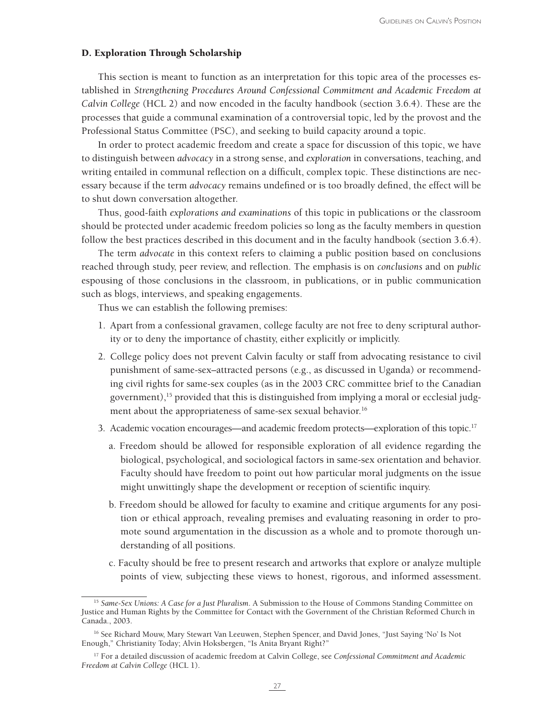#### D. Exploration Through Scholarship

This section is meant to function as an interpretation for this topic area of the processes established in *Strengthening Procedures Around Confessional Commitment and Academic Freedom at Calvin College* (HCL 2) and now encoded in the faculty handbook (section 3.6.4). These are the processes that guide a communal examination of a controversial topic, led by the provost and the Professional Status Committee (PSC), and seeking to build capacity around a topic.

In order to protect academic freedom and create a space for discussion of this topic, we have to distinguish between *advocacy* in a strong sense, and *exploration* in conversations, teaching, and writing entailed in communal reflection on a difficult, complex topic. These distinctions are necessary because if the term *advocacy* remains undefined or is too broadly defined, the effect will be to shut down conversation altogether.

Thus, good-faith *explorations and examinations* of this topic in publications or the classroom should be protected under academic freedom policies so long as the faculty members in question follow the best practices described in this document and in the faculty handbook (section 3.6.4).

The term *advocate* in this context refers to claiming a public position based on conclusions reached through study, peer review, and reflection. The emphasis is on *conclusions* and on *public* espousing of those conclusions in the classroom, in publications, or in public communication such as blogs, interviews, and speaking engagements.

Thus we can establish the following premises:

- 1. Apart from a confessional gravamen, college faculty are not free to deny scriptural authority or to deny the importance of chastity, either explicitly or implicitly.
- 2. College policy does not prevent Calvin faculty or staff from advocating resistance to civil punishment of same-sex–attracted persons (e.g., as discussed in Uganda) or recommending civil rights for same-sex couples (as in the 2003 CRC committee brief to the Canadian government),15 provided that this is distinguished from implying a moral or ecclesial judgment about the appropriateness of same-sex sexual behavior.<sup>16</sup>
- 3. Academic vocation encourages—and academic freedom protects—exploration of this topic.17
	- a. Freedom should be allowed for responsible exploration of all evidence regarding the biological, psychological, and sociological factors in same-sex orientation and behavior. Faculty should have freedom to point out how particular moral judgments on the issue might unwittingly shape the development or reception of scientific inquiry.
	- b. Freedom should be allowed for faculty to examine and critique arguments for any position or ethical approach, revealing premises and evaluating reasoning in order to promote sound argumentation in the discussion as a whole and to promote thorough understanding of all positions.
	- c. Faculty should be free to present research and artworks that explore or analyze multiple points of view, subjecting these views to honest, rigorous, and informed assessment.

<sup>15</sup> *Same-Sex Unions: A Case for a Just Pluralism*. A Submission to the House of Commons Standing Committee on Justice and Human Rights by the Committee for Contact with the Government of the Christian Reformed Church in Canada., 2003.

<sup>16</sup> See Richard Mouw, Mary Stewart Van Leeuwen, Stephen Spencer, and David Jones, "Just Saying 'No' Is Not Enough," Christianity Today; Alvin Hoksbergen, "Is Anita Bryant Right?"

<sup>17</sup> For a detailed discussion of academic freedom at Calvin College, see *Confessional Commitment and Academic Freedom at Calvin College* (HCL 1).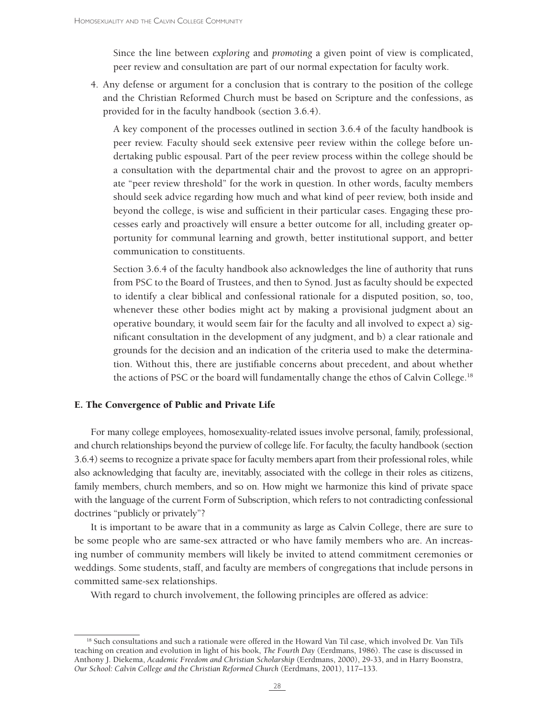Since the line between *exploring* and *promoting* a given point of view is complicated, peer review and consultation are part of our normal expectation for faculty work.

4. Any defense or argument for a conclusion that is contrary to the position of the college and the Christian Reformed Church must be based on Scripture and the confessions, as provided for in the faculty handbook (section 3.6.4).

A key component of the processes outlined in section 3.6.4 of the faculty handbook is peer review. Faculty should seek extensive peer review within the college before undertaking public espousal. Part of the peer review process within the college should be a consultation with the departmental chair and the provost to agree on an appropriate "peer review threshold" for the work in question. In other words, faculty members should seek advice regarding how much and what kind of peer review, both inside and beyond the college, is wise and sufficient in their particular cases. Engaging these processes early and proactively will ensure a better outcome for all, including greater opportunity for communal learning and growth, better institutional support, and better communication to constituents.

Section 3.6.4 of the faculty handbook also acknowledges the line of authority that runs from PSC to the Board of Trustees, and then to Synod. Just as faculty should be expected to identify a clear biblical and confessional rationale for a disputed position, so, too, whenever these other bodies might act by making a provisional judgment about an operative boundary, it would seem fair for the faculty and all involved to expect a) significant consultation in the development of any judgment, and b) a clear rationale and grounds for the decision and an indication of the criteria used to make the determination. Without this, there are justifiable concerns about precedent, and about whether the actions of PSC or the board will fundamentally change the ethos of Calvin College.<sup>18</sup>

#### E. The Convergence of Public and Private Life

For many college employees, homosexuality-related issues involve personal, family, professional, and church relationships beyond the purview of college life. For faculty, the faculty handbook (section 3.6.4) seems to recognize a private space for faculty members apart from their professional roles, while also acknowledging that faculty are, inevitably, associated with the college in their roles as citizens, family members, church members, and so on. How might we harmonize this kind of private space with the language of the current Form of Subscription, which refers to not contradicting confessional doctrines "publicly or privately"?

It is important to be aware that in a community as large as Calvin College, there are sure to be some people who are same-sex attracted or who have family members who are. An increasing number of community members will likely be invited to attend commitment ceremonies or weddings. Some students, staff, and faculty are members of congregations that include persons in committed same-sex relationships.

With regard to church involvement, the following principles are offered as advice:

<sup>&</sup>lt;sup>18</sup> Such consultations and such a rationale were offered in the Howard Van Til case, which involved Dr. Van Til's teaching on creation and evolution in light of his book, *The Fourth Day* (Eerdmans, 1986). The case is discussed in Anthony J. Diekema, *Academic Freedom and Christian Scholarship* (Eerdmans, 2000), 29-33, and in Harry Boonstra, *Our School: Calvin College and the Christian Reformed Church* (Eerdmans, 2001), 117–133.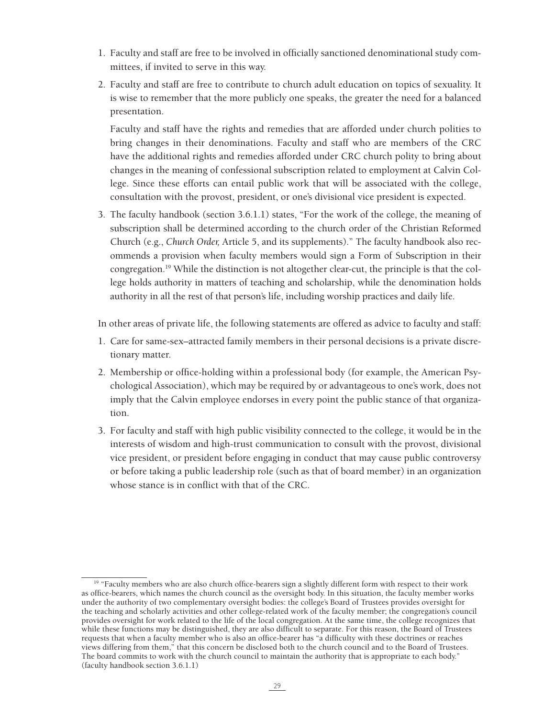- 1. Faculty and staff are free to be involved in officially sanctioned denominational study committees, if invited to serve in this way.
- 2. Faculty and staff are free to contribute to church adult education on topics of sexuality. It is wise to remember that the more publicly one speaks, the greater the need for a balanced presentation.

Faculty and staff have the rights and remedies that are afforded under church polities to bring changes in their denominations. Faculty and staff who are members of the CRC have the additional rights and remedies afforded under CRC church polity to bring about changes in the meaning of confessional subscription related to employment at Calvin College. Since these efforts can entail public work that will be associated with the college, consultation with the provost, president, or one's divisional vice president is expected.

3. The faculty handbook (section 3.6.1.1) states, "For the work of the college, the meaning of subscription shall be determined according to the church order of the Christian Reformed Church (e.g., *Church Order,* Article 5, and its supplements)." The faculty handbook also recommends a provision when faculty members would sign a Form of Subscription in their congregation.19 While the distinction is not altogether clear-cut, the principle is that the college holds authority in matters of teaching and scholarship, while the denomination holds authority in all the rest of that person's life, including worship practices and daily life.

In other areas of private life, the following statements are offered as advice to faculty and staff:

- 1. Care for same-sex–attracted family members in their personal decisions is a private discretionary matter.
- 2. Membership or office-holding within a professional body (for example, the American Psychological Association), which may be required by or advantageous to one's work, does not imply that the Calvin employee endorses in every point the public stance of that organization.
- 3. For faculty and staff with high public visibility connected to the college, it would be in the interests of wisdom and high-trust communication to consult with the provost, divisional vice president, or president before engaging in conduct that may cause public controversy or before taking a public leadership role (such as that of board member) in an organization whose stance is in conflict with that of the CRC.

<sup>&</sup>lt;sup>19</sup> "Faculty members who are also church office-bearers sign a slightly different form with respect to their work as office-bearers, which names the church council as the oversight body. In this situation, the faculty member works under the authority of two complementary oversight bodies: the college's Board of Trustees provides oversight for the teaching and scholarly activities and other college-related work of the faculty member; the congregation's council provides oversight for work related to the life of the local congregation. At the same time, the college recognizes that while these functions may be distinguished, they are also difficult to separate. For this reason, the Board of Trustees requests that when a faculty member who is also an office-bearer has "a difficulty with these doctrines or reaches views differing from them," that this concern be disclosed both to the church council and to the Board of Trustees. The board commits to work with the church council to maintain the authority that is appropriate to each body." (faculty handbook section 3.6.1.1)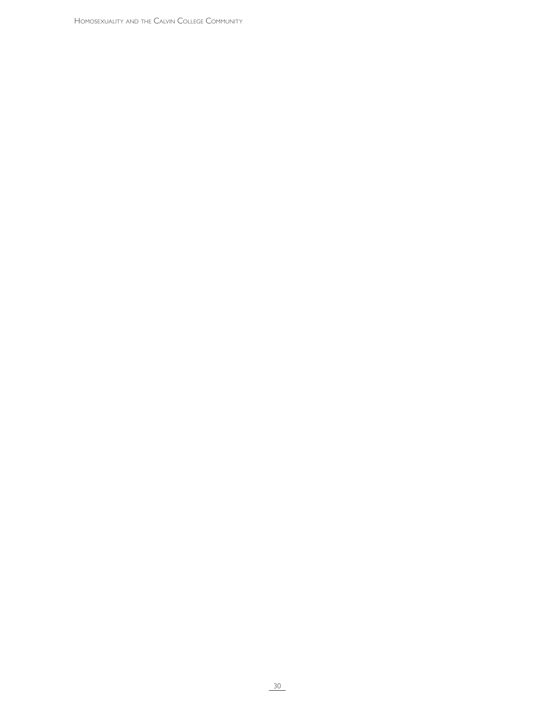Homosexuality and the Calvin College Community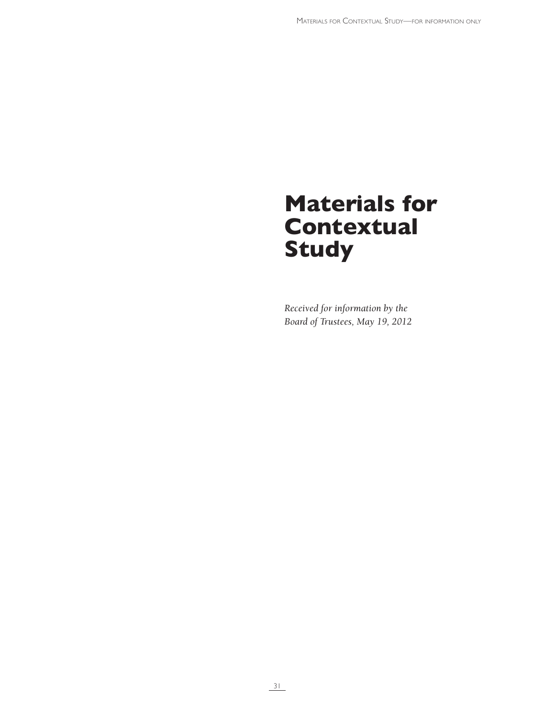# **Materials for Contextual Study**

*Received for information by the Board of Trustees, May 19, 2012*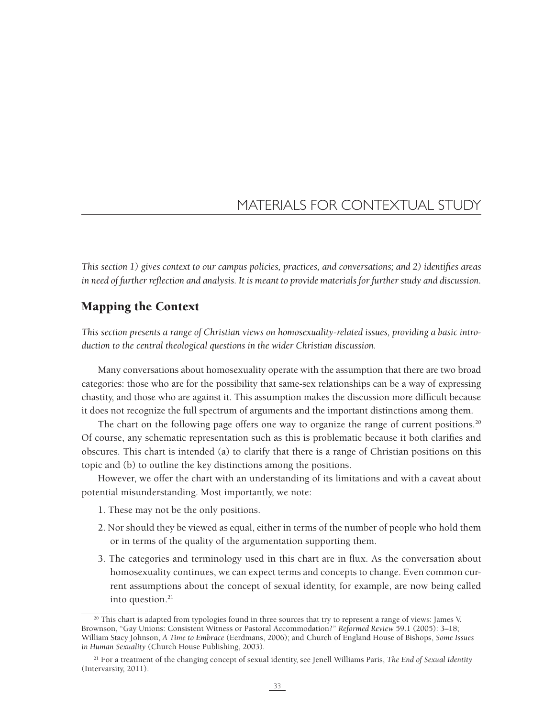# MATERIALS FOR CONTEXTUAL STUDY

*This section 1) gives context to our campus policies, practices, and conversations; and 2) identifies areas in need of further reflection and analysis. It is meant to provide materials for further study and discussion.*

## Mapping the Context

*This section presents a range of Christian views on homosexuality-related issues, providing a basic introduction to the central theological questions in the wider Christian discussion.*

Many conversations about homosexuality operate with the assumption that there are two broad categories: those who are for the possibility that same-sex relationships can be a way of expressing chastity, and those who are against it. This assumption makes the discussion more difficult because it does not recognize the full spectrum of arguments and the important distinctions among them.

The chart on the following page offers one way to organize the range of current positions.<sup>20</sup> Of course, any schematic representation such as this is problematic because it both clarifies and obscures. This chart is intended (a) to clarify that there is a range of Christian positions on this topic and (b) to outline the key distinctions among the positions.

However, we offer the chart with an understanding of its limitations and with a caveat about potential misunderstanding. Most importantly, we note:

- 1. These may not be the only positions.
- 2. Nor should they be viewed as equal, either in terms of the number of people who hold them or in terms of the quality of the argumentation supporting them.
- 3. The categories and terminology used in this chart are in flux. As the conversation about homosexuality continues, we can expect terms and concepts to change. Even common current assumptions about the concept of sexual identity, for example, are now being called into question.<sup>21</sup>

 $^{20}$  This chart is adapted from typologies found in three sources that try to represent a range of views: James V. Brownson, "Gay Unions: Consistent Witness or Pastoral Accommodation?" *Reformed Review* 59.1 (2005): 3–18; William Stacy Johnson, *A Time to Embrace* (Eerdmans, 2006); and Church of England House of Bishops, *Some Issues in Human Sexuality* (Church House Publishing, 2003).

<sup>21</sup> For a treatment of the changing concept of sexual identity, see Jenell Williams Paris, *The End of Sexual Identity* (Intervarsity, 2011).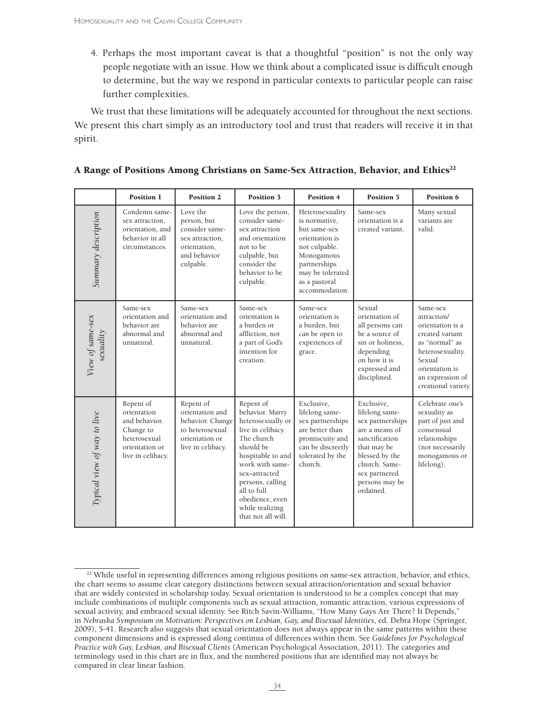4. Perhaps the most important caveat is that a thoughtful "position" is not the only way people negotiate with an issue. How we think about a complicated issue is difficult enough to determine, but the way we respond in particular contexts to particular people can raise further complexities.

We trust that these limitations will be adequately accounted for throughout the next sections. We present this chart simply as an introductory tool and trust that readers will receive it in that spirit.

|                               | <b>Position 1</b>                                                                                             | <b>Position 2</b>                                                                                          | <b>Position 3</b>                                                                                                                                                                                                                                         | <b>Position 4</b>                                                                                                                                                        | <b>Position 5</b>                                                                                                                                                                      | Position 6                                                                                                                                                                  |
|-------------------------------|---------------------------------------------------------------------------------------------------------------|------------------------------------------------------------------------------------------------------------|-----------------------------------------------------------------------------------------------------------------------------------------------------------------------------------------------------------------------------------------------------------|--------------------------------------------------------------------------------------------------------------------------------------------------------------------------|----------------------------------------------------------------------------------------------------------------------------------------------------------------------------------------|-----------------------------------------------------------------------------------------------------------------------------------------------------------------------------|
| Summary description           | Condemn same-<br>sex attraction.<br>orientation, and<br>behavior in all<br>circumstances.                     | Love the<br>person, but<br>consider same-<br>sex attraction.<br>orientation,<br>and behavior<br>culpable.  | Love the person,<br>consider same-<br>sex attraction<br>and orientation<br>not to be<br>culpable, but<br>consider the<br>behavior to be<br>culpable.                                                                                                      | Heterosexuality<br>is normative,<br>but same-sex<br>orientation is<br>not culpable.<br>Monogamous<br>partnerships<br>may be tolerated<br>as a pastoral<br>accommodation. | Same-sex<br>orientation is a<br>created variant.                                                                                                                                       | Many sexual<br>variants are<br>valid.                                                                                                                                       |
| View of same-sex<br>sexuality | Same-sex<br>orientation and<br>behavior are<br>abnormal and<br>unnatural.                                     | Same-sex<br>orientation and<br>behavior are<br>abnormal and<br>unnatural.                                  | Same-sex<br>orientation is<br>a burden or<br>affliction, not<br>a part of God's<br>intention for<br>creation.                                                                                                                                             | Same-sex<br>orientation is<br>a burden, but<br>can be open to<br>experiences of<br>grace.                                                                                | Sexual<br>orientation of<br>all persons can<br>be a source of<br>sin or holiness.<br>depending<br>on how it is<br>expressed and<br>disciplined.                                        | Same-sex<br>attraction/<br>orientation is a<br>created variant<br>as "normal" as<br>heterosexuality.<br>Sexual<br>orientation is<br>an expression of<br>creational variety. |
| Typical view of way to live   | Repent of<br>orientation<br>and behavior.<br>Change to<br>heterosexual<br>orientation or<br>live in celibacy. | Repent of<br>orientation and<br>behavior. Change<br>to heterosexual<br>orientation or<br>live in celibacy. | Repent of<br>behavior. Marry<br>heterosexually or<br>live in celibacy.<br>The church<br>should be<br>hospitable to and<br>work with same-<br>sex-attracted<br>persons, calling<br>all to full<br>obedience, even<br>while realizing<br>that not all will. | Exclusive,<br>lifelong same-<br>sex partnerships<br>are better than<br>promiscuity and<br>can be discreetly<br>tolerated by the<br>church.                               | Exclusive,<br>lifelong same-<br>sex partnerships<br>are a means of<br>sanctification<br>that may be<br>blessed by the<br>church. Same-<br>sex partnered<br>persons may be<br>ordained. | Celebrate one's<br>sexuality as<br>part of just and<br>consensual<br>relationships<br>(not necessarily<br>monogamous or<br>lifelong).                                       |

#### A Range of Positions Among Christians on Same-Sex Attraction, Behavior, and Ethics<sup>22</sup>

<sup>&</sup>lt;sup>22</sup> While useful in representing differences among religious positions on same-sex attraction, behavior, and ethics, the chart seems to assume clear category distinctions between sexual attraction/orientation and sexual behavior that are widely contested in scholarship today. Sexual orientation is understood to be a complex concept that may include combinations of multiple components such as sexual attraction, romantic attraction, various expressions of sexual activity, and embraced sexual identity. See Ritch Savin-Williams, "How Many Gays Are There? It Depends," in *Nebraska Symposium on Motivation: Perspectives on Lesbian, Gay, and Bisexual Identities*, ed. Debra Hope (Springer, 2009), 5-41. Research also suggests that sexual orientation does not always appear in the same patterns within these component dimensions and is expressed along continua of differences within them. See *Guidelines for Psychological Practice with Gay, Lesbian, and Bisexual Clients* (American Psychological Association, 2011). The categories and terminology used in this chart are in flux, and the numbered positions that are identified may not always be compared in clear linear fashion.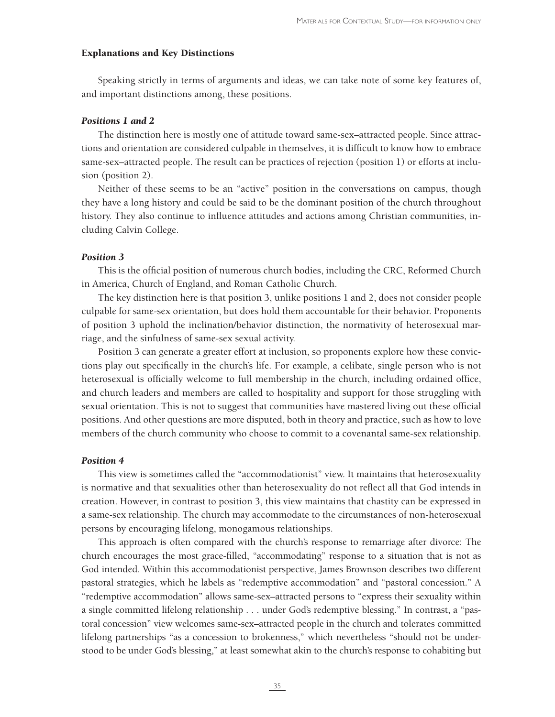#### Explanations and Key Distinctions

Speaking strictly in terms of arguments and ideas, we can take note of some key features of, and important distinctions among, these positions.

#### *Positions 1 and 2*

The distinction here is mostly one of attitude toward same-sex–attracted people. Since attractions and orientation are considered culpable in themselves, it is difficult to know how to embrace same-sex–attracted people. The result can be practices of rejection (position 1) or efforts at inclusion (position 2).

Neither of these seems to be an "active" position in the conversations on campus, though they have a long history and could be said to be the dominant position of the church throughout history. They also continue to influence attitudes and actions among Christian communities, including Calvin College.

#### *Position 3*

This is the official position of numerous church bodies, including the CRC, Reformed Church in America, Church of England, and Roman Catholic Church.

The key distinction here is that position 3, unlike positions 1 and 2, does not consider people culpable for same-sex orientation, but does hold them accountable for their behavior. Proponents of position 3 uphold the inclination/behavior distinction, the normativity of heterosexual marriage, and the sinfulness of same-sex sexual activity.

Position 3 can generate a greater effort at inclusion, so proponents explore how these convictions play out specifically in the church's life. For example, a celibate, single person who is not heterosexual is officially welcome to full membership in the church, including ordained office, and church leaders and members are called to hospitality and support for those struggling with sexual orientation. This is not to suggest that communities have mastered living out these official positions. And other questions are more disputed, both in theory and practice, such as how to love members of the church community who choose to commit to a covenantal same-sex relationship.

#### *Position 4*

This view is sometimes called the "accommodationist" view. It maintains that heterosexuality is normative and that sexualities other than heterosexuality do not reflect all that God intends in creation. However, in contrast to position 3, this view maintains that chastity can be expressed in a same-sex relationship. The church may accommodate to the circumstances of non-heterosexual persons by encouraging lifelong, monogamous relationships.

This approach is often compared with the church's response to remarriage after divorce: The church encourages the most grace-filled, "accommodating" response to a situation that is not as God intended. Within this accommodationist perspective, James Brownson describes two different pastoral strategies, which he labels as "redemptive accommodation" and "pastoral concession." A "redemptive accommodation" allows same-sex–attracted persons to "express their sexuality within a single committed lifelong relationship . . . under God's redemptive blessing." In contrast, a "pastoral concession" view welcomes same-sex–attracted people in the church and tolerates committed lifelong partnerships "as a concession to brokenness," which nevertheless "should not be understood to be under God's blessing," at least somewhat akin to the church's response to cohabiting but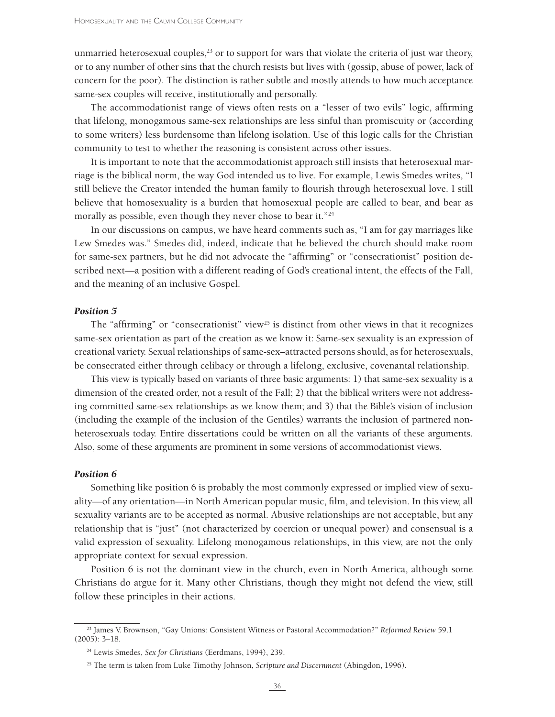unmarried heterosexual couples, $^{23}$  or to support for wars that violate the criteria of just war theory, or to any number of other sins that the church resists but lives with (gossip, abuse of power, lack of concern for the poor). The distinction is rather subtle and mostly attends to how much acceptance same-sex couples will receive, institutionally and personally.

The accommodationist range of views often rests on a "lesser of two evils" logic, affirming that lifelong, monogamous same-sex relationships are less sinful than promiscuity or (according to some writers) less burdensome than lifelong isolation. Use of this logic calls for the Christian community to test to whether the reasoning is consistent across other issues.

It is important to note that the accommodationist approach still insists that heterosexual marriage is the biblical norm, the way God intended us to live. For example, Lewis Smedes writes, "I still believe the Creator intended the human family to flourish through heterosexual love. I still believe that homosexuality is a burden that homosexual people are called to bear, and bear as morally as possible, even though they never chose to bear it."<sup>24</sup>

In our discussions on campus, we have heard comments such as, "I am for gay marriages like Lew Smedes was." Smedes did, indeed, indicate that he believed the church should make room for same-sex partners, but he did not advocate the "affirming" or "consecrationist" position described next—a position with a different reading of God's creational intent, the effects of the Fall, and the meaning of an inclusive Gospel.

#### *Position 5*

The "affirming" or "consecrationist" view<sup>25</sup> is distinct from other views in that it recognizes same-sex orientation as part of the creation as we know it: Same-sex sexuality is an expression of creational variety. Sexual relationships of same-sex–attracted persons should, as for heterosexuals, be consecrated either through celibacy or through a lifelong, exclusive, covenantal relationship.

This view is typically based on variants of three basic arguments: 1) that same-sex sexuality is a dimension of the created order, not a result of the Fall; 2) that the biblical writers were not addressing committed same-sex relationships as we know them; and 3) that the Bible's vision of inclusion (including the example of the inclusion of the Gentiles) warrants the inclusion of partnered nonheterosexuals today. Entire dissertations could be written on all the variants of these arguments. Also, some of these arguments are prominent in some versions of accommodationist views.

#### *Position 6*

Something like position 6 is probably the most commonly expressed or implied view of sexuality—of any orientation—in North American popular music, film, and television. In this view, all sexuality variants are to be accepted as normal. Abusive relationships are not acceptable, but any relationship that is "just" (not characterized by coercion or unequal power) and consensual is a valid expression of sexuality. Lifelong monogamous relationships, in this view, are not the only appropriate context for sexual expression.

Position 6 is not the dominant view in the church, even in North America, although some Christians do argue for it. Many other Christians, though they might not defend the view, still follow these principles in their actions.

<sup>23</sup> James V. Brownson, "Gay Unions: Consistent Witness or Pastoral Accommodation?" *Reformed Review* 59.1 (2005): 3–18.

<sup>24</sup> Lewis Smedes, *Sex for Christians* (Eerdmans, 1994), 239.

<sup>25</sup> The term is taken from Luke Timothy Johnson, *Scripture and Discernment* (Abingdon, 1996).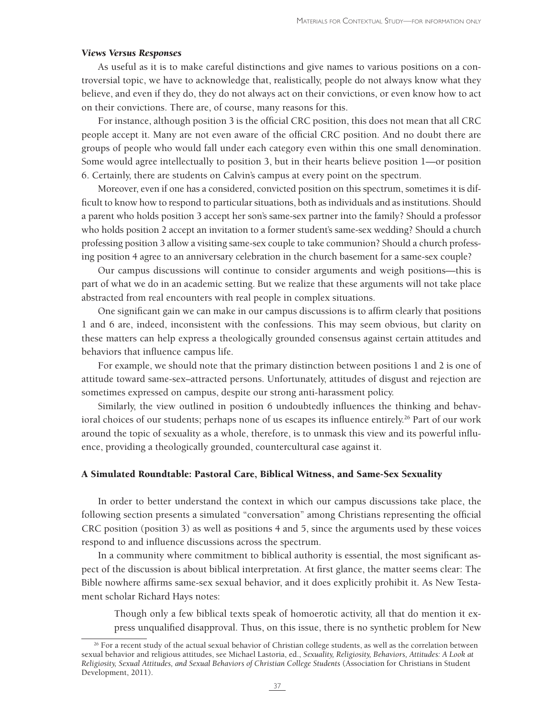#### *Views Versus Responses*

As useful as it is to make careful distinctions and give names to various positions on a controversial topic, we have to acknowledge that, realistically, people do not always know what they believe, and even if they do, they do not always act on their convictions, or even know how to act on their convictions. There are, of course, many reasons for this.

For instance, although position 3 is the official CRC position, this does not mean that all CRC people accept it. Many are not even aware of the official CRC position. And no doubt there are groups of people who would fall under each category even within this one small denomination. Some would agree intellectually to position 3, but in their hearts believe position 1—or position 6. Certainly, there are students on Calvin's campus at every point on the spectrum.

Moreover, even if one has a considered, convicted position on this spectrum, sometimes it is difficult to know how to respond to particular situations, both as individuals and as institutions. Should a parent who holds position 3 accept her son's same-sex partner into the family? Should a professor who holds position 2 accept an invitation to a former student's same-sex wedding? Should a church professing position 3 allow a visiting same-sex couple to take communion? Should a church professing position 4 agree to an anniversary celebration in the church basement for a same-sex couple?

Our campus discussions will continue to consider arguments and weigh positions—this is part of what we do in an academic setting. But we realize that these arguments will not take place abstracted from real encounters with real people in complex situations.

One significant gain we can make in our campus discussions is to affirm clearly that positions 1 and 6 are, indeed, inconsistent with the confessions. This may seem obvious, but clarity on these matters can help express a theologically grounded consensus against certain attitudes and behaviors that influence campus life.

For example, we should note that the primary distinction between positions 1 and 2 is one of attitude toward same-sex–attracted persons. Unfortunately, attitudes of disgust and rejection are sometimes expressed on campus, despite our strong anti-harassment policy.

Similarly, the view outlined in position 6 undoubtedly influences the thinking and behavioral choices of our students; perhaps none of us escapes its influence entirely.<sup>26</sup> Part of our work around the topic of sexuality as a whole, therefore, is to unmask this view and its powerful influence, providing a theologically grounded, countercultural case against it.

#### A Simulated Roundtable: Pastoral Care, Biblical Witness, and Same-Sex Sexuality

In order to better understand the context in which our campus discussions take place, the following section presents a simulated "conversation" among Christians representing the official CRC position (position 3) as well as positions 4 and 5, since the arguments used by these voices respond to and influence discussions across the spectrum.

In a community where commitment to biblical authority is essential, the most significant aspect of the discussion is about biblical interpretation. At first glance, the matter seems clear: The Bible nowhere affirms same-sex sexual behavior, and it does explicitly prohibit it. As New Testament scholar Richard Hays notes:

Though only a few biblical texts speak of homoerotic activity, all that do mention it express unqualified disapproval. Thus, on this issue, there is no synthetic problem for New

 $^{26}$  For a recent study of the actual sexual behavior of Christian college students, as well as the correlation between sexual behavior and religious attitudes, see Michael Lastoria, ed., *Sexuality, Religiosity, Behaviors, Attitudes: A Look at Religiosity, Sexual Attitudes, and Sexual Behaviors of Christian College Students* (Association for Christians in Student Development, 2011).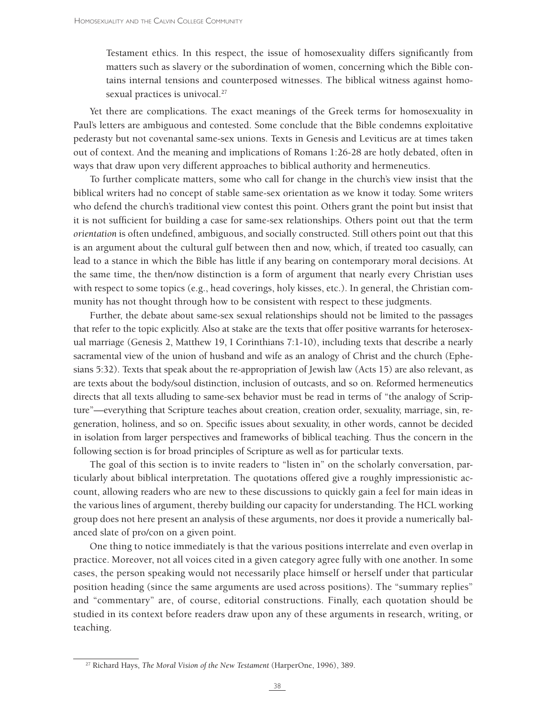Testament ethics. In this respect, the issue of homosexuality differs significantly from matters such as slavery or the subordination of women, concerning which the Bible contains internal tensions and counterposed witnesses. The biblical witness against homosexual practices is univocal.<sup>27</sup>

Yet there are complications. The exact meanings of the Greek terms for homosexuality in Paul's letters are ambiguous and contested. Some conclude that the Bible condemns exploitative pederasty but not covenantal same-sex unions. Texts in Genesis and Leviticus are at times taken out of context. And the meaning and implications of Romans 1:26-28 are hotly debated, often in ways that draw upon very different approaches to biblical authority and hermeneutics.

To further complicate matters, some who call for change in the church's view insist that the biblical writers had no concept of stable same-sex orientation as we know it today. Some writers who defend the church's traditional view contest this point. Others grant the point but insist that it is not sufficient for building a case for same-sex relationships. Others point out that the term *orientation* is often undefined, ambiguous, and socially constructed. Still others point out that this is an argument about the cultural gulf between then and now, which, if treated too casually, can lead to a stance in which the Bible has little if any bearing on contemporary moral decisions. At the same time, the then/now distinction is a form of argument that nearly every Christian uses with respect to some topics (e.g., head coverings, holy kisses, etc.). In general, the Christian community has not thought through how to be consistent with respect to these judgments.

Further, the debate about same-sex sexual relationships should not be limited to the passages that refer to the topic explicitly. Also at stake are the texts that offer positive warrants for heterosexual marriage (Genesis 2, Matthew 19, I Corinthians 7:1-10), including texts that describe a nearly sacramental view of the union of husband and wife as an analogy of Christ and the church (Ephesians 5:32). Texts that speak about the re-appropriation of Jewish law (Acts 15) are also relevant, as are texts about the body/soul distinction, inclusion of outcasts, and so on. Reformed hermeneutics directs that all texts alluding to same-sex behavior must be read in terms of "the analogy of Scripture"—everything that Scripture teaches about creation, creation order, sexuality, marriage, sin, regeneration, holiness, and so on. Specific issues about sexuality, in other words, cannot be decided in isolation from larger perspectives and frameworks of biblical teaching. Thus the concern in the following section is for broad principles of Scripture as well as for particular texts.

The goal of this section is to invite readers to "listen in" on the scholarly conversation, particularly about biblical interpretation. The quotations offered give a roughly impressionistic account, allowing readers who are new to these discussions to quickly gain a feel for main ideas in the various lines of argument, thereby building our capacity for understanding. The HCL working group does not here present an analysis of these arguments, nor does it provide a numerically balanced slate of pro/con on a given point.

One thing to notice immediately is that the various positions interrelate and even overlap in practice. Moreover, not all voices cited in a given category agree fully with one another. In some cases, the person speaking would not necessarily place himself or herself under that particular position heading (since the same arguments are used across positions). The "summary replies" and "commentary" are, of course, editorial constructions. Finally, each quotation should be studied in its context before readers draw upon any of these arguments in research, writing, or teaching.

<sup>27</sup> Richard Hays, *The Moral Vision of the New Testament* (HarperOne, 1996), 389.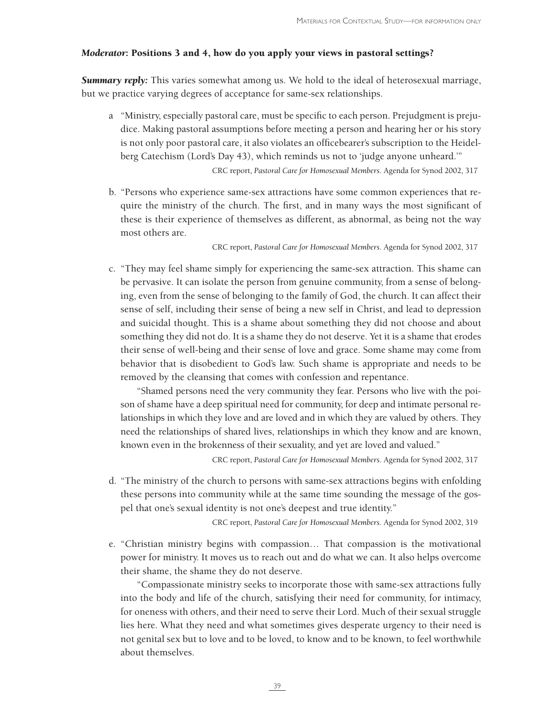#### *Moderator*: Positions 3 and 4, how do you apply your views in pastoral settings?

**Summary reply:** This varies somewhat among us. We hold to the ideal of heterosexual marriage, but we practice varying degrees of acceptance for same-sex relationships.

a "Ministry, especially pastoral care, must be specific to each person. Prejudgment is prejudice. Making pastoral assumptions before meeting a person and hearing her or his story is not only poor pastoral care, it also violates an officebearer's subscription to the Heidelberg Catechism (Lord's Day 43), which reminds us not to 'judge anyone unheard.'"

CRC report, *Pastoral Care for Homosexual Members*. Agenda for Synod 2002, 317

b. "Persons who experience same-sex attractions have some common experiences that require the ministry of the church. The first, and in many ways the most significant of these is their experience of themselves as different, as abnormal, as being not the way most others are.

CRC report, *Pastoral Care for Homosexual Members*. Agenda for Synod 2002, 317

c. "They may feel shame simply for experiencing the same-sex attraction. This shame can be pervasive. It can isolate the person from genuine community, from a sense of belonging, even from the sense of belonging to the family of God, the church. It can affect their sense of self, including their sense of being a new self in Christ, and lead to depression and suicidal thought. This is a shame about something they did not choose and about something they did not do. It is a shame they do not deserve. Yet it is a shame that erodes their sense of well-being and their sense of love and grace. Some shame may come from behavior that is disobedient to God's law. Such shame is appropriate and needs to be removed by the cleansing that comes with confession and repentance.

"Shamed persons need the very community they fear. Persons who live with the poison of shame have a deep spiritual need for community, for deep and intimate personal relationships in which they love and are loved and in which they are valued by others. They need the relationships of shared lives, relationships in which they know and are known, known even in the brokenness of their sexuality, and yet are loved and valued."

CRC report, *Pastoral Care for Homosexual Members*. Agenda for Synod 2002, 317

d. "The ministry of the church to persons with same-sex attractions begins with enfolding these persons into community while at the same time sounding the message of the gospel that one's sexual identity is not one's deepest and true identity."

CRC report, *Pastoral Care for Homosexual Members*. Agenda for Synod 2002, 319

e. "Christian ministry begins with compassion… That compassion is the motivational power for ministry. It moves us to reach out and do what we can. It also helps overcome their shame, the shame they do not deserve.

"Compassionate ministry seeks to incorporate those with same-sex attractions fully into the body and life of the church, satisfying their need for community, for intimacy, for oneness with others, and their need to serve their Lord. Much of their sexual struggle lies here. What they need and what sometimes gives desperate urgency to their need is not genital sex but to love and to be loved, to know and to be known, to feel worthwhile about themselves.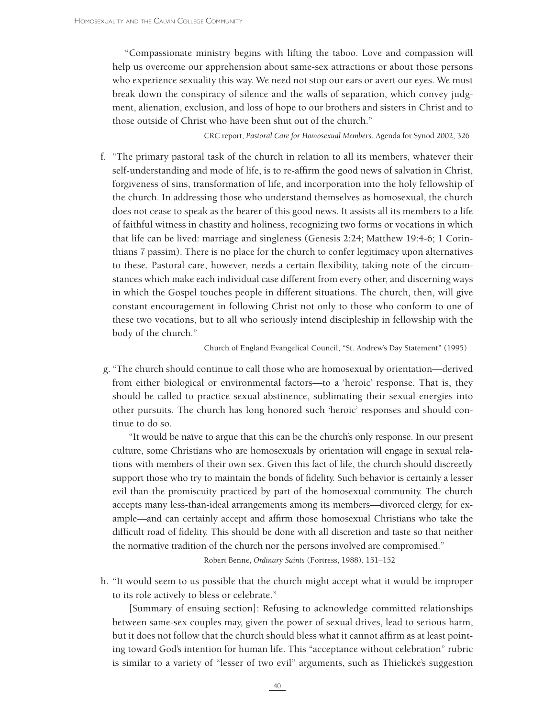"Compassionate ministry begins with lifting the taboo. Love and compassion will help us overcome our apprehension about same-sex attractions or about those persons who experience sexuality this way. We need not stop our ears or avert our eyes. We must break down the conspiracy of silence and the walls of separation, which convey judgment, alienation, exclusion, and loss of hope to our brothers and sisters in Christ and to those outside of Christ who have been shut out of the church."

CRC report, *Pastoral Care for Homosexual Members*. Agenda for Synod 2002, 326

f. "The primary pastoral task of the church in relation to all its members, whatever their self-understanding and mode of life, is to re-affirm the good news of salvation in Christ, forgiveness of sins, transformation of life, and incorporation into the holy fellowship of the church. In addressing those who understand themselves as homosexual, the church does not cease to speak as the bearer of this good news. It assists all its members to a life of faithful witness in chastity and holiness, recognizing two forms or vocations in which that life can be lived: marriage and singleness (Genesis 2:24; Matthew 19:4-6; 1 Corinthians 7 passim). There is no place for the church to confer legitimacy upon alternatives to these. Pastoral care, however, needs a certain flexibility, taking note of the circumstances which make each individual case different from every other, and discerning ways in which the Gospel touches people in different situations. The church, then, will give constant encouragement in following Christ not only to those who conform to one of these two vocations, but to all who seriously intend discipleship in fellowship with the body of the church."

Church of England Evangelical Council, "St. Andrew's Day Statement" (1995)

 g. "The church should continue to call those who are homosexual by orientation—derived from either biological or environmental factors—to a 'heroic' response. That is, they should be called to practice sexual abstinence, sublimating their sexual energies into other pursuits. The church has long honored such 'heroic' responses and should continue to do so.

"It would be naïve to argue that this can be the church's only response. In our present culture, some Christians who are homosexuals by orientation will engage in sexual relations with members of their own sex. Given this fact of life, the church should discreetly support those who try to maintain the bonds of fidelity. Such behavior is certainly a lesser evil than the promiscuity practiced by part of the homosexual community. The church accepts many less-than-ideal arrangements among its members—divorced clergy, for example—and can certainly accept and affirm those homosexual Christians who take the difficult road of fidelity. This should be done with all discretion and taste so that neither the normative tradition of the church nor the persons involved are compromised."

Robert Benne, *Ordinary Saints* (Fortress, 1988), 151–152

h. "It would seem to us possible that the church might accept what it would be improper to its role actively to bless or celebrate."

[Summary of ensuing section]: Refusing to acknowledge committed relationships between same-sex couples may, given the power of sexual drives, lead to serious harm, but it does not follow that the church should bless what it cannot affirm as at least pointing toward God's intention for human life. This "acceptance without celebration" rubric is similar to a variety of "lesser of two evil" arguments, such as Thielicke's suggestion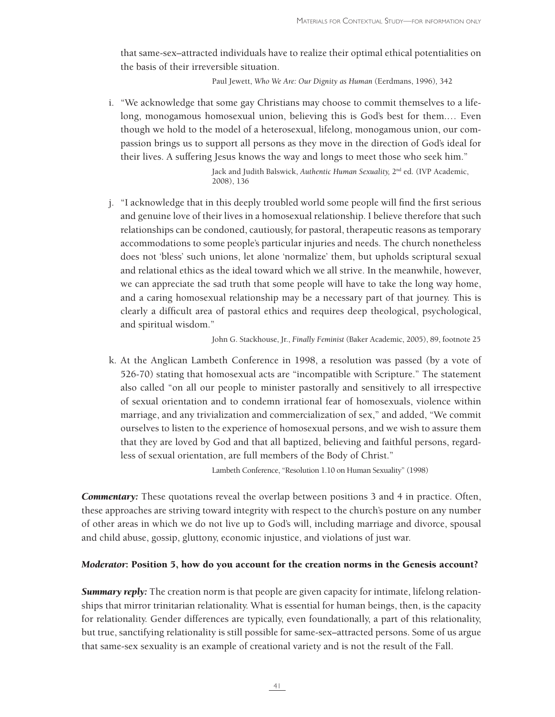that same-sex–attracted individuals have to realize their optimal ethical potentialities on the basis of their irreversible situation.

Paul Jewett, *Who We Are: Our Dignity as Human* (Eerdmans, 1996)*,* 342

i. "We acknowledge that some gay Christians may choose to commit themselves to a lifelong, monogamous homosexual union, believing this is God's best for them.… Even though we hold to the model of a heterosexual, lifelong, monogamous union, our compassion brings us to support all persons as they move in the direction of God's ideal for their lives. A suffering Jesus knows the way and longs to meet those who seek him."

> Jack and Judith Balswick, *Authentic Human Sexuality,* 2nd ed. (IVP Academic, 2008), 136

j. "I acknowledge that in this deeply troubled world some people will find the first serious and genuine love of their lives in a homosexual relationship. I believe therefore that such relationships can be condoned, cautiously, for pastoral, therapeutic reasons as temporary accommodations to some people's particular injuries and needs. The church nonetheless does not 'bless' such unions, let alone 'normalize' them, but upholds scriptural sexual and relational ethics as the ideal toward which we all strive. In the meanwhile, however, we can appreciate the sad truth that some people will have to take the long way home, and a caring homosexual relationship may be a necessary part of that journey. This is clearly a difficult area of pastoral ethics and requires deep theological, psychological, and spiritual wisdom."

John G. Stackhouse, Jr., *Finally Feminist* (Baker Academic, 2005), 89, footnote 25

k. At the Anglican Lambeth Conference in 1998, a resolution was passed (by a vote of 526-70) stating that homosexual acts are "incompatible with Scripture." The statement also called "on all our people to minister pastorally and sensitively to all irrespective of sexual orientation and to condemn irrational fear of homosexuals, violence within marriage, and any trivialization and commercialization of sex," and added, "We commit ourselves to listen to the experience of homosexual persons, and we wish to assure them that they are loved by God and that all baptized, believing and faithful persons, regardless of sexual orientation, are full members of the Body of Christ."

Lambeth Conference, "Resolution 1.10 on Human Sexuality" (1998)

*Commentary:* These quotations reveal the overlap between positions 3 and 4 in practice. Often, these approaches are striving toward integrity with respect to the church's posture on any number of other areas in which we do not live up to God's will, including marriage and divorce, spousal and child abuse, gossip, gluttony, economic injustice, and violations of just war.

#### *Moderator*: Position 5, how do you account for the creation norms in the Genesis account?

*Summary reply:* The creation norm is that people are given capacity for intimate, lifelong relationships that mirror trinitarian relationality. What is essential for human beings, then, is the capacity for relationality. Gender differences are typically, even foundationally, a part of this relationality, but true, sanctifying relationality is still possible for same-sex–attracted persons. Some of us argue that same-sex sexuality is an example of creational variety and is not the result of the Fall.

41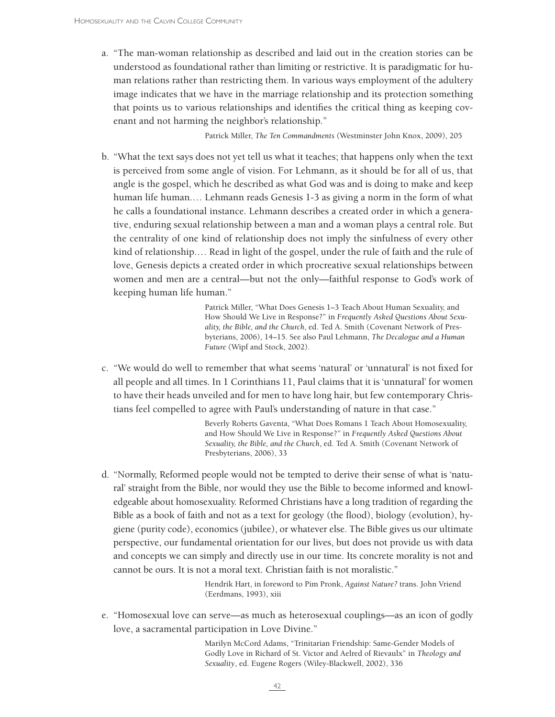a. "The man-woman relationship as described and laid out in the creation stories can be understood as foundational rather than limiting or restrictive. It is paradigmatic for human relations rather than restricting them. In various ways employment of the adultery image indicates that we have in the marriage relationship and its protection something that points us to various relationships and identifies the critical thing as keeping covenant and not harming the neighbor's relationship."

Patrick Miller, *The Ten Commandments* (Westminster John Knox, 2009), 205

b. "What the text says does not yet tell us what it teaches; that happens only when the text is perceived from some angle of vision. For Lehmann, as it should be for all of us, that angle is the gospel, which he described as what God was and is doing to make and keep human life human.… Lehmann reads Genesis 1-3 as giving a norm in the form of what he calls a foundational instance. Lehmann describes a created order in which a generative, enduring sexual relationship between a man and a woman plays a central role. But the centrality of one kind of relationship does not imply the sinfulness of every other kind of relationship.… Read in light of the gospel, under the rule of faith and the rule of love, Genesis depicts a created order in which procreative sexual relationships between women and men are a central—but not the only—faithful response to God's work of keeping human life human."

> Patrick Miller, "What Does Genesis 1–3 Teach About Human Sexuality, and How Should We Live in Response?" in *Frequently Asked Questions About Sexuality, the Bible, and the Church*, ed. Ted A. Smith (Covenant Network of Presbyterians, 2006), 14–15. See also Paul Lehmann, *The Decalogue and a Human Future* (Wipf and Stock, 2002).

c. "We would do well to remember that what seems 'natural' or 'unnatural' is not fixed for all people and all times. In 1 Corinthians 11, Paul claims that it is 'unnatural' for women to have their heads unveiled and for men to have long hair, but few contemporary Christians feel compelled to agree with Paul's understanding of nature in that case."

> Beverly Roberts Gaventa, "What Does Romans 1 Teach About Homosexuality, and How Should We Live in Response?" in *Frequently Asked Questions About Sexuality, the Bible, and the Church*, ed. Ted A. Smith (Covenant Network of Presbyterians, 2006), 33

d. "Normally, Reformed people would not be tempted to derive their sense of what is 'natural' straight from the Bible, nor would they use the Bible to become informed and knowledgeable about homosexuality. Reformed Christians have a long tradition of regarding the Bible as a book of faith and not as a text for geology (the flood), biology (evolution), hygiene (purity code), economics (jubilee), or whatever else. The Bible gives us our ultimate perspective, our fundamental orientation for our lives, but does not provide us with data and concepts we can simply and directly use in our time. Its concrete morality is not and cannot be ours. It is not a moral text. Christian faith is not moralistic."

> Hendrik Hart, in foreword to Pim Pronk, *Against Nature?* trans. John Vriend (Eerdmans, 1993), xiii

e. "Homosexual love can serve—as much as heterosexual couplings—as an icon of godly love, a sacramental participation in Love Divine."

> Marilyn McCord Adams, "Trinitarian Friendship: Same-Gender Models of Godly Love in Richard of St. Victor and Aelred of Rievaulx" in *Theology and Sexuality*, ed. Eugene Rogers (Wiley-Blackwell, 2002), 336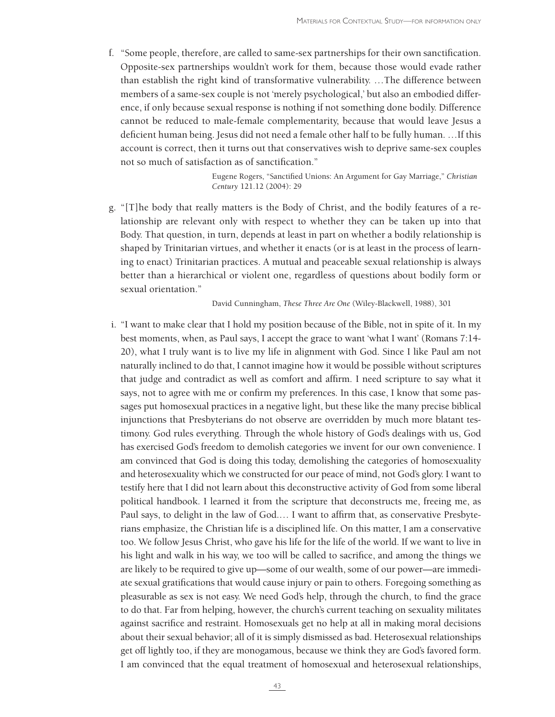f. "Some people, therefore, are called to same-sex partnerships for their own sanctification. Opposite-sex partnerships wouldn't work for them, because those would evade rather than establish the right kind of transformative vulnerability. …The difference between members of a same-sex couple is not 'merely psychological,' but also an embodied difference, if only because sexual response is nothing if not something done bodily. Difference cannot be reduced to male-female complementarity, because that would leave Jesus a deficient human being. Jesus did not need a female other half to be fully human. …If this account is correct, then it turns out that conservatives wish to deprive same-sex couples not so much of satisfaction as of sanctification."

> Eugene Rogers, "Sanctified Unions: An Argument for Gay Marriage," *Christian Century* 121.12 (2004): 29

g. "[T]he body that really matters is the Body of Christ, and the bodily features of a relationship are relevant only with respect to whether they can be taken up into that Body. That question, in turn, depends at least in part on whether a bodily relationship is shaped by Trinitarian virtues, and whether it enacts (or is at least in the process of learning to enact) Trinitarian practices. A mutual and peaceable sexual relationship is always better than a hierarchical or violent one, regardless of questions about bodily form or sexual orientation."

David Cunningham, *These Three Are One* (Wiley-Blackwell, 1988), 301

 i. "I want to make clear that I hold my position because of the Bible, not in spite of it. In my best moments, when, as Paul says, I accept the grace to want 'what I want' (Romans 7:14- 20), what I truly want is to live my life in alignment with God. Since I like Paul am not naturally inclined to do that, I cannot imagine how it would be possible without scriptures that judge and contradict as well as comfort and affirm. I need scripture to say what it says, not to agree with me or confirm my preferences. In this case, I know that some passages put homosexual practices in a negative light, but these like the many precise biblical injunctions that Presbyterians do not observe are overridden by much more blatant testimony. God rules everything. Through the whole history of God's dealings with us, God has exercised God's freedom to demolish categories we invent for our own convenience. I am convinced that God is doing this today, demolishing the categories of homosexuality and heterosexuality which we constructed for our peace of mind, not God's glory. I want to testify here that I did not learn about this deconstructive activity of God from some liberal political handbook. I learned it from the scripture that deconstructs me, freeing me, as Paul says, to delight in the law of God.… I want to affirm that, as conservative Presbyterians emphasize, the Christian life is a disciplined life. On this matter, I am a conservative too. We follow Jesus Christ, who gave his life for the life of the world. If we want to live in his light and walk in his way, we too will be called to sacrifice, and among the things we are likely to be required to give up—some of our wealth, some of our power—are immediate sexual gratifications that would cause injury or pain to others. Foregoing something as pleasurable as sex is not easy. We need God's help, through the church, to find the grace to do that. Far from helping, however, the church's current teaching on sexuality militates against sacrifice and restraint. Homosexuals get no help at all in making moral decisions about their sexual behavior; all of it is simply dismissed as bad. Heterosexual relationships get off lightly too, if they are monogamous, because we think they are God's favored form. I am convinced that the equal treatment of homosexual and heterosexual relationships,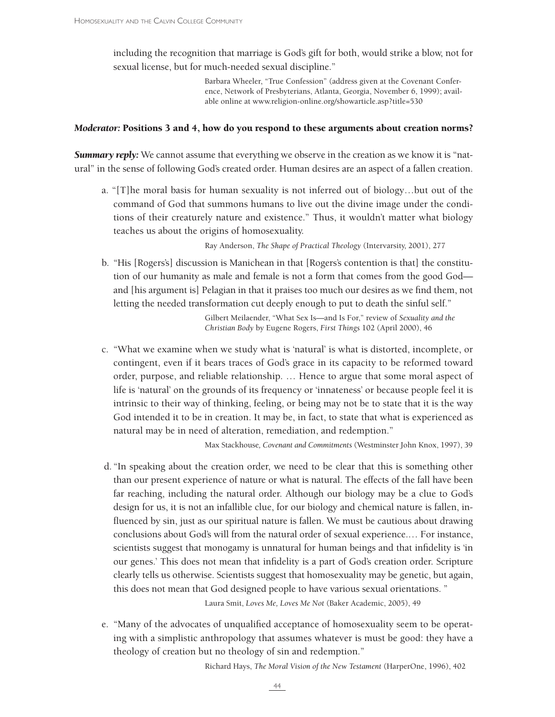including the recognition that marriage is God's gift for both, would strike a blow, not for sexual license, but for much-needed sexual discipline."

> Barbara Wheeler, "True Confession" (address given at the Covenant Conference, Network of Presbyterians, Atlanta, Georgia, November 6, 1999); available online at www.religion-online.org/showarticle.asp?title=530

#### *Moderator:* Positions 3 and 4, how do you respond to these arguments about creation norms?

**Summary reply:** We cannot assume that everything we observe in the creation as we know it is "natural" in the sense of following God's created order. Human desires are an aspect of a fallen creation.

a. "[T]he moral basis for human sexuality is not inferred out of biology…but out of the command of God that summons humans to live out the divine image under the conditions of their creaturely nature and existence." Thus, it wouldn't matter what biology teaches us about the origins of homosexuality.

Ray Anderson, *The Shape of Practical Theology* (Intervarsity, 2001), 277

b. "His [Rogers's] discussion is Manichean in that [Rogers's contention is that] the constitution of our humanity as male and female is not a form that comes from the good God and [his argument is] Pelagian in that it praises too much our desires as we find them, not letting the needed transformation cut deeply enough to put to death the sinful self."

> Gilbert Meilaender, "What Sex Is—and Is For," review of *Sexuality and the Christian Body* by Eugene Rogers, *First Things* 102 (April 2000), 46

c. "What we examine when we study what is 'natural' is what is distorted, incomplete, or contingent, even if it bears traces of God's grace in its capacity to be reformed toward order, purpose, and reliable relationship. … Hence to argue that some moral aspect of life is 'natural' on the grounds of its frequency or 'innateness' or because people feel it is intrinsic to their way of thinking, feeling, or being may not be to state that it is the way God intended it to be in creation. It may be, in fact, to state that what is experienced as natural may be in need of alteration, remediation, and redemption."

Max Stackhouse*, Covenant and Commitments* (Westminster John Knox, 1997), 39

 d. "In speaking about the creation order, we need to be clear that this is something other than our present experience of nature or what is natural. The effects of the fall have been far reaching, including the natural order. Although our biology may be a clue to God's design for us, it is not an infallible clue, for our biology and chemical nature is fallen, influenced by sin, just as our spiritual nature is fallen. We must be cautious about drawing conclusions about God's will from the natural order of sexual experience.… For instance, scientists suggest that monogamy is unnatural for human beings and that infidelity is 'in our genes.' This does not mean that infidelity is a part of God's creation order. Scripture clearly tells us otherwise. Scientists suggest that homosexuality may be genetic, but again, this does not mean that God designed people to have various sexual orientations. "

Laura Smit, *Loves Me, Loves Me Not* (Baker Academic, 2005), 49

e. "Many of the advocates of unqualified acceptance of homosexuality seem to be operating with a simplistic anthropology that assumes whatever is must be good: they have a theology of creation but no theology of sin and redemption."

Richard Hays, *The Moral Vision of the New Testament* (HarperOne, 1996), 402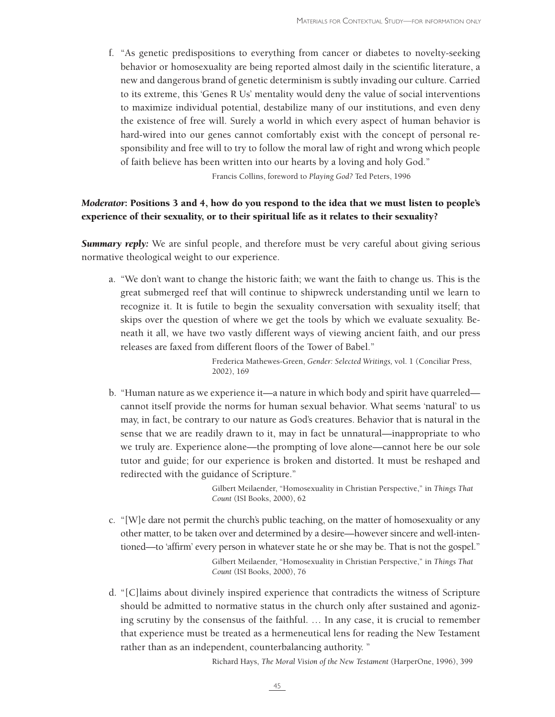f. "As genetic predispositions to everything from cancer or diabetes to novelty-seeking behavior or homosexuality are being reported almost daily in the scientific literature, a new and dangerous brand of genetic determinism is subtly invading our culture. Carried to its extreme, this 'Genes R Us' mentality would deny the value of social interventions to maximize individual potential, destabilize many of our institutions, and even deny the existence of free will. Surely a world in which every aspect of human behavior is hard-wired into our genes cannot comfortably exist with the concept of personal responsibility and free will to try to follow the moral law of right and wrong which people of faith believe has been written into our hearts by a loving and holy God."

Francis Collins, foreword to *Playing God?* Ted Peters, 1996

## *Moderator*: Positions 3 and 4, how do you respond to the idea that we must listen to people's experience of their sexuality, or to their spiritual life as it relates to their sexuality?

**Summary reply:** We are sinful people, and therefore must be very careful about giving serious normative theological weight to our experience.

a. "We don't want to change the historic faith; we want the faith to change us. This is the great submerged reef that will continue to shipwreck understanding until we learn to recognize it. It is futile to begin the sexuality conversation with sexuality itself; that skips over the question of where we get the tools by which we evaluate sexuality. Beneath it all, we have two vastly different ways of viewing ancient faith, and our press releases are faxed from different floors of the Tower of Babel."

> Frederica Mathewes-Green, *Gender: Selected Writings,* vol. 1 (Conciliar Press, 2002), 169

b. "Human nature as we experience it—a nature in which body and spirit have quarreled cannot itself provide the norms for human sexual behavior. What seems 'natural' to us may, in fact, be contrary to our nature as God's creatures. Behavior that is natural in the sense that we are readily drawn to it, may in fact be unnatural—inappropriate to who we truly are. Experience alone—the prompting of love alone—cannot here be our sole tutor and guide; for our experience is broken and distorted. It must be reshaped and redirected with the guidance of Scripture."

> Gilbert Meilaender, "Homosexuality in Christian Perspective," in *Things That Count* (ISI Books, 2000), 62

c. "[W]e dare not permit the church's public teaching, on the matter of homosexuality or any other matter, to be taken over and determined by a desire—however sincere and well-intentioned—to 'affirm' every person in whatever state he or she may be. That is not the gospel."

> Gilbert Meilaender, "Homosexuality in Christian Perspective," in *Things That Count* (ISI Books, 2000), 76

d. "[C]laims about divinely inspired experience that contradicts the witness of Scripture should be admitted to normative status in the church only after sustained and agonizing scrutiny by the consensus of the faithful. … In any case, it is crucial to remember that experience must be treated as a hermeneutical lens for reading the New Testament rather than as an independent, counterbalancing authority. "

Richard Hays, *The Moral Vision of the New Testament* (HarperOne, 1996), 399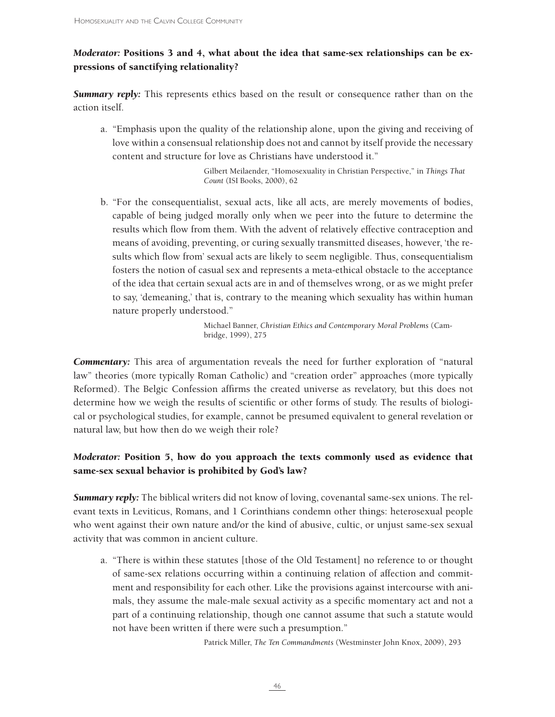## *Moderator:* Positions 3 and 4, what about the idea that same-sex relationships can be expressions of sanctifying relationality?

**Summary reply:** This represents ethics based on the result or consequence rather than on the action itself.

a. "Emphasis upon the quality of the relationship alone, upon the giving and receiving of love within a consensual relationship does not and cannot by itself provide the necessary content and structure for love as Christians have understood it."

> Gilbert Meilaender, "Homosexuality in Christian Perspective," in *Things That Count* (ISI Books, 2000), 62

b. "For the consequentialist, sexual acts, like all acts, are merely movements of bodies, capable of being judged morally only when we peer into the future to determine the results which flow from them. With the advent of relatively effective contraception and means of avoiding, preventing, or curing sexually transmitted diseases, however, 'the results which flow from' sexual acts are likely to seem negligible. Thus, consequentialism fosters the notion of casual sex and represents a meta-ethical obstacle to the acceptance of the idea that certain sexual acts are in and of themselves wrong, or as we might prefer to say, 'demeaning,' that is, contrary to the meaning which sexuality has within human nature properly understood."

> Michael Banner, *Christian Ethics and Contemporary Moral Problems* (Cambridge, 1999), 275

*Commentary:* This area of argumentation reveals the need for further exploration of "natural law" theories (more typically Roman Catholic) and "creation order" approaches (more typically Reformed). The Belgic Confession affirms the created universe as revelatory, but this does not determine how we weigh the results of scientific or other forms of study. The results of biological or psychological studies, for example, cannot be presumed equivalent to general revelation or natural law, but how then do we weigh their role?

## *Moderator:* Position 5, how do you approach the texts commonly used as evidence that same-sex sexual behavior is prohibited by God's law?

*Summary reply:* The biblical writers did not know of loving, covenantal same-sex unions. The relevant texts in Leviticus, Romans, and 1 Corinthians condemn other things: heterosexual people who went against their own nature and/or the kind of abusive, cultic, or unjust same-sex sexual activity that was common in ancient culture.

a. "There is within these statutes [those of the Old Testament] no reference to or thought of same-sex relations occurring within a continuing relation of affection and commitment and responsibility for each other. Like the provisions against intercourse with animals, they assume the male-male sexual activity as a specific momentary act and not a part of a continuing relationship, though one cannot assume that such a statute would not have been written if there were such a presumption."

Patrick Miller, *The Ten Commandments* (Westminster John Knox, 2009), 293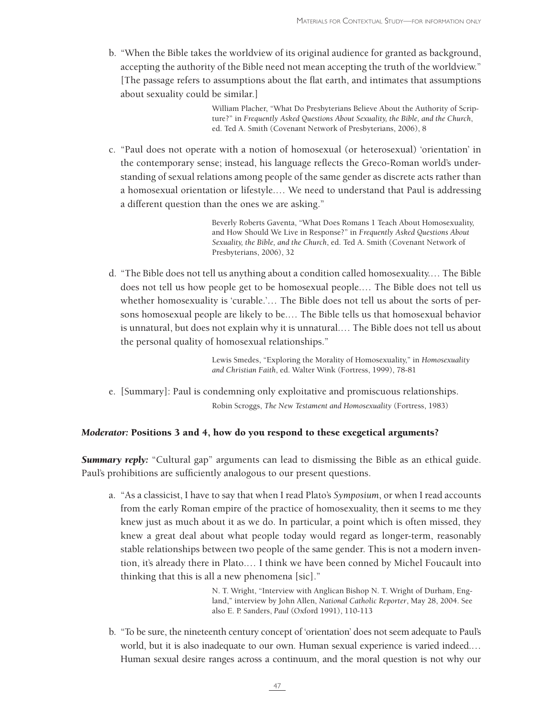b. "When the Bible takes the worldview of its original audience for granted as background, accepting the authority of the Bible need not mean accepting the truth of the worldview." [The passage refers to assumptions about the flat earth, and intimates that assumptions about sexuality could be similar.]

> William Placher, "What Do Presbyterians Believe About the Authority of Scripture?" in *Frequently Asked Questions About Sexuality, the Bible, and the Church*, ed. Ted A. Smith (Covenant Network of Presbyterians, 2006), 8

c. "Paul does not operate with a notion of homosexual (or heterosexual) 'orientation' in the contemporary sense; instead, his language reflects the Greco-Roman world's understanding of sexual relations among people of the same gender as discrete acts rather than a homosexual orientation or lifestyle.… We need to understand that Paul is addressing a different question than the ones we are asking."

> Beverly Roberts Gaventa, "What Does Romans 1 Teach About Homosexuality, and How Should We Live in Response?" in *Frequently Asked Questions About Sexuality, the Bible, and the Church*, ed. Ted A. Smith (Covenant Network of Presbyterians, 2006), 32

d. "The Bible does not tell us anything about a condition called homosexuality.… The Bible does not tell us how people get to be homosexual people.… The Bible does not tell us whether homosexuality is 'curable.'… The Bible does not tell us about the sorts of persons homosexual people are likely to be.… The Bible tells us that homosexual behavior is unnatural, but does not explain why it is unnatural.… The Bible does not tell us about the personal quality of homosexual relationships."

> Lewis Smedes, "Exploring the Morality of Homosexuality," in *Homosexuality and Christian Faith*, ed. Walter Wink (Fortress, 1999), 78-81

e. [Summary]: Paul is condemning only exploitative and promiscuous relationships. Robin Scroggs, *The New Testament and Homosexuality* (Fortress, 1983)

#### *Moderator:* Positions 3 and 4, how do you respond to these exegetical arguments?

**Summary reply:** "Cultural gap" arguments can lead to dismissing the Bible as an ethical guide. Paul's prohibitions are sufficiently analogous to our present questions.

a. "As a classicist, I have to say that when I read Plato's *Symposium*, or when I read accounts from the early Roman empire of the practice of homosexuality, then it seems to me they knew just as much about it as we do. In particular, a point which is often missed, they knew a great deal about what people today would regard as longer-term, reasonably stable relationships between two people of the same gender. This is not a modern invention, it's already there in Plato.… I think we have been conned by Michel Foucault into thinking that this is all a new phenomena [sic]."

> N. T. Wright, "Interview with Anglican Bishop N. T. Wright of Durham, England," interview by John Allen, *National Catholic Reporter*, May 28, 2004. See also E. P. Sanders, *Paul* (Oxford 1991), 110-113

b. "To be sure, the nineteenth century concept of 'orientation' does not seem adequate to Paul's world, but it is also inadequate to our own. Human sexual experience is varied indeed.… Human sexual desire ranges across a continuum, and the moral question is not why our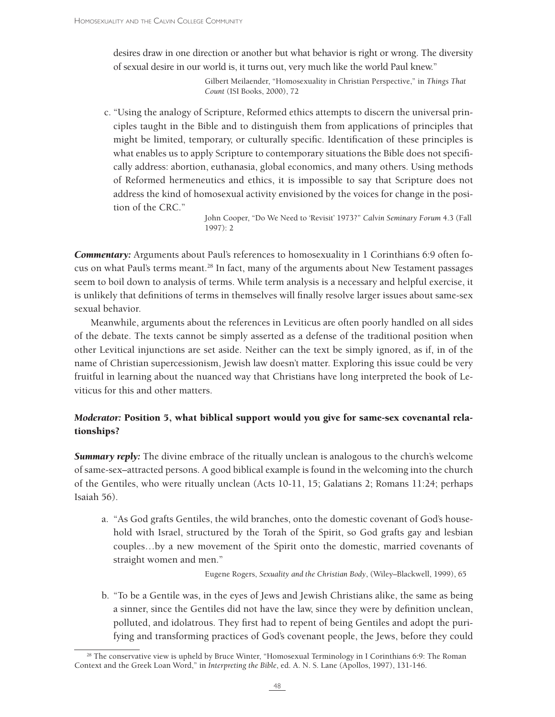desires draw in one direction or another but what behavior is right or wrong. The diversity of sexual desire in our world is, it turns out, very much like the world Paul knew."

> Gilbert Meilaender, "Homosexuality in Christian Perspective," in *Things That Count* (ISI Books, 2000), 72

 c. "Using the analogy of Scripture, Reformed ethics attempts to discern the universal principles taught in the Bible and to distinguish them from applications of principles that might be limited, temporary, or culturally specific. Identification of these principles is what enables us to apply Scripture to contemporary situations the Bible does not specifically address: abortion, euthanasia, global economics, and many others. Using methods of Reformed hermeneutics and ethics, it is impossible to say that Scripture does not address the kind of homosexual activity envisioned by the voices for change in the position of the CRC."

John Cooper, "Do We Need to 'Revisit' 1973?" *Calvin Seminary Forum* 4.3 (Fall 1997): 2

**Commentary:** Arguments about Paul's references to homosexuality in 1 Corinthians 6:9 often focus on what Paul's terms meant.<sup>28</sup> In fact, many of the arguments about New Testament passages seem to boil down to analysis of terms. While term analysis is a necessary and helpful exercise, it is unlikely that definitions of terms in themselves will finally resolve larger issues about same-sex sexual behavior.

Meanwhile, arguments about the references in Leviticus are often poorly handled on all sides of the debate. The texts cannot be simply asserted as a defense of the traditional position when other Levitical injunctions are set aside. Neither can the text be simply ignored, as if, in of the name of Christian supercessionism, Jewish law doesn't matter. Exploring this issue could be very fruitful in learning about the nuanced way that Christians have long interpreted the book of Leviticus for this and other matters.

## *Moderator:* Position 5, what biblical support would you give for same-sex covenantal relationships?

**Summary reply:** The divine embrace of the ritually unclean is analogous to the church's welcome of same-sex–attracted persons. A good biblical example is found in the welcoming into the church of the Gentiles, who were ritually unclean (Acts 10-11, 15; Galatians 2; Romans 11:24; perhaps Isaiah 56).

a. "As God grafts Gentiles, the wild branches, onto the domestic covenant of God's household with Israel, structured by the Torah of the Spirit, so God grafts gay and lesbian couples…by a new movement of the Spirit onto the domestic, married covenants of straight women and men."

Eugene Rogers, *Sexuality and the Christian Body*, (Wiley–Blackwell, 1999), 65

b. "To be a Gentile was, in the eyes of Jews and Jewish Christians alike, the same as being a sinner, since the Gentiles did not have the law, since they were by definition unclean, polluted, and idolatrous. They first had to repent of being Gentiles and adopt the purifying and transforming practices of God's covenant people, the Jews, before they could

<sup>&</sup>lt;sup>28</sup> The conservative view is upheld by Bruce Winter, "Homosexual Terminology in I Corinthians 6:9: The Roman Context and the Greek Loan Word," in *Interpreting the Bible*, ed. A. N. S. Lane (Apollos, 1997), 131-146.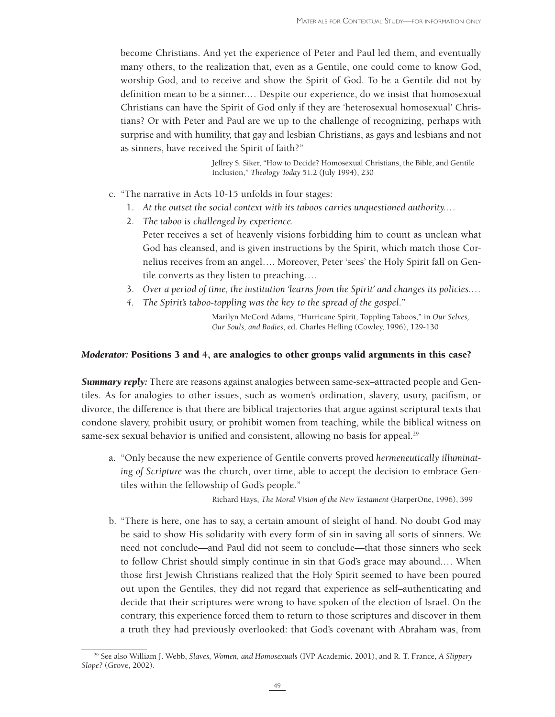become Christians. And yet the experience of Peter and Paul led them, and eventually many others, to the realization that, even as a Gentile, one could come to know God, worship God, and to receive and show the Spirit of God. To be a Gentile did not by definition mean to be a sinner.… Despite our experience, do we insist that homosexual Christians can have the Spirit of God only if they are 'heterosexual homosexual' Christians? Or with Peter and Paul are we up to the challenge of recognizing, perhaps with surprise and with humility, that gay and lesbian Christians, as gays and lesbians and not as sinners, have received the Spirit of faith?"

> Jeffrey S. Siker, "How to Decide? Homosexual Christians, the Bible, and Gentile Inclusion," *Theology Today* 51.2 (July 1994), 230

- c. "The narrative in Acts 10-15 unfolds in four stages:
	- 1. *At the outset the social context with its taboos carries unquestioned authority.…*
	- 2. *The taboo is challenged by experience.*
		- Peter receives a set of heavenly visions forbidding him to count as unclean what God has cleansed, and is given instructions by the Spirit, which match those Cornelius receives from an angel…. Moreover, Peter 'sees' the Holy Spirit fall on Gentile converts as they listen to preaching….
	- 3. *Over a period of time, the institution 'learns from the Spirit' and changes its policies.…*
	- *4. The Spirit's taboo-toppling was the key to the spread of the gospel*."

Marilyn McCord Adams, "Hurricane Spirit, Toppling Taboos," in *Our Selves, Our Souls, and Bodies*, ed. Charles Hefling (Cowley, 1996), 129-130

#### *Moderator:* Positions 3 and 4, are analogies to other groups valid arguments in this case?

*Summary reply:* There are reasons against analogies between same-sex–attracted people and Gentiles. As for analogies to other issues, such as women's ordination, slavery, usury, pacifism, or divorce, the difference is that there are biblical trajectories that argue against scriptural texts that condone slavery, prohibit usury, or prohibit women from teaching, while the biblical witness on same-sex sexual behavior is unified and consistent, allowing no basis for appeal.<sup>29</sup>

a. "Only because the new experience of Gentile converts proved *hermeneutically illuminating of Scripture* was the church, over time, able to accept the decision to embrace Gentiles within the fellowship of God's people."

Richard Hays, *The Moral Vision of the New Testament* (HarperOne, 1996), 399

b. "There is here, one has to say, a certain amount of sleight of hand. No doubt God may be said to show His solidarity with every form of sin in saving all sorts of sinners. We need not conclude—and Paul did not seem to conclude—that those sinners who seek to follow Christ should simply continue in sin that God's grace may abound.… When those first Jewish Christians realized that the Holy Spirit seemed to have been poured out upon the Gentiles, they did not regard that experience as self–authenticating and decide that their scriptures were wrong to have spoken of the election of Israel. On the contrary, this experience forced them to return to those scriptures and discover in them a truth they had previously overlooked: that God's covenant with Abraham was, from

<sup>29</sup> See also William J. Webb, *Slaves, Women, and Homosexuals* (IVP Academic, 2001), and R. T. France, *A Slippery Slope?* (Grove, 2002).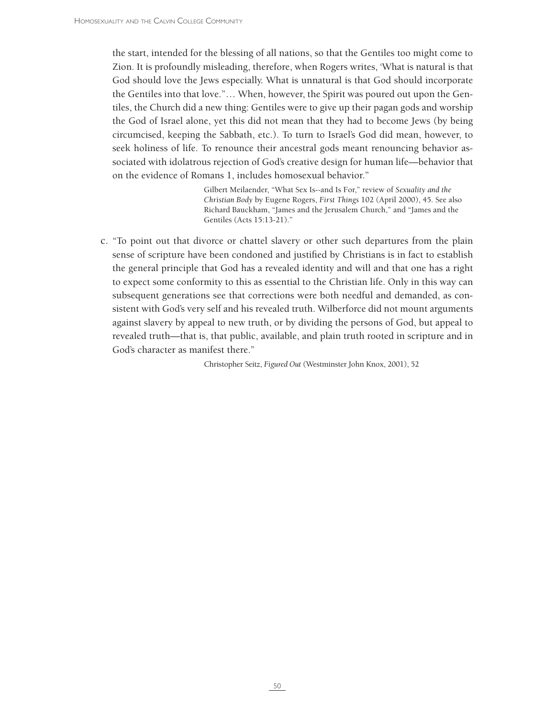the start, intended for the blessing of all nations, so that the Gentiles too might come to Zion. It is profoundly misleading, therefore, when Rogers writes, 'What is natural is that God should love the Jews especially. What is unnatural is that God should incorporate the Gentiles into that love."… When, however, the Spirit was poured out upon the Gentiles, the Church did a new thing: Gentiles were to give up their pagan gods and worship the God of Israel alone, yet this did not mean that they had to become Jews (by being circumcised, keeping the Sabbath, etc.). To turn to Israel's God did mean, however, to seek holiness of life. To renounce their ancestral gods meant renouncing behavior associated with idolatrous rejection of God's creative design for human life—behavior that on the evidence of Romans 1, includes homosexual behavior."

> Gilbert Meilaender, "What Sex Is--and Is For," review of *Sexuality and the Christian Body* by Eugene Rogers, *First Things* 102 (April 2000), 45. See also Richard Bauckham, "James and the Jerusalem Church," and "James and the Gentiles (Acts 15:13-21)."

c. "To point out that divorce or chattel slavery or other such departures from the plain sense of scripture have been condoned and justified by Christians is in fact to establish the general principle that God has a revealed identity and will and that one has a right to expect some conformity to this as essential to the Christian life. Only in this way can subsequent generations see that corrections were both needful and demanded, as consistent with God's very self and his revealed truth. Wilberforce did not mount arguments against slavery by appeal to new truth, or by dividing the persons of God, but appeal to revealed truth—that is, that public, available, and plain truth rooted in scripture and in God's character as manifest there."

Christopher Seitz, *Figured Out* (Westminster John Knox, 2001), 52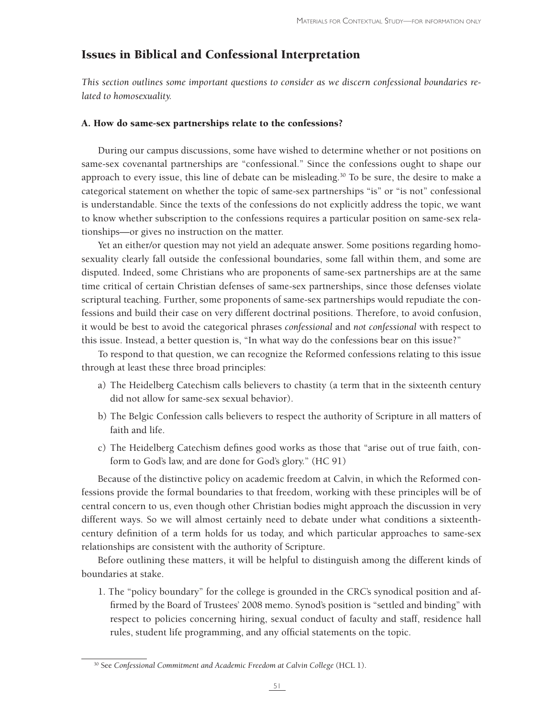## Issues in Biblical and Confessional Interpretation

*This section outlines some important questions to consider as we discern confessional boundaries related to homosexuality.* 

#### A. How do same-sex partnerships relate to the confessions?

During our campus discussions, some have wished to determine whether or not positions on same-sex covenantal partnerships are "confessional." Since the confessions ought to shape our approach to every issue, this line of debate can be misleading.<sup>30</sup> To be sure, the desire to make a categorical statement on whether the topic of same-sex partnerships "is" or "is not" confessional is understandable. Since the texts of the confessions do not explicitly address the topic, we want to know whether subscription to the confessions requires a particular position on same-sex relationships—or gives no instruction on the matter.

Yet an either/or question may not yield an adequate answer. Some positions regarding homosexuality clearly fall outside the confessional boundaries, some fall within them, and some are disputed. Indeed, some Christians who are proponents of same-sex partnerships are at the same time critical of certain Christian defenses of same-sex partnerships, since those defenses violate scriptural teaching. Further, some proponents of same-sex partnerships would repudiate the confessions and build their case on very different doctrinal positions. Therefore, to avoid confusion, it would be best to avoid the categorical phrases *confessional* and *not confessional* with respect to this issue. Instead, a better question is, "In what way do the confessions bear on this issue?"

To respond to that question, we can recognize the Reformed confessions relating to this issue through at least these three broad principles:

- a) The Heidelberg Catechism calls believers to chastity (a term that in the sixteenth century did not allow for same-sex sexual behavior).
- b) The Belgic Confession calls believers to respect the authority of Scripture in all matters of faith and life.
- c) The Heidelberg Catechism defines good works as those that "arise out of true faith, conform to God's law, and are done for God's glory." (HC 91)

Because of the distinctive policy on academic freedom at Calvin, in which the Reformed confessions provide the formal boundaries to that freedom, working with these principles will be of central concern to us, even though other Christian bodies might approach the discussion in very different ways. So we will almost certainly need to debate under what conditions a sixteenthcentury definition of a term holds for us today, and which particular approaches to same-sex relationships are consistent with the authority of Scripture.

Before outlining these matters, it will be helpful to distinguish among the different kinds of boundaries at stake.

1. The "policy boundary" for the college is grounded in the CRC's synodical position and affirmed by the Board of Trustees' 2008 memo. Synod's position is "settled and binding" with respect to policies concerning hiring, sexual conduct of faculty and staff, residence hall rules, student life programming, and any official statements on the topic.

<sup>30</sup> See *Confessional Commitment and Academic Freedom at Calvin College* (HCL 1).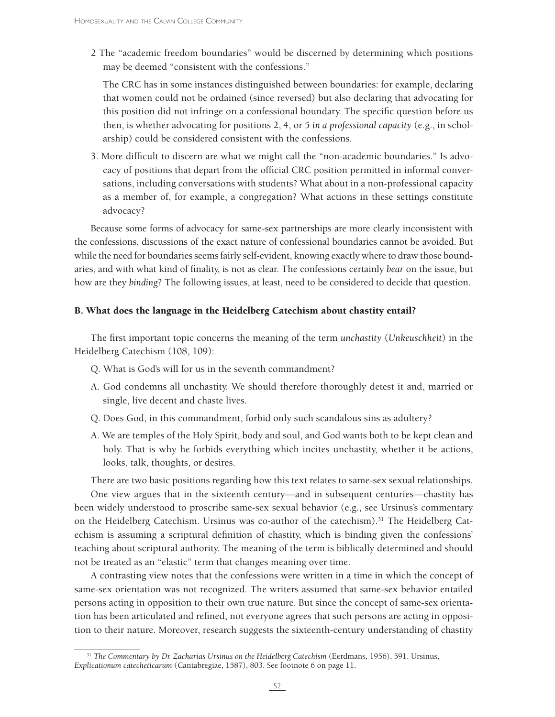2 The "academic freedom boundaries" would be discerned by determining which positions may be deemed "consistent with the confessions."

The CRC has in some instances distinguished between boundaries: for example, declaring that women could not be ordained (since reversed) but also declaring that advocating for this position did not infringe on a confessional boundary. The specific question before us then, is whether advocating for positions 2, 4, or 5 *in a professional capacity* (e.g., in scholarship) could be considered consistent with the confessions.

3. More difficult to discern are what we might call the "non-academic boundaries." Is advocacy of positions that depart from the official CRC position permitted in informal conversations, including conversations with students? What about in a non-professional capacity as a member of, for example, a congregation? What actions in these settings constitute advocacy?

Because some forms of advocacy for same-sex partnerships are more clearly inconsistent with the confessions, discussions of the exact nature of confessional boundaries cannot be avoided. But while the need for boundaries seems fairly self-evident, knowing exactly where to draw those boundaries, and with what kind of finality, is not as clear. The confessions certainly *bear* on the issue, but how are they *binding*? The following issues, at least, need to be considered to decide that question.

#### B. What does the language in the Heidelberg Catechism about chastity entail?

The first important topic concerns the meaning of the term *unchastity* (*Unkeuschheit*) in the Heidelberg Catechism (108, 109):

- Q. What is God's will for us in the seventh commandment?
- A. God condemns all unchastity. We should therefore thoroughly detest it and, married or single, live decent and chaste lives.
- Q. Does God, in this commandment, forbid only such scandalous sins as adultery?
- A. We are temples of the Holy Spirit, body and soul, and God wants both to be kept clean and holy. That is why he forbids everything which incites unchastity, whether it be actions, looks, talk, thoughts, or desires.

There are two basic positions regarding how this text relates to same-sex sexual relationships. One view argues that in the sixteenth century—and in subsequent centuries—chastity has been widely understood to proscribe same-sex sexual behavior (e.g., see Ursinus's commentary on the Heidelberg Catechism. Ursinus was co-author of the catechism).31 The Heidelberg Catechism is assuming a scriptural definition of chastity, which is binding given the confessions' teaching about scriptural authority. The meaning of the term is biblically determined and should not be treated as an "elastic" term that changes meaning over time.

A contrasting view notes that the confessions were written in a time in which the concept of same-sex orientation was not recognized. The writers assumed that same-sex behavior entailed persons acting in opposition to their own true nature. But since the concept of same-sex orientation has been articulated and refined, not everyone agrees that such persons are acting in opposition to their nature. Moreover, research suggests the sixteenth-century understanding of chastity

<sup>31</sup> *The Commentary by Dr. Zacharias Ursinus on the Heidelberg Catechism* (Eerdmans, 1956), 591. Ursinus, *Explicationum catecheticarum* (Cantabregiae, 1587), 803. See footnote 6 on page 11.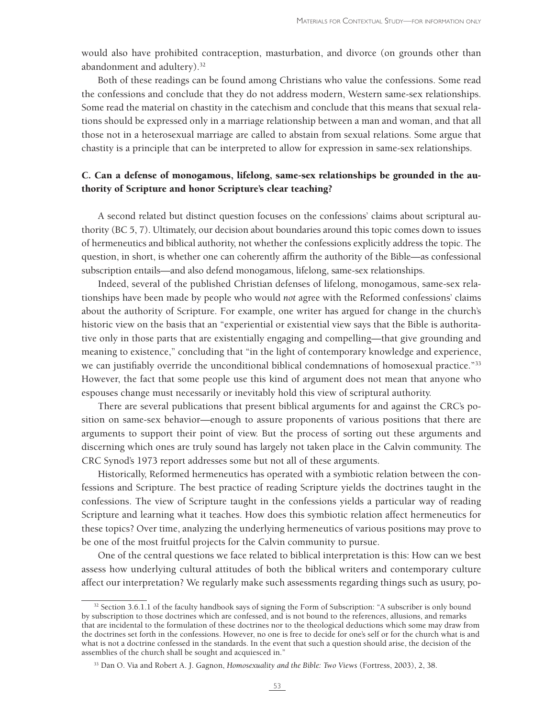would also have prohibited contraception, masturbation, and divorce (on grounds other than abandonment and adultery).<sup>32</sup>

Both of these readings can be found among Christians who value the confessions. Some read the confessions and conclude that they do not address modern, Western same-sex relationships. Some read the material on chastity in the catechism and conclude that this means that sexual relations should be expressed only in a marriage relationship between a man and woman, and that all those not in a heterosexual marriage are called to abstain from sexual relations. Some argue that chastity is a principle that can be interpreted to allow for expression in same-sex relationships.

## C. Can a defense of monogamous, lifelong, same-sex relationships be grounded in the authority of Scripture and honor Scripture's clear teaching?

A second related but distinct question focuses on the confessions' claims about scriptural authority (BC 5, 7). Ultimately, our decision about boundaries around this topic comes down to issues of hermeneutics and biblical authority, not whether the confessions explicitly address the topic. The question, in short, is whether one can coherently affirm the authority of the Bible—as confessional subscription entails—and also defend monogamous, lifelong, same-sex relationships.

Indeed, several of the published Christian defenses of lifelong, monogamous, same-sex relationships have been made by people who would *not* agree with the Reformed confessions' claims about the authority of Scripture. For example, one writer has argued for change in the church's historic view on the basis that an "experiential or existential view says that the Bible is authoritative only in those parts that are existentially engaging and compelling—that give grounding and meaning to existence," concluding that "in the light of contemporary knowledge and experience, we can justifiably override the unconditional biblical condemnations of homosexual practice."<sup>33</sup> However, the fact that some people use this kind of argument does not mean that anyone who espouses change must necessarily or inevitably hold this view of scriptural authority.

There are several publications that present biblical arguments for and against the CRC's position on same-sex behavior—enough to assure proponents of various positions that there are arguments to support their point of view. But the process of sorting out these arguments and discerning which ones are truly sound has largely not taken place in the Calvin community. The CRC Synod's 1973 report addresses some but not all of these arguments.

Historically, Reformed hermeneutics has operated with a symbiotic relation between the confessions and Scripture. The best practice of reading Scripture yields the doctrines taught in the confessions. The view of Scripture taught in the confessions yields a particular way of reading Scripture and learning what it teaches. How does this symbiotic relation affect hermeneutics for these topics? Over time, analyzing the underlying hermeneutics of various positions may prove to be one of the most fruitful projects for the Calvin community to pursue.

One of the central questions we face related to biblical interpretation is this: How can we best assess how underlying cultural attitudes of both the biblical writers and contemporary culture affect our interpretation? We regularly make such assessments regarding things such as usury, po-

 $32$  Section 3.6.1.1 of the faculty handbook says of signing the Form of Subscription: "A subscriber is only bound by subscription to those doctrines which are confessed, and is not bound to the references, allusions, and remarks that are incidental to the formulation of these doctrines nor to the theological deductions which some may draw from the doctrines set forth in the confessions. However, no one is free to decide for one's self or for the church what is and what is not a doctrine confessed in the standards. In the event that such a question should arise, the decision of the assemblies of the church shall be sought and acquiesced in."

<sup>33</sup> Dan O. Via and Robert A. J. Gagnon, *Homosexuality and the Bible: Two Views* (Fortress, 2003), 2, 38.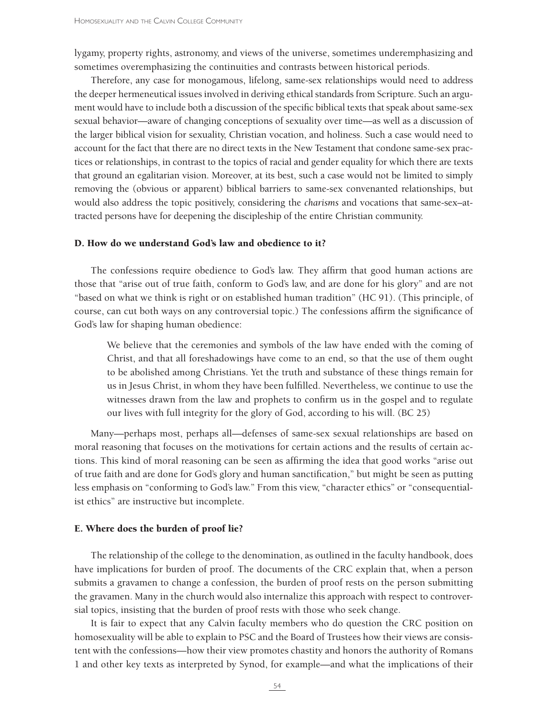lygamy, property rights, astronomy, and views of the universe, sometimes underemphasizing and sometimes overemphasizing the continuities and contrasts between historical periods.

Therefore, any case for monogamous, lifelong, same-sex relationships would need to address the deeper hermeneutical issues involved in deriving ethical standards from Scripture. Such an argument would have to include both a discussion of the specific biblical texts that speak about same-sex sexual behavior—aware of changing conceptions of sexuality over time—as well as a discussion of the larger biblical vision for sexuality, Christian vocation, and holiness. Such a case would need to account for the fact that there are no direct texts in the New Testament that condone same-sex practices or relationships, in contrast to the topics of racial and gender equality for which there are texts that ground an egalitarian vision. Moreover, at its best, such a case would not be limited to simply removing the (obvious or apparent) biblical barriers to same-sex convenanted relationships, but would also address the topic positively, considering the *charisms* and vocations that same-sex–attracted persons have for deepening the discipleship of the entire Christian community.

#### D. How do we understand God's law and obedience to it?

The confessions require obedience to God's law. They affirm that good human actions are those that "arise out of true faith, conform to God's law, and are done for his glory" and are not "based on what we think is right or on established human tradition" (HC 91). (This principle, of course, can cut both ways on any controversial topic.) The confessions affirm the significance of God's law for shaping human obedience:

We believe that the ceremonies and symbols of the law have ended with the coming of Christ, and that all foreshadowings have come to an end, so that the use of them ought to be abolished among Christians. Yet the truth and substance of these things remain for us in Jesus Christ, in whom they have been fulfilled. Nevertheless, we continue to use the witnesses drawn from the law and prophets to confirm us in the gospel and to regulate our lives with full integrity for the glory of God, according to his will. (BC 25)

Many—perhaps most, perhaps all—defenses of same-sex sexual relationships are based on moral reasoning that focuses on the motivations for certain actions and the results of certain actions. This kind of moral reasoning can be seen as affirming the idea that good works "arise out of true faith and are done for God's glory and human sanctification," but might be seen as putting less emphasis on "conforming to God's law." From this view, "character ethics" or "consequentialist ethics" are instructive but incomplete.

#### E. Where does the burden of proof lie?

The relationship of the college to the denomination, as outlined in the faculty handbook, does have implications for burden of proof. The documents of the CRC explain that, when a person submits a gravamen to change a confession, the burden of proof rests on the person submitting the gravamen. Many in the church would also internalize this approach with respect to controversial topics, insisting that the burden of proof rests with those who seek change.

It is fair to expect that any Calvin faculty members who do question the CRC position on homosexuality will be able to explain to PSC and the Board of Trustees how their views are consistent with the confessions—how their view promotes chastity and honors the authority of Romans 1 and other key texts as interpreted by Synod, for example—and what the implications of their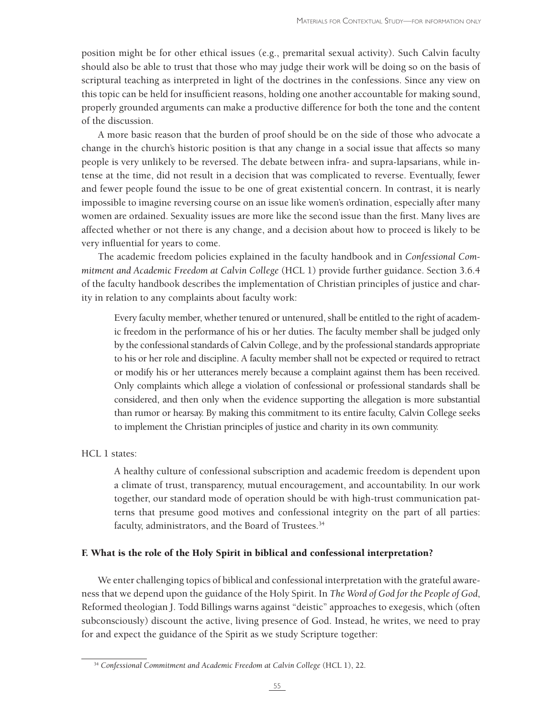position might be for other ethical issues (e.g., premarital sexual activity). Such Calvin faculty should also be able to trust that those who may judge their work will be doing so on the basis of scriptural teaching as interpreted in light of the doctrines in the confessions. Since any view on this topic can be held for insufficient reasons, holding one another accountable for making sound, properly grounded arguments can make a productive difference for both the tone and the content of the discussion.

A more basic reason that the burden of proof should be on the side of those who advocate a change in the church's historic position is that any change in a social issue that affects so many people is very unlikely to be reversed. The debate between infra- and supra-lapsarians, while intense at the time, did not result in a decision that was complicated to reverse. Eventually, fewer and fewer people found the issue to be one of great existential concern. In contrast, it is nearly impossible to imagine reversing course on an issue like women's ordination, especially after many women are ordained. Sexuality issues are more like the second issue than the first. Many lives are affected whether or not there is any change, and a decision about how to proceed is likely to be very influential for years to come.

The academic freedom policies explained in the faculty handbook and in *Confessional Commitment and Academic Freedom at Calvin College* (HCL 1) provide further guidance. Section 3.6.4 of the faculty handbook describes the implementation of Christian principles of justice and charity in relation to any complaints about faculty work:

Every faculty member, whether tenured or untenured, shall be entitled to the right of academic freedom in the performance of his or her duties. The faculty member shall be judged only by the confessional standards of Calvin College, and by the professional standards appropriate to his or her role and discipline. A faculty member shall not be expected or required to retract or modify his or her utterances merely because a complaint against them has been received. Only complaints which allege a violation of confessional or professional standards shall be considered, and then only when the evidence supporting the allegation is more substantial than rumor or hearsay. By making this commitment to its entire faculty, Calvin College seeks to implement the Christian principles of justice and charity in its own community.

#### HCL 1 states:

A healthy culture of confessional subscription and academic freedom is dependent upon a climate of trust, transparency, mutual encouragement, and accountability. In our work together, our standard mode of operation should be with high-trust communication patterns that presume good motives and confessional integrity on the part of all parties: faculty, administrators, and the Board of Trustees.<sup>34</sup>

#### F. What is the role of the Holy Spirit in biblical and confessional interpretation?

We enter challenging topics of biblical and confessional interpretation with the grateful awareness that we depend upon the guidance of the Holy Spirit. In *The Word of God for the People of God*, Reformed theologian J. Todd Billings warns against "deistic" approaches to exegesis, which (often subconsciously) discount the active, living presence of God. Instead, he writes, we need to pray for and expect the guidance of the Spirit as we study Scripture together:

<sup>34</sup> *Confessional Commitment and Academic Freedom at Calvin College* (HCL 1), 22.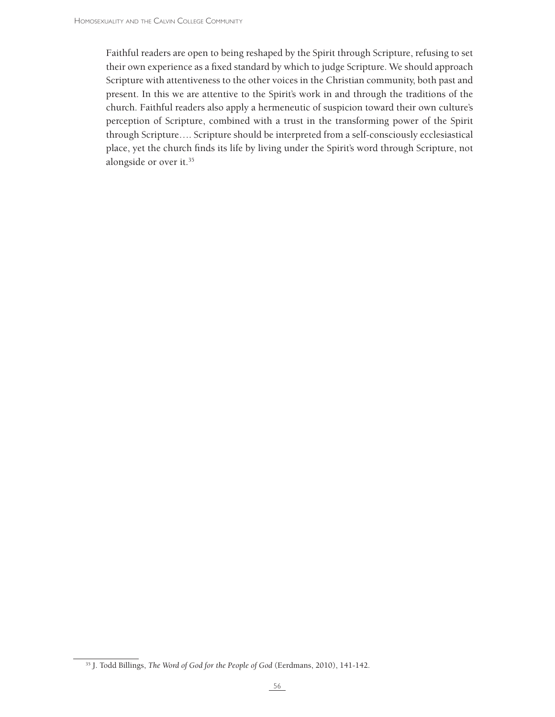Faithful readers are open to being reshaped by the Spirit through Scripture, refusing to set their own experience as a fixed standard by which to judge Scripture. We should approach Scripture with attentiveness to the other voices in the Christian community, both past and present. In this we are attentive to the Spirit's work in and through the traditions of the church. Faithful readers also apply a hermeneutic of suspicion toward their own culture's perception of Scripture, combined with a trust in the transforming power of the Spirit through Scripture…. Scripture should be interpreted from a self-consciously ecclesiastical place, yet the church finds its life by living under the Spirit's word through Scripture, not alongside or over it.<sup>35</sup>

<sup>35</sup> J. Todd Billings, *The Word of God for the People of God* (Eerdmans, 2010), 141-142.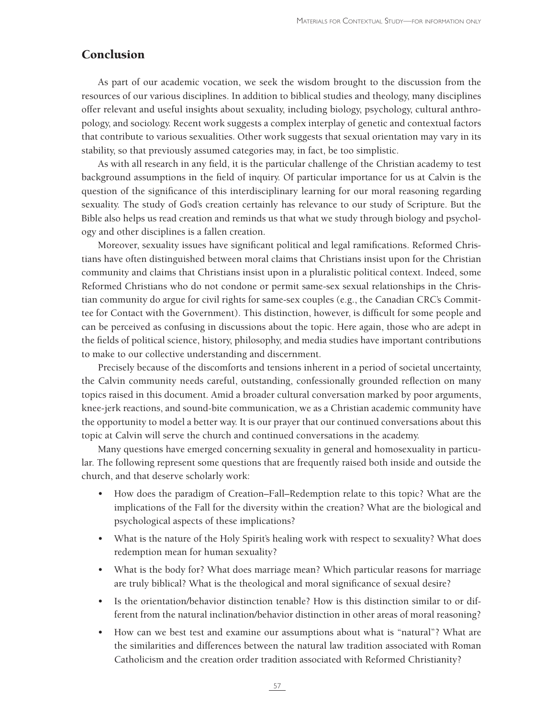## Conclusion

As part of our academic vocation, we seek the wisdom brought to the discussion from the resources of our various disciplines. In addition to biblical studies and theology, many disciplines offer relevant and useful insights about sexuality, including biology, psychology, cultural anthropology, and sociology. Recent work suggests a complex interplay of genetic and contextual factors that contribute to various sexualities. Other work suggests that sexual orientation may vary in its stability, so that previously assumed categories may, in fact, be too simplistic.

As with all research in any field, it is the particular challenge of the Christian academy to test background assumptions in the field of inquiry. Of particular importance for us at Calvin is the question of the significance of this interdisciplinary learning for our moral reasoning regarding sexuality. The study of God's creation certainly has relevance to our study of Scripture. But the Bible also helps us read creation and reminds us that what we study through biology and psychology and other disciplines is a fallen creation.

Moreover, sexuality issues have significant political and legal ramifications. Reformed Christians have often distinguished between moral claims that Christians insist upon for the Christian community and claims that Christians insist upon in a pluralistic political context. Indeed, some Reformed Christians who do not condone or permit same-sex sexual relationships in the Christian community do argue for civil rights for same-sex couples (e.g., the Canadian CRC's Committee for Contact with the Government). This distinction, however, is difficult for some people and can be perceived as confusing in discussions about the topic. Here again, those who are adept in the fields of political science, history, philosophy, and media studies have important contributions to make to our collective understanding and discernment.

Precisely because of the discomforts and tensions inherent in a period of societal uncertainty, the Calvin community needs careful, outstanding, confessionally grounded reflection on many topics raised in this document. Amid a broader cultural conversation marked by poor arguments, knee-jerk reactions, and sound-bite communication, we as a Christian academic community have the opportunity to model a better way. It is our prayer that our continued conversations about this topic at Calvin will serve the church and continued conversations in the academy.

Many questions have emerged concerning sexuality in general and homosexuality in particular. The following represent some questions that are frequently raised both inside and outside the church, and that deserve scholarly work:

- How does the paradigm of Creation–Fall–Redemption relate to this topic? What are the implications of the Fall for the diversity within the creation? What are the biological and psychological aspects of these implications?
- What is the nature of the Holy Spirit's healing work with respect to sexuality? What does redemption mean for human sexuality?
- What is the body for? What does marriage mean? Which particular reasons for marriage are truly biblical? What is the theological and moral significance of sexual desire?
- Is the orientation/behavior distinction tenable? How is this distinction similar to or different from the natural inclination/behavior distinction in other areas of moral reasoning?
- How can we best test and examine our assumptions about what is "natural"? What are the similarities and differences between the natural law tradition associated with Roman Catholicism and the creation order tradition associated with Reformed Christianity?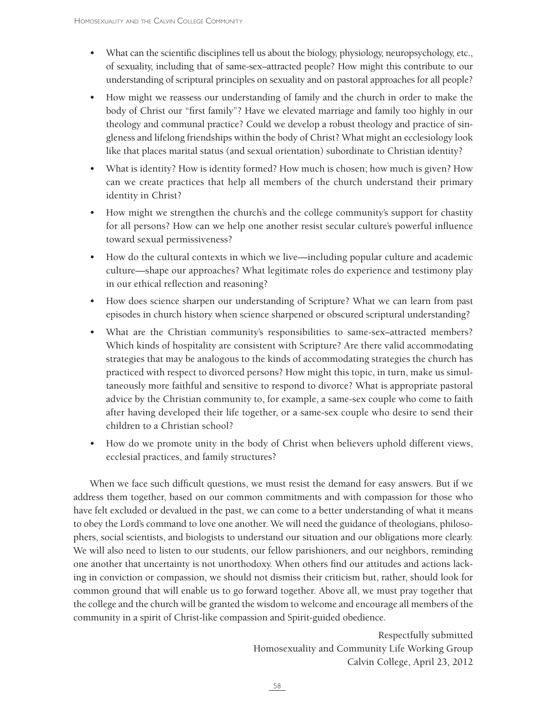- What can the scientific disciplines tell us about the biology, physiology, neuropsychology, etc., of sexuality, including that of same-sex–attracted people? How might this contribute to our understanding of scriptural principles on sexuality and on pastoral approaches for all people?
- How might we reassess our understanding of family and the church in order to make the body of Christ our "first family"? Have we elevated marriage and family too highly in our theology and communal practice? Could we develop a robust theology and practice of singleness and lifelong friendships within the body of Christ? What might an ecclesiology look like that places marital status (and sexual orientation) subordinate to Christian identity?
- What is identity? How is identity formed? How much is chosen; how much is given? How can we create practices that help all members of the church understand their primary identity in Christ?
- How might we strengthen the church's and the college community's support for chastity for all persons? How can we help one another resist secular culture's powerful influence toward sexual permissiveness?
- How do the cultural contexts in which we live—including popular culture and academic culture—shape our approaches? What legitimate roles do experience and testimony play in our ethical reflection and reasoning?
- How does science sharpen our understanding of Scripture? What we can learn from past episodes in church history when science sharpened or obscured scriptural understanding?
- What are the Christian community's responsibilities to same-sex–attracted members? Which kinds of hospitality are consistent with Scripture? Are there valid accommodating strategies that may be analogous to the kinds of accommodating strategies the church has practiced with respect to divorced persons? How might this topic, in turn, make us simultaneously more faithful and sensitive to respond to divorce? What is appropriate pastoral advice by the Christian community to, for example, a same-sex couple who come to faith after having developed their life together, or a same-sex couple who desire to send their children to a Christian school?
- How do we promote unity in the body of Christ when believers uphold different views, ecclesial practices, and family structures?

When we face such difficult questions, we must resist the demand for easy answers. But if we address them together, based on our common commitments and with compassion for those who have felt excluded or devalued in the past, we can come to a better understanding of what it means to obey the Lord's command to love one another. We will need the guidance of theologians, philosophers, social scientists, and biologists to understand our situation and our obligations more clearly. We will also need to listen to our students, our fellow parishioners, and our neighbors, reminding one another that uncertainty is not unorthodoxy. When others find our attitudes and actions lacking in conviction or compassion, we should not dismiss their criticism but, rather, should look for common ground that will enable us to go forward together. Above all, we must pray together that the college and the church will be granted the wisdom to welcome and encourage all members of the community in a spirit of Christ-like compassion and Spirit-guided obedience.

> Respectfully submitted Homosexuality and Community Life Working Group Calvin College, April 23, 2012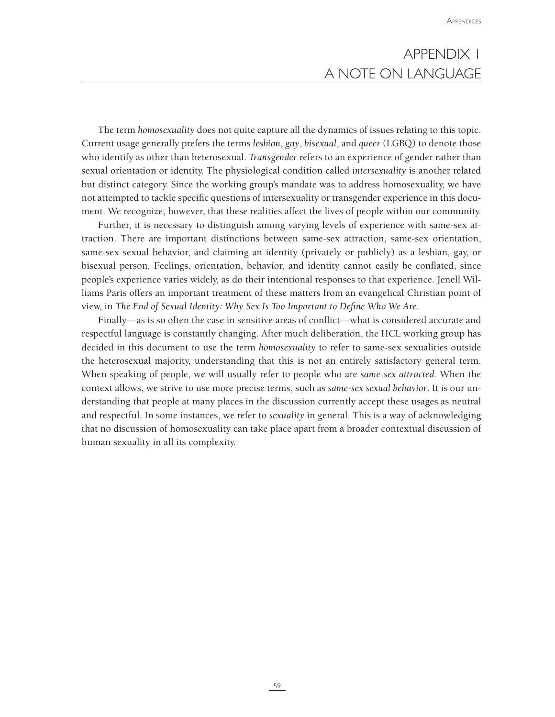# APPENDIX 1 A NOTE ON LANGUAGE

The term *homosexuality* does not quite capture all the dynamics of issues relating to this topic. Current usage generally prefers the terms *lesbian*, *gay*, *bisexual*, and *queer* (LGBQ) to denote those who identify as other than heterosexual. *Transgender* refers to an experience of gender rather than sexual orientation or identity. The physiological condition called *intersexuality* is another related but distinct category. Since the working group's mandate was to address homosexuality, we have not attempted to tackle specific questions of intersexuality or transgender experience in this document. We recognize, however, that these realities affect the lives of people within our community.

Further, it is necessary to distinguish among varying levels of experience with same-sex attraction. There are important distinctions between same-sex attraction, same-sex orientation, same-sex sexual behavior, and claiming an identity (privately or publicly) as a lesbian, gay, or bisexual person. Feelings, orientation, behavior, and identity cannot easily be conflated, since people's experience varies widely, as do their intentional responses to that experience. Jenell Williams Paris offers an important treatment of these matters from an evangelical Christian point of view, in *The End of Sexual Identity: Why Sex Is Too Important to Define Who We Are*.

Finally—as is so often the case in sensitive areas of conflict—what is considered accurate and respectful language is constantly changing. After much deliberation, the HCL working group has decided in this document to use the term *homosexuality* to refer to same-sex sexualities outside the heterosexual majority, understanding that this is not an entirely satisfactory general term. When speaking of people, we will usually refer to people who are *same-sex attracted*. When the context allows, we strive to use more precise terms, such as *same-sex sexual behavior*. It is our understanding that people at many places in the discussion currently accept these usages as neutral and respectful. In some instances, we refer to *sexuality* in general. This is a way of acknowledging that no discussion of homosexuality can take place apart from a broader contextual discussion of human sexuality in all its complexity.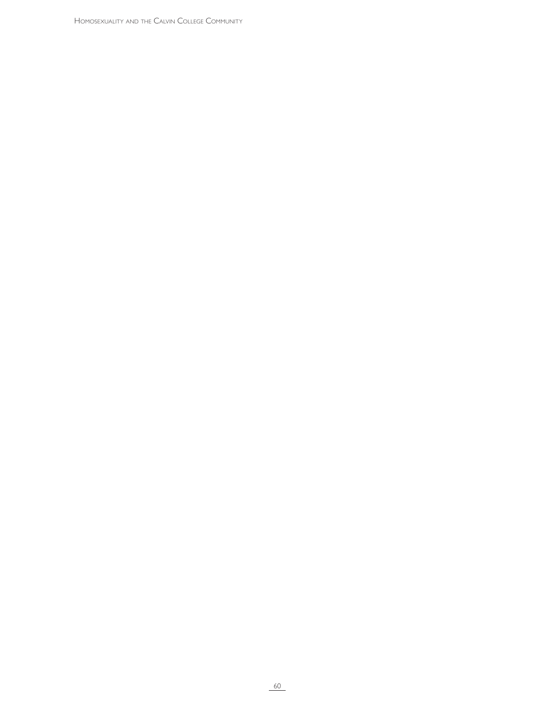Homosexuality and the Calvin College Community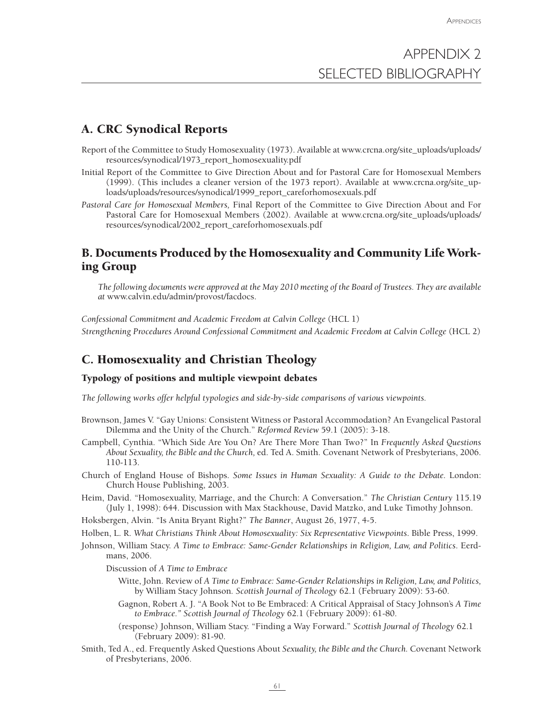# APPENDIX 2 SELECTED BIBLIOGRAPHY

## A. CRC Synodical Reports

- Report of the Committee to Study Homosexuality (1973). Available at www.crcna.org/site\_uploads/uploads/ resources/synodical/1973\_report\_homosexuality.pdf
- Initial Report of the Committee to Give Direction About and for Pastoral Care for Homosexual Members (1999). (This includes a cleaner version of the 1973 report). Available at www.crcna.org/site\_uploads/uploads/resources/synodical/1999\_report\_careforhomosexuals.pdf
- *Pastoral Care for Homosexual Members,* Final Report of the Committee to Give Direction About and For Pastoral Care for Homosexual Members (2002). Available at www.crcna.org/site\_uploads/uploads/ resources/synodical/2002\_report\_careforhomosexuals.pdf

## B. Documents Produced by the Homosexuality and Community Life Working Group

*The following documents were approved at the May 2010 meeting of the Board of Trustees. They are available at* www.calvin.edu/admin/provost/facdocs.

*Confessional Commitment and Academic Freedom at Calvin College* (HCL 1) *Strengthening Procedures Around Confessional Commitment and Academic Freedom at Calvin College* (HCL 2)

## C. Homosexuality and Christian Theology

#### Typology of positions and multiple viewpoint debates

*The following works offer helpful typologies and side-by-side comparisons of various viewpoints.* 

- Brownson, James V. "Gay Unions: Consistent Witness or Pastoral Accommodation? An Evangelical Pastoral Dilemma and the Unity of the Church." *Reformed Review* 59.1 (2005): 3-18.
- Campbell, Cynthia. "Which Side Are You On? Are There More Than Two?" In *Frequently Asked Questions About Sexuality, the Bible and the Church,* ed. Ted A. Smith. Covenant Network of Presbyterians, 2006. 110-113.
- Church of England House of Bishops. *Some Issues in Human Sexuality: A Guide to the Debate.* London: Church House Publishing, 2003.
- Heim, David. "Homosexuality, Marriage, and the Church: A Conversation." *The Christian Century* 115.19 (July 1, 1998): 644. Discussion with Max Stackhouse, David Matzko, and Luke Timothy Johnson.
- Hoksbergen, Alvin. "Is Anita Bryant Right?" *The Banner*, August 26, 1977, 4-5.
- Holben, L. R. *What Christians Think About Homosexuality: Six Representative Viewpoints*. Bible Press, 1999.
- Johnson, William Stacy. *A Time to Embrace: Same-Gender Relationships in Religion, Law, and Politics*. Eerdmans, 2006.
	- Discussion of *A Time to Embrace*
		- Witte, John. Review of *A Time to Embrace: Same-Gender Relationships in Religion, Law, and Politics,*  by William Stacy Johnson*. Scottish Journal of Theology* 62.1 (February 2009): 53-60.
		- Gagnon, Robert A. J. "A Book Not to Be Embraced: A Critical Appraisal of Stacy Johnson's *A Time to Embrace." Scottish Journal of Theology* 62.1 (February 2009): 61-80.
		- (response) Johnson, William Stacy. "Finding a Way Forward." *Scottish Journal of Theology* 62.1 (February 2009): 81-90.
- Smith, Ted A., ed. Frequently Asked Questions About *Sexuality, the Bible and the Church.* Covenant Network of Presbyterians, 2006.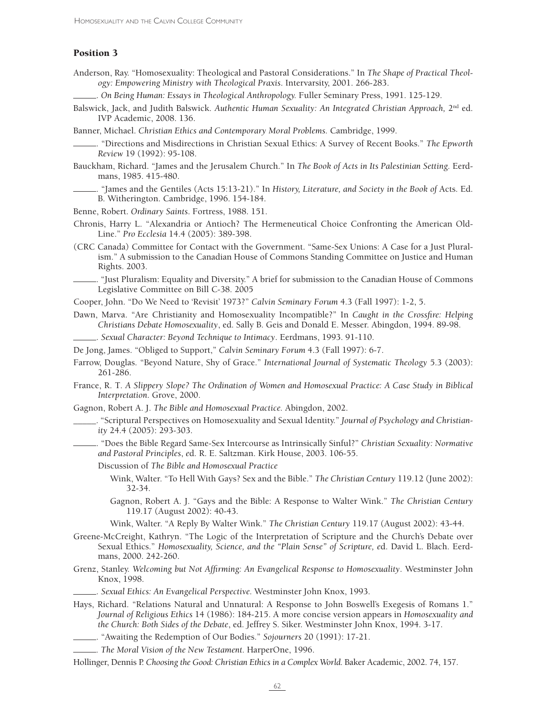#### Position 3

Anderson, Ray. "Homosexuality: Theological and Pastoral Considerations." In *The Shape of Practical Theology: Empowering Ministry with Theological Praxis*. Intervarsity, 2001. 266-283.

. *On Being Human: Essays in Theological Anthropology.* Fuller Seminary Press, 1991. 125-129.

- Balswick, Jack, and Judith Balswick. Authentic Human Sexuality: An Integrated Christian Approach, 2<sup>nd</sup> ed. IVP Academic, 2008. 136.
- Banner, Michael. *Christian Ethics and Contemporary Moral Problems.* Cambridge, 1999.

. "Directions and Misdirections in Christian Sexual Ethics: A Survey of Recent Books." *The Epworth Review* 19 (1992): 95-108.

- Bauckham, Richard. "James and the Jerusalem Church." In *The Book of Acts in Its Palestinian Setting.* Eerdmans, 1985. 415-480.
	- . "James and the Gentiles (Acts 15:13-21)." In *History, Literature, and Society in the Book of* Acts. Ed. B. Witherington. Cambridge, 1996. 154-184.
- Benne, Robert. *Ordinary Saints*. Fortress, 1988. 151.
- Chronis, Harry L. "Alexandria or Antioch? The Hermeneutical Choice Confronting the American Old-Line." *Pro Ecclesia* 14.4 (2005): 389-398.
- (CRC Canada) Committee for Contact with the Government. "Same-Sex Unions: A Case for a Just Pluralism." A submission to the Canadian House of Commons Standing Committee on Justice and Human Rights. 2003.
	- . "Just Pluralism: Equality and Diversity." A brief for submission to the Canadian House of Commons Legislative Committee on Bill C-38. 2005

Cooper, John. "Do We Need to 'Revisit' 1973?" *Calvin Seminary Forum* 4.3 (Fall 1997): 1-2, 5.

- Dawn, Marva. "Are Christianity and Homosexuality Incompatible?" In *Caught in the Crossfire: Helping Christians Debate Homosexuality*, ed. Sally B. Geis and Donald E. Messer. Abingdon, 1994. 89-98.
	- . *Sexual Character: Beyond Technique to Intimacy*. Eerdmans, 1993. 91-110.
- De Jong, James. "Obliged to Support," *Calvin Seminary Forum* 4.3 (Fall 1997): 6-7.
- Farrow, Douglas. "Beyond Nature, Shy of Grace." *International Journal of Systematic Theology* 5.3 (2003): 261-286.
- France, R. T*. A Slippery Slope? The Ordination of Women and Homosexual Practice: A Case Study in Biblical Interpretation*. Grove, 2000.
- Gagnon, Robert A. J. *The Bible and Homosexual Practice.* Abingdon, 2002.
	- \_\_\_\_\_. "Scriptural Perspectives on Homosexuality and Sexual Identity." *Journal of Psychology and Christianity* 24.4 (2005): 293-303.

. "Does the Bible Regard Same-Sex Intercourse as Intrinsically Sinful?" *Christian Sexuality: Normative and Pastoral Principles*, *e*d. R. E. Saltzman. Kirk House, 2003. 106-55.

Discussion of *The Bible and Homosexual Practice*

- Wink, Walter. "To Hell With Gays? Sex and the Bible." *The Christian Century* 119.12 (June 2002): 32-34.
- Gagnon, Robert A. J. "Gays and the Bible: A Response to Walter Wink." *The Christian Century* 119.17 (August 2002): 40-43.
- Wink, Walter. "A Reply By Walter Wink." *The Christian Century* 119.17 (August 2002): 43-44.
- Greene-McCreight, Kathryn. "The Logic of the Interpretation of Scripture and the Church's Debate over Sexual Ethics." *Homosexuality, Science, and the "Plain Sense" of Scripture, e*d. David L. Blach. Eerdmans, 2000. 242-260.
- Grenz, Stanley. *Welcoming but Not Affirming: An Evangelical Response to Homosexuality*. Westminster John Knox, 1998.

. *Sexual Ethics: An Evangelical Perspective.* Westminster John Knox, 1993.

- Hays, Richard. "Relations Natural and Unnatural: A Response to John Boswell's Exegesis of Romans 1." *Journal of Religious Ethics* 14 (1986): 184-215. A more concise version appears in *Homosexuality and the Church: Both Sides of the Debate*, ed. Jeffrey S. Siker. Westminster John Knox, 1994. 3-17.
	- . "Awaiting the Redemption of Our Bodies." *Sojourners* 20 (1991): 17-21.
	- *. The Moral Vision of the New Testament.* HarperOne, 1996.

Hollinger, Dennis P. *Choosing the Good: Christian Ethics in a Complex World.* Baker Academic, 2002. 74, 157.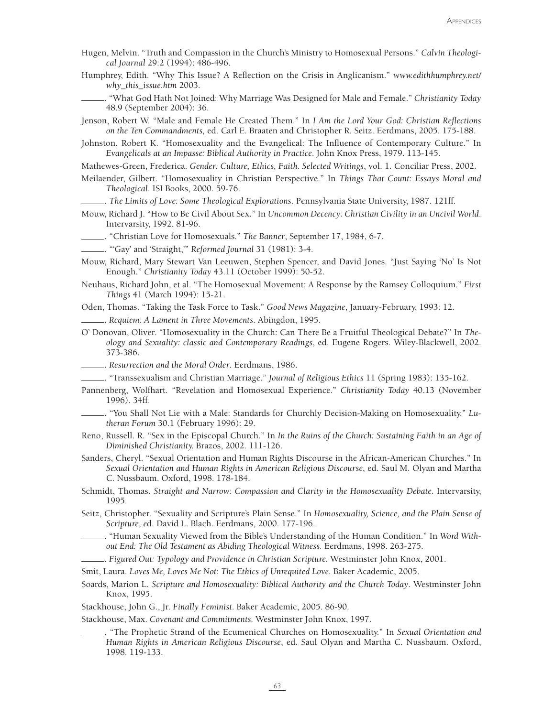- Hugen, Melvin. "Truth and Compassion in the Church's Ministry to Homosexual Persons." *Calvin Theological Journal* 29:2 (1994): 486-496.
- Humphrey, Edith. "Why This Issue? A Reflection on the Crisis in Anglicanism." *www.edithhumphrey.net/ why\_this\_issue.htm* 2003.
	- . "What God Hath Not Joined: Why Marriage Was Designed for Male and Female." *Christianity Today*  48.9 (September 2004): 36.
- Jenson, Robert W. "Male and Female He Created Them." In *I Am the Lord Your God: Christian Reflections on the Ten Commandments,* ed. Carl E. Braaten and Christopher R. Seitz. Eerdmans, 2005. 175-188.
- Johnston, Robert K. "Homosexuality and the Evangelical: The Influence of Contemporary Culture." In *Evangelicals at an Impasse: Biblical Authority in Practice*. John Knox Press, 1979. 113-145.
- Mathewes-Green, Frederica. *Gender: Culture, Ethics, Faith. Selected Writings*, vol. 1. Conciliar Press, 2002.
- Meilaender, Gilbert. "Homosexuality in Christian Perspective." In *Things That Count: Essays Moral and Theological*. ISI Books, 2000. 59-76.
	- . *The Limits of Love: Some Theological Explorations*. Pennsylvania State University, 1987. 121ff.
- Mouw, Richard J. "How to Be Civil About Sex." In *Uncommon Decency: Christian Civility in an Uncivil World*. Intervarsity, 1992. 81-96.
	- . "Christian Love for Homosexuals." *The Banner*, September 17, 1984, 6-7.

. "'Gay' and 'Straight,'" *Reformed Journal* 31 (1981): 3-4.

- Mouw, Richard, Mary Stewart Van Leeuwen, Stephen Spencer, and David Jones. "Just Saying 'No' Is Not Enough." *Christianity Today* 43.11 (October 1999): 50-52.
- Neuhaus, Richard John, et al. "The Homosexual Movement: A Response by the Ramsey Colloquium." *First Things* 41 (March 1994): 15-21.
- Oden, Thomas. "Taking the Task Force to Task." *Good News Magazine*, January-February, 1993: 12.

*. Requiem: A Lament in Three Movements*. Abingdon, 1995.

- O' Donovan, Oliver. "Homosexuality in the Church: Can There Be a Fruitful Theological Debate?" In *Theology and Sexuality: classic and Contemporary Readings*, ed. Eugene Rogers. Wiley-Blackwell, 2002. 373-386.
- . *Resurrection and the Moral Order*. Eerdmans, 1986.

. "Transsexualism and Christian Marriage." *Journal of Religious Ethics* 11 (Spring 1983): 135-162.

- Pannenberg, Wolfhart. "Revelation and Homosexual Experience." *Christianity Today* 40.13 (November 1996). 34ff.
	- *.* "You Shall Not Lie with a Male: Standards for Churchly Decision-Making on Homosexuality." *Lutheran Forum* 30.1 (February 1996): 29.
- Reno, Russell. R. "Sex in the Episcopal Church." In *In the Ruins of the Church: Sustaining Faith in an Age of Diminished Christianity.* Brazos, 2002. 111-126.
- Sanders, Cheryl. "Sexual Orientation and Human Rights Discourse in the African-American Churches." In *Sexual Orientation and Human Rights in American Religious Discourse*, ed. Saul M. Olyan and Martha C. Nussbaum. Oxford, 1998. 178-184.
- Schmidt, Thomas. *Straight and Narrow: Compassion and Clarity in the Homosexuality Debate.* Intervarsity, 1995.
- Seitz, Christopher. "Sexuality and Scripture's Plain Sense." In *Homosexuality, Science, and the Plain Sense of Scripture*, *e*d. David L. Blach. Eerdmans, 2000. 177-196.
- *.* "Human Sexuality Viewed from the Bible's Understanding of the Human Condition." In *Word Without End: The Old Testament as Abiding Theological Witness.* Eerdmans, 1998. 263-275.
	- *. Figured Out: Typology and Providence in Christian Scripture.* Westminster John Knox, 2001.
- Smit, Laura. *Loves Me, Loves Me Not: The Ethics of Unrequited Love.* Baker Academic, 2005.
- Soards, Marion L. *Scripture and Homosexuality: Biblical Authority and the Church Today*. Westminster John Knox, 1995.
- Stackhouse, John G., Jr. *Finally Feminist.* Baker Academic, 2005. 86-90.

Stackhouse, Max. *Covenant and Commitments.* Westminster John Knox, 1997.

. "The Prophetic Strand of the Ecumenical Churches on Homosexuality." In *Sexual Orientation and Human Rights in American Religious Discourse*, ed. Saul Olyan and Martha C. Nussbaum. Oxford, 1998. 119-133.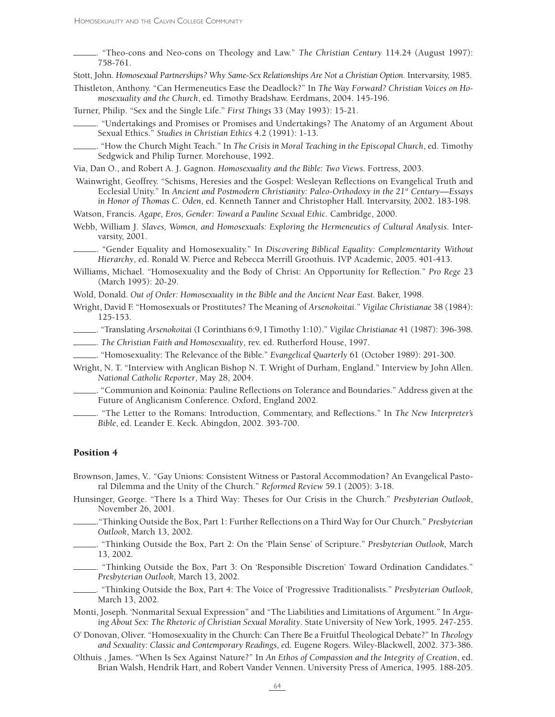. "Theo-cons and Neo-cons on Theology and Law." *The Christian Century* 114.24 (August 1997): 758-761.

Stott, John. *Homosexual Partnerships? Why Same-Sex Relationships Are Not a Christian Option.* Intervarsity, 1985.

- Thistleton, Anthony. "Can Hermeneutics Ease the Deadlock?" In *The Way Forward? Christian Voices on Homosexuality and the Church*, ed. Timothy Bradshaw. Eerdmans, 2004. 145-196.
- Turner, Philip. "Sex and the Single Life." *First Things* 33 (May 1993): 15-21.
	- . "Undertakings and Promises or Promises and Undertakings? The Anatomy of an Argument About Sexual Ethics." *Studies in Christian Ethics* 4.2 (1991): 1-13.
		- . "How the Church Might Teach." In *The Crisis in Moral Teaching in the Episcopal Church*, ed. Timothy Sedgwick and Philip Turner. Morehouse, 1992.

Via, Dan O., and Robert A. J. Gagnon. *Homosexuality and the Bible: Two Views.* Fortress, 2003.

 Wainwright, Geoffrey. "Schisms, Heresies and the Gospel: Wesleyan Reflections on Evangelical Truth and Ecclesial Unity." In *Ancient and Postmodern Christianity: Paleo-Orthodoxy in the 21st Century—Essays in Honor of Thomas C. Oden*, ed. Kenneth Tanner and Christopher Hall. Intervarsity, 2002. 183-198.

Watson, Francis. *Agape, Eros, Gender: Toward a Pauline Sexual Ethic.* Cambridge, 2000.

Webb, William J. *Slaves, Women, and Homosexuals: Exploring the Hermeneutics of Cultural Analysis*. Intervarsity, 2001.

. "Gender Equality and Homosexuality." In *Discovering Biblical Equality: Complementarity Without Hierarchy*, *e*d. Ronald W. Pierce and Rebecca Merrill Groothuis. IVP Academic, 2005. 401-413.

Williams, Michael. "Homosexuality and the Body of Christ: An Opportunity for Reflection*.*" *Pro Rege* 23 (March 1995): 20-29.

Wold, Donald. *Out of Order: Homosexuality in the Bible and the Ancient Near East. Baker, 1998.* 

Wright, David F. "Homosexuals or Prostitutes? The Meaning of *Arsenokoitai*." *Vigilae Christianae* 38 (1984): 125-153.

. "Translating *Arsenokoitai* (I Corinthians 6:9, I Timothy 1:10)." *Vigilae Christianae* 41 (1987): 396-398.

. *The Christian Faith and Homosexuality*, rev. ed. Rutherford House, 1997.

. "Homosexuality: The Relevance of the Bible." *Evangelical Quarterly* 61 (October 1989): 291-300.

- Wright, N. T. "Interview with Anglican Bishop N. T. Wright of Durham, England." Interview by John Allen. *National Catholic Reporter*, May 28, 2004.
- . "Communion and Koinonia: Pauline Reflections on Tolerance and Boundaries." Address given at the Future of Anglicanism Conference*.* Oxford, England 2002.
	- . "The Letter to the Romans: Introduction, Commentary, and Reflections." In *The New Interpreter's Bible*, ed. Leander E. Keck. Abingdon, 2002. 393-700.

#### Position 4

- Brownson, James, V.. "Gay Unions: Consistent Witness or Pastoral Accommodation? An Evangelical Pastoral Dilemma and the Unity of the Church." *Reformed Review* 59.1 (2005): 3-18.
- Hunsinger, George. "There Is a Third Way: Theses for Our Crisis in the Church." *Presbyterian Outlook*, November 26, 2001.
	- ."Thinking Outside the Box, Part 1: Further Reflections on a Third Way for Our Church." *Presbyterian Outlook*, March 13, 2002.
		- . "Thinking Outside the Box, Part 2: On the 'Plain Sense' of Scripture." *Presbyterian Outlook,* March 13, 2002.

. "Thinking Outside the Box, Part 3: On 'Responsible Discretion' Toward Ordination Candidates." *Presbyterian Outlook,* March 13, 2002.

. "Thinking Outside the Box, Part 4: The Voice of 'Progressive Traditionalists." *Presbyterian Outlook,*  March 13, 2002.

- Monti, Joseph. 'Nonmarital Sexual Expression" and "The Liabilities and Limitations of Argument." In *Arguing About Sex: The Rhetoric of Christian Sexual Morality*. State University of New York, 1995. 247-255.
- O' Donovan, Oliver. "Homosexuality in the Church: Can There Be a Fruitful Theological Debate?" In *Theology and Sexuality: Classic and Contemporary Readings*, *e*d. Eugene Rogers. Wiley-Blackwell, 2002. 373-386.
- Olthuis , James. "When Is Sex Against Nature?" In *An Ethos of Compassion and the Integrity of Creation*, ed. Brian Walsh, Hendrik Hart, and Robert Vander Vennen. University Press of America, 1995. 188-205.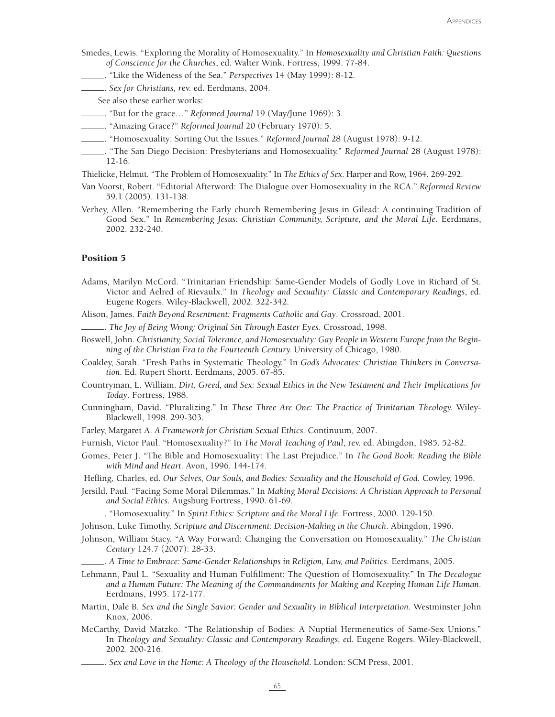- Smedes, Lewis. "Exploring the Morality of Homosexuality." In *Homosexuality and Christian Faith: Questions of Conscience for the Churches*, ed. Walter Wink. Fortress, 1999. 77-84.
- . "Like the Wideness of the Sea." *Perspectives* 14 (May 1999): 8-12.
- . *Sex for Christians, r*ev. ed. Eerdmans, 2004.
- See also these earlier works:
- . "But for the grace…" *Reformed Journal* 19 (May/June 1969): 3.
- . "Amazing Grace?" *Reformed Journal* 20 (February 1970): 5.
- . "Homosexuality: Sorting Out the Issues." *Reformed Journal* 28 (August 1978): 9-12.
- . "The San Diego Decision: Presbyterians and Homosexuality." *Reformed Journal* 28 (August 1978): 12-16.

Thielicke, Helmut. "The Problem of Homosexuality." In *The Ethics of Sex*. Harper and Row, 1964. 269-292.

- Van Voorst, Robert. "Editorial Afterword: The Dialogue over Homosexuality in the RCA." *Reformed Review*  59.1 (2005). 131-138.
- Verhey, Allen. "Remembering the Early church Remembering Jesus in Gilead: A continuing Tradition of Good Sex." In *Remembering Jesus: Christian Community, Scripture, and the Moral Life*. Eerdmans, 2002. 232-240.

#### Position 5

- Adams, Marilyn McCord. "Trinitarian Friendship: Same-Gender Models of Godly Love in Richard of St. Victor and Aelred of Rievaulx." In *Theology and Sexuality: Classic and Contemporary Readings*, *e*d. Eugene Rogers. Wiley-Blackwell, 2002. 322-342.
- Alison, James. *Faith Beyond Resentment: Fragments Catholic and Gay*. Crossroad, 2001.

*. The Joy of Being Wrong: Original Sin Through Easter Eyes*. Crossroad, 1998.

- Boswell, John. *Christianity, Social Tolerance, and Homosexuality: Gay People in Western Europe from the Beginning of the Christian Era to the Fourteenth Century.* University of Chicago, 1980.
- Coakley, Sarah. "Fresh Paths in Systematic Theology." In *God's Advocates: Christian Thinkers in Conversation.* Ed. Rupert Shortt. Eerdmans, 2005. 67-85.
- Countryman, L. William. *Dirt, Greed, and Sex: Sexual Ethics in the New Testament and Their Implications for Today*. Fortress, 1988.
- Cunningham, David. "Pluralizing." In *These Three Are One: The Practice of Trinitarian Theology.* Wiley-Blackwell, 1998. 299-303.
- Farley, Margaret A. *A Framework for Christian Sexual Ethics.* Continuum, 2007.
- Furnish, Victor Paul. "Homosexuality?" In *The Moral Teaching of Paul*, rev. ed. Abingdon, 1985. 52-82.
- Gomes, Peter J. "The Bible and Homosexuality: The Last Prejudice." In *The Good Book: Reading the Bible with Mind and Heart.* Avon, 1996. 144-174.
- Hefling, Charles, ed. *Our Selves, Our Souls, and Bodies: Sexuality and the Household of God*. Cowley, 1996.
- Jersild, Paul. "Facing Some Moral Dilemmas." In *Making Moral Decisions: A Christian Approach to Personal and Social Ethics.* Augsburg Fortress, 1990. 61-69.
	- . "Homosexuality." In *Spirit Ethics: Scripture and the Moral Life.* Fortress, 2000. 129-150.
- Johnson, Luke Timothy. *Scripture and Discernment: Decision-Making in the Church*. Abingdon, 1996.
- Johnson, William Stacy. "A Way Forward: Changing the Conversation on Homosexuality." *The Christian Century* 124.7 (2007): 28-33.
	- . *A Time to Embrace: Same-Gender Relationships in Religion, Law, and Politics*. Eerdmans, 2005.
- Lehmann, Paul L. "Sexuality and Human Fulfillment: The Question of Homosexuality." In *The Decalogue and a Human Future: The Meaning of the Commandments for Making and Keeping Human Life Human*. Eerdmans, 1995. 172-177.
- Martin, Dale B. *Sex and the Single Savior: Gender and Sexuality in Biblical Interpretation*. Westminster John Knox, 2006.
- McCarthy, David Matzko. "The Relationship of Bodies: A Nuptial Hermeneutics of Same-Sex Unions." In *Theology and Sexuality: Classic and Contemporary Readings, e*d. Eugene Rogers. Wiley-Blackwell, 2002. 200-216.
	- . *Sex and Love in the Home: A Theology of the Household*. London: SCM Press, 2001.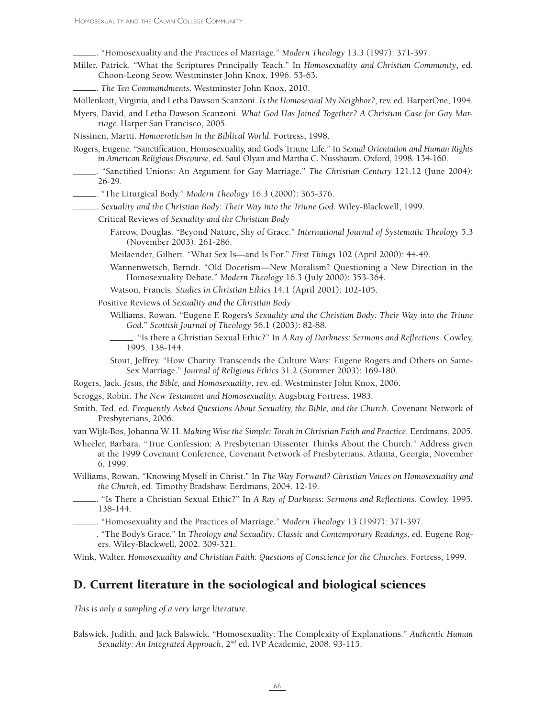. "Homosexuality and the Practices of Marriage." *Modern Theology* 13.3 (1997): 371-397.

- Miller, Patrick. "What the Scriptures Principally Teach." In *Homosexuality and Christian Community*, ed. Choon-Leong Seow. Westminster John Knox, 1996. 53-63.
	- . *The Ten Commandments*. Westminster John Knox, 2010.
- Mollenkott, Virginia, and Letha Dawson Scanzoni. *Is the Homosexual My Neighbor?*, rev. ed. HarperOne, 1994.
- Myers, David, and Letha Dawson Scanzoni. *What God Has Joined Together? A Christian Case for Gay Marriage.* Harper San Francisco, 2005.

Nissinen, Martti. *Homoeroticism in the Biblical World*. Fortress, 1998.

- Rogers, Eugene. "Sanctification, Homosexuality, and God's Triune Life." In *Sexual Orientation and Human Rights in American Religious Discourse*, ed. Saul Olyan and Martha C. Nussbaum. Oxford, 1998. 134-160.
	- . "Sanctified Unions: An Argument for Gay Marriage." *The Christian Century* 121.12 (June 2004): 26-29.
- *. "*The Liturgical Body." *Modern Theology* 16.3 (2000): 365-376.
	- . *Sexuality and the Christian Body: Their Way into the Triune God.* Wiley-Blackwell, 1999.

Critical Reviews of *Sexuality and the Christian Body*

- Farrow, Douglas. "Beyond Nature, Shy of Grace." *International Journal of Systematic Theology* 5.3 (November 2003): 261-286.
- Meilaender, Gilbert. "What Sex Is—and Is For." *First Things* 102 (April 2000): 44-49.
- Wannenwetsch, Berndt. "Old Docetism—New Moralism? Questioning a New Direction in the Homosexuality Debate." *Modern Theology* 16.3 (July 2000): 353-364.
- Watson, Francis. *Studies in Christian Ethics* 14.1 (April 2001): 102-105.
- Positive Reviews of *Sexuality and the Christian Body*
	- Williams, Rowan. "Eugene F. Rogers's *Sexuality and the Christian Body: Their Way into the Triune God*." *Scottish Journal of Theology* 56.1 (2003): 82-88.
		- . "Is there a Christian Sexual Ethic?" In *A Ray of Darkness: Sermons and Reflections*. Cowley, 1995. 138-144.
	- Stout, Jeffrey. "How Charity Transcends the Culture Wars: Eugene Rogers and Others on Same-Sex Marriage." *Journal of Religious Ethics* 31.2 (Summer 2003): 169-180.
- Rogers, Jack. *Jesus, the Bible, and Homosexuality*, rev. ed. Westminster John Knox, 2006.

Scroggs, Robin. *The New Testament and Homosexuality.* Augsburg Fortress, 1983.

- Smith, Ted, ed. *Frequently Asked Questions About Sexuality, the Bible, and the Church*. Covenant Network of Presbyterians, 2006.
- van Wijk-Bos, Johanna W. H. *Making Wise the Simple: Torah in Christian Faith and Practice*. Eerdmans, 2005.
- Wheeler, Barbara. "True Confession: A Presbyterian Dissenter Thinks About the Church." Address given at the 1999 Covenant Conference, Covenant Network of Presbyterians. Atlanta, Georgia, November 6, 1999.

Williams, Rowan. "Knowing Myself in Christ." In *The Way Forward? Christian Voices on Homosexuality and the Church*, ed. Timothy Bradshaw. Eerdmans, 2004. 12-19.

- . "Is There a Christian Sexual Ethic?" In *A Ray of Darkness: Sermons and Reflections.* Cowley, 1995. 138-144.
- . "Homosexuality and the Practices of Marriage." *Modern Theology* 13 (1997): 371-397.
	- . "The Body's Grace." In *Theology and Sexuality: Classic and Contemporary Readings*, *e*d. Eugene Rogers. Wiley-Blackwell, 2002. 309-321.

Wink, Walter. *Homosexuality and Christian Faith: Questions of Conscience for the Churches.* Fortress, 1999.

## D. Current literature in the sociological and biological sciences

*This is only a sampling of a very large literature.*

Balswick, Judith, and Jack Balswick. "Homosexuality: The Complexity of Explanations." *Authentic Human Sexuality: An Integrated Approach*, 2nd ed. IVP Academic, 2008. 93-115.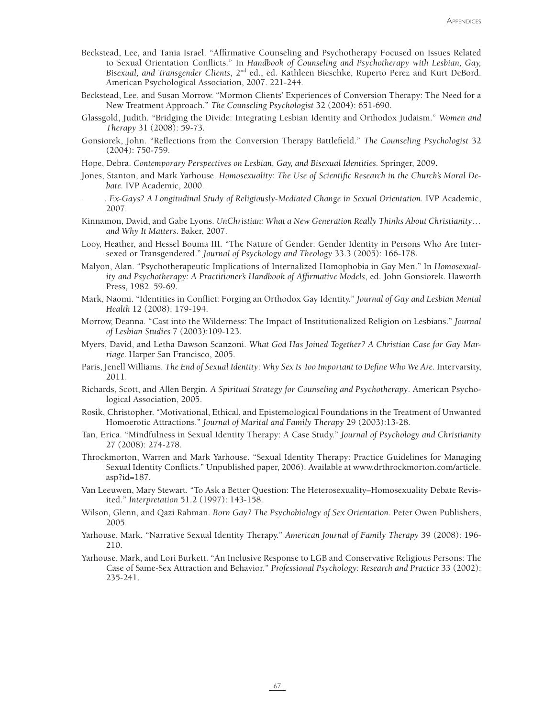- Beckstead, Lee, and Tania Israel. "Affirmative Counseling and Psychotherapy Focused on Issues Related to Sexual Orientation Conflicts." In *Handbook of Counseling and Psychotherapy with Lesbian, Gay, Bisexual, and Transgender Clients*, 2nd ed., ed. Kathleen Bieschke, Ruperto Perez and Kurt DeBord. American Psychological Association, 2007. 221-244.
- Beckstead, Lee, and Susan Morrow. "Mormon Clients' Experiences of Conversion Therapy: The Need for a New Treatment Approach." *The Counseling Psychologist* 32 (2004): 651-690.
- Glassgold, Judith. "Bridging the Divide: Integrating Lesbian Identity and Orthodox Judaism." *Women and Therapy* 31 (2008): 59-73.
- Gonsiorek, John. "Reflections from the Conversion Therapy Battlefield." *The Counseling Psychologist* 32 (2004): 750-759.
- Hope, Debra. *Contemporary Perspectives on Lesbian, Gay, and Bisexual Identities.* Springer, 2009.
- Jones, Stanton, and Mark Yarhouse. *Homosexuality: The Use of Scientific Research in the Church's Moral Debate.* IVP Academic, 2000.
- . *Ex-Gays? A Longitudinal Study of Religiously-Mediated Change in Sexual Orientation.* IVP Academic, 2007.
- Kinnamon, David, and Gabe Lyons. *UnChristian: What a New Generation Really Thinks About Christianity… and Why It Matters*. Baker, 2007.
- Looy, Heather, and Hessel Bouma III. "The Nature of Gender: Gender Identity in Persons Who Are Intersexed or Transgendered." *Journal of Psychology and Theology* 33.3 (2005): 166-178.
- Malyon, Alan. "Psychotherapeutic Implications of Internalized Homophobia in Gay Men." In *Homosexuality and Psychotherapy: A Practitioner's Handbook of Affirmative Models*, ed. John Gonsiorek. Haworth Press, 1982. 59-69.
- Mark, Naomi. "Identities in Conflict: Forging an Orthodox Gay Identity." *Journal of Gay and Lesbian Mental Health* 12 (2008): 179-194.
- Morrow, Deanna. "Cast into the Wilderness: The Impact of Institutionalized Religion on Lesbians." *Journal of Lesbian Studies* 7 (2003):109-123.
- Myers, David, and Letha Dawson Scanzoni. *What God Has Joined Together? A Christian Case for Gay Marriage.* Harper San Francisco, 2005.
- Paris, Jenell Williams. *The End of Sexual Identity*: *Why Sex Is Too Important to Define Who We Are*. Intervarsity, 2011.
- Richards, Scott, and Allen Bergin. *A Spiritual Strategy for Counseling and Psychotherapy*. American Psychological Association, 2005.
- Rosik, Christopher. "Motivational, Ethical, and Epistemological Foundations in the Treatment of Unwanted Homoerotic Attractions." *Journal of Marital and Family Therapy* 29 (2003):13-28.
- Tan, Erica. "Mindfulness in Sexual Identity Therapy: A Case Study." *Journal of Psychology and Christianity* 27 (2008): 274-278.
- Throckmorton, Warren and Mark Yarhouse. "Sexual Identity Therapy: Practice Guidelines for Managing Sexual Identity Conflicts." Unpublished paper, 2006). Available at www.drthrockmorton.com/article. asp?id=187.
- Van Leeuwen, Mary Stewart. "To Ask a Better Question: The Heterosexuality–Homosexuality Debate Revisited." *Interpretation* 51.2 (1997): 143-158.
- Wilson, Glenn, and Qazi Rahman. *Born Gay? The Psychobiology of Sex Orientation.* Peter Owen Publishers, 2005.
- Yarhouse, Mark. "Narrative Sexual Identity Therapy." *American Journal of Family Therapy* 39 (2008): 196- 210.
- Yarhouse, Mark, and Lori Burkett. "An Inclusive Response to LGB and Conservative Religious Persons: The Case of Same-Sex Attraction and Behavior." *Professional Psychology: Research and Practice* 33 (2002): 235-241.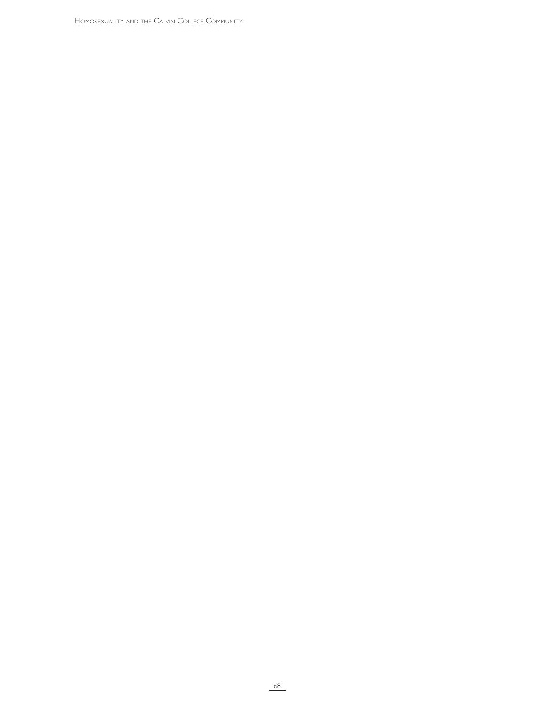Homosexuality and the Calvin College Community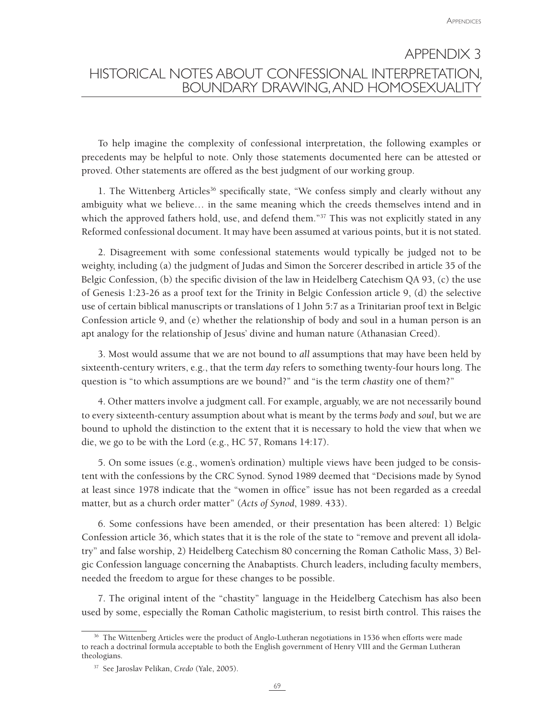## APPENDIX 3 HISTORICAL NOTES ABOUT CONFESSIONAL INTERPRETATION, BOUNDARY DRAWING, AND HOMOSEXUALITY

To help imagine the complexity of confessional interpretation, the following examples or precedents may be helpful to note. Only those statements documented here can be attested or proved. Other statements are offered as the best judgment of our working group.

1. The Wittenberg Articles<sup>36</sup> specifically state, "We confess simply and clearly without any ambiguity what we believe… in the same meaning which the creeds themselves intend and in which the approved fathers hold, use, and defend them."<sup>37</sup> This was not explicitly stated in any Reformed confessional document. It may have been assumed at various points, but it is not stated.

2. Disagreement with some confessional statements would typically be judged not to be weighty, including (a) the judgment of Judas and Simon the Sorcerer described in article 35 of the Belgic Confession, (b) the specific division of the law in Heidelberg Catechism QA 93, (c) the use of Genesis 1:23-26 as a proof text for the Trinity in Belgic Confession article 9, (d) the selective use of certain biblical manuscripts or translations of 1 John 5:7 as a Trinitarian proof text in Belgic Confession article 9, and (e) whether the relationship of body and soul in a human person is an apt analogy for the relationship of Jesus' divine and human nature (Athanasian Creed).

3. Most would assume that we are not bound to *all* assumptions that may have been held by sixteenth-century writers, e.g., that the term *day* refers to something twenty-four hours long. The question is "to which assumptions are we bound?" and "is the term *chastity* one of them?"

4. Other matters involve a judgment call. For example, arguably, we are not necessarily bound to every sixteenth-century assumption about what is meant by the terms *body* and *soul*, but we are bound to uphold the distinction to the extent that it is necessary to hold the view that when we die, we go to be with the Lord (e.g., HC 57, Romans 14:17).

5. On some issues (e.g., women's ordination) multiple views have been judged to be consistent with the confessions by the CRC Synod. Synod 1989 deemed that "Decisions made by Synod at least since 1978 indicate that the "women in office" issue has not been regarded as a creedal matter, but as a church order matter" (*Acts of Synod*, 1989. 433).

6. Some confessions have been amended, or their presentation has been altered: 1) Belgic Confession article 36, which states that it is the role of the state to "remove and prevent all idolatry" and false worship, 2) Heidelberg Catechism 80 concerning the Roman Catholic Mass, 3) Belgic Confession language concerning the Anabaptists. Church leaders, including faculty members, needed the freedom to argue for these changes to be possible.

7. The original intent of the "chastity" language in the Heidelberg Catechism has also been used by some, especially the Roman Catholic magisterium, to resist birth control. This raises the

<sup>&</sup>lt;sup>36</sup> The Wittenberg Articles were the product of Anglo-Lutheran negotiations in 1536 when efforts were made to reach a doctrinal formula acceptable to both the English government of Henry VIII and the German Lutheran theologians.

<sup>37</sup> See Jaroslav Pelikan, *Credo* (Yale, 2005).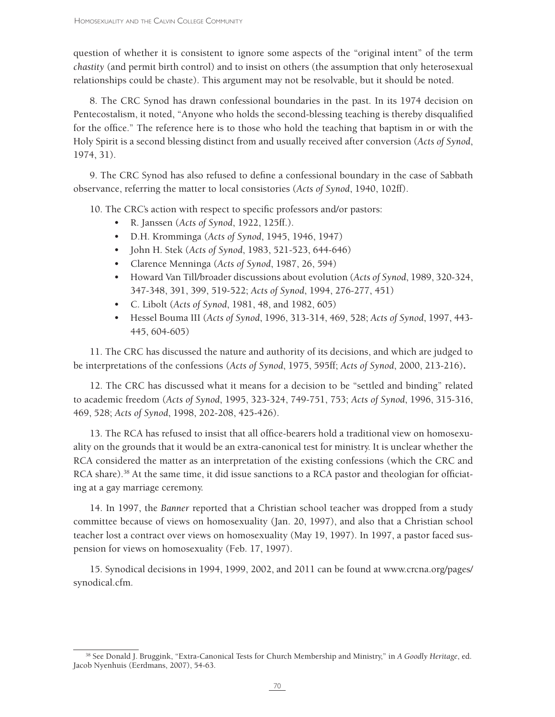question of whether it is consistent to ignore some aspects of the "original intent" of the term *chastity* (and permit birth control) and to insist on others (the assumption that only heterosexual relationships could be chaste). This argument may not be resolvable, but it should be noted.

8. The CRC Synod has drawn confessional boundaries in the past. In its 1974 decision on Pentecostalism, it noted, "Anyone who holds the second-blessing teaching is thereby disqualified for the office." The reference here is to those who hold the teaching that baptism in or with the Holy Spirit is a second blessing distinct from and usually received after conversion (*Acts of Synod*, 1974, 31).

9. The CRC Synod has also refused to define a confessional boundary in the case of Sabbath observance, referring the matter to local consistories (*Acts of Synod*, 1940, 102ff).

10. The CRC's action with respect to specific professors and/or pastors:

- • R. Janssen (*Acts of Synod*, 1922, 125ff.).
- • D.H. Kromminga (*Acts of Synod*, 1945, 1946, 1947)
- • John H. Stek (*Acts of Synod*, 1983, 521-523, 644-646)
- • Clarence Menninga (*Acts of Synod*, 1987, 26, 594)
- • Howard Van Till/broader discussions about evolution (*Acts of Synod*, 1989, 320-324, 347-348, 391, 399, 519-522; *Acts of Synod*, 1994, 276-277, 451)
- • C. Libolt (*Acts of Synod*, 1981, 48, and 1982, 605)
- • Hessel Bouma III (*Acts of Synod*, 1996, 313-314, 469, 528; *Acts of Synod*, 1997, 443- 445, 604-605)

11. The CRC has discussed the nature and authority of its decisions, and which are judged to be interpretations of the confessions (*Acts of Synod*, 1975, 595ff; *Acts of Synod*, 2000, 213-216).

12. The CRC has discussed what it means for a decision to be "settled and binding" related to academic freedom (*Acts of Synod*, 1995, 323-324, 749-751, 753; *Acts of Synod*, 1996, 315-316, 469, 528; *Acts of Synod*, 1998, 202-208, 425-426).

13. The RCA has refused to insist that all office-bearers hold a traditional view on homosexuality on the grounds that it would be an extra-canonical test for ministry. It is unclear whether the RCA considered the matter as an interpretation of the existing confessions (which the CRC and RCA share).<sup>38</sup> At the same time, it did issue sanctions to a RCA pastor and theologian for officiating at a gay marriage ceremony.

14. In 1997, the *Banner* reported that a Christian school teacher was dropped from a study committee because of views on homosexuality (Jan. 20, 1997), and also that a Christian school teacher lost a contract over views on homosexuality (May 19, 1997). In 1997, a pastor faced suspension for views on homosexuality (Feb. 17, 1997).

15. Synodical decisions in 1994, 1999, 2002, and 2011 can be found at www.crcna.org/pages/ synodical.cfm.

<sup>38</sup> See Donald J. Bruggink, "Extra-Canonical Tests for Church Membership and Ministry," in *A Goodly Heritage*, ed. Jacob Nyenhuis (Eerdmans, 2007), 54-63.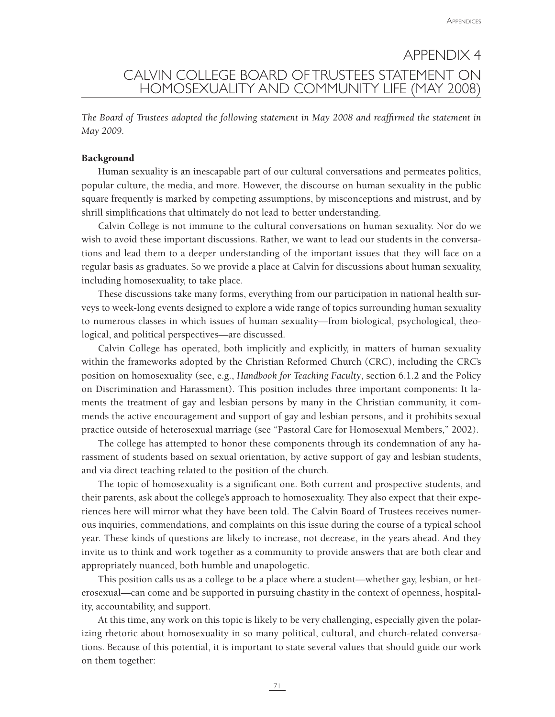## APPENDIX 4 CALVIN COLLEGE BOARD OF TRUSTEES STATEMENT ON HOMOSEXUALITY AND COMMUNITY LIFE (MAY 2008)

*The Board of Trustees adopted the following statement in May 2008 and reaffirmed the statement in May 2009.*

#### Background

Human sexuality is an inescapable part of our cultural conversations and permeates politics, popular culture, the media, and more. However, the discourse on human sexuality in the public square frequently is marked by competing assumptions, by misconceptions and mistrust, and by shrill simplifications that ultimately do not lead to better understanding.

Calvin College is not immune to the cultural conversations on human sexuality. Nor do we wish to avoid these important discussions. Rather, we want to lead our students in the conversations and lead them to a deeper understanding of the important issues that they will face on a regular basis as graduates. So we provide a place at Calvin for discussions about human sexuality, including homosexuality, to take place.

These discussions take many forms, everything from our participation in national health surveys to week-long events designed to explore a wide range of topics surrounding human sexuality to numerous classes in which issues of human sexuality—from biological, psychological, theological, and political perspectives—are discussed.

Calvin College has operated, both implicitly and explicitly, in matters of human sexuality within the frameworks adopted by the Christian Reformed Church (CRC), including the CRC's position on homosexuality (see, e.g., *Handbook for Teaching Faculty*, section 6.1.2 and the Policy on Discrimination and Harassment). This position includes three important components: It laments the treatment of gay and lesbian persons by many in the Christian community, it commends the active encouragement and support of gay and lesbian persons, and it prohibits sexual practice outside of heterosexual marriage (see "Pastoral Care for Homosexual Members," 2002).

The college has attempted to honor these components through its condemnation of any harassment of students based on sexual orientation, by active support of gay and lesbian students, and via direct teaching related to the position of the church.

The topic of homosexuality is a significant one. Both current and prospective students, and their parents, ask about the college's approach to homosexuality. They also expect that their experiences here will mirror what they have been told. The Calvin Board of Trustees receives numerous inquiries, commendations, and complaints on this issue during the course of a typical school year. These kinds of questions are likely to increase, not decrease, in the years ahead. And they invite us to think and work together as a community to provide answers that are both clear and appropriately nuanced, both humble and unapologetic.

This position calls us as a college to be a place where a student—whether gay, lesbian, or heterosexual—can come and be supported in pursuing chastity in the context of openness, hospitality, accountability, and support.

At this time, any work on this topic is likely to be very challenging, especially given the polarizing rhetoric about homosexuality in so many political, cultural, and church-related conversations. Because of this potential, it is important to state several values that should guide our work on them together:

 $\frac{71}{2}$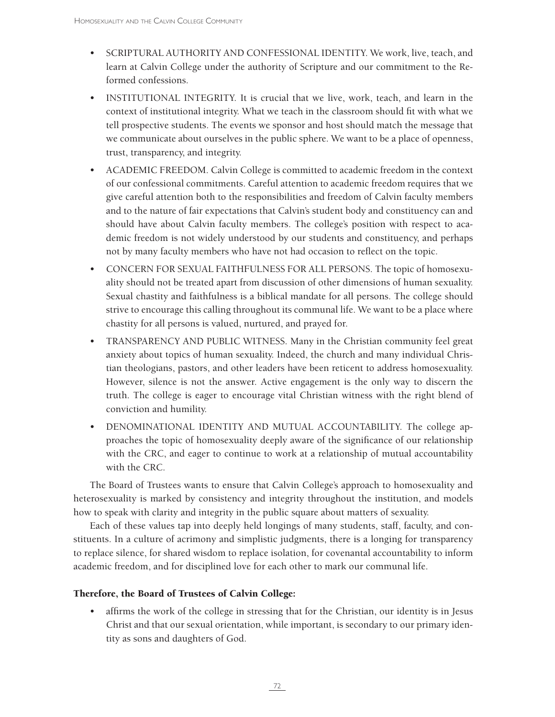- • SCRIPTURAL AUTHORITY AND CONFESSIONAL IDENTITY. We work, live, teach, and learn at Calvin College under the authority of Scripture and our commitment to the Reformed confessions.
- INSTITUTIONAL INTEGRITY. It is crucial that we live, work, teach, and learn in the context of institutional integrity. What we teach in the classroom should fit with what we tell prospective students. The events we sponsor and host should match the message that we communicate about ourselves in the public sphere. We want to be a place of openness, trust, transparency, and integrity.
- ACADEMIC FREEDOM. Calvin College is committed to academic freedom in the context of our confessional commitments. Careful attention to academic freedom requires that we give careful attention both to the responsibilities and freedom of Calvin faculty members and to the nature of fair expectations that Calvin's student body and constituency can and should have about Calvin faculty members. The college's position with respect to academic freedom is not widely understood by our students and constituency, and perhaps not by many faculty members who have not had occasion to reflect on the topic.
- • CONCERN FOR SEXUAL FAITHFULNESS FOR ALL PERSONS. The topic of homosexuality should not be treated apart from discussion of other dimensions of human sexuality. Sexual chastity and faithfulness is a biblical mandate for all persons. The college should strive to encourage this calling throughout its communal life. We want to be a place where chastity for all persons is valued, nurtured, and prayed for.
- TRANSPARENCY AND PUBLIC WITNESS. Many in the Christian community feel great anxiety about topics of human sexuality. Indeed, the church and many individual Christian theologians, pastors, and other leaders have been reticent to address homosexuality. However, silence is not the answer. Active engagement is the only way to discern the truth. The college is eager to encourage vital Christian witness with the right blend of conviction and humility.
- DENOMINATIONAL IDENTITY AND MUTUAL ACCOUNTABILITY. The college approaches the topic of homosexuality deeply aware of the significance of our relationship with the CRC, and eager to continue to work at a relationship of mutual accountability with the CRC.

The Board of Trustees wants to ensure that Calvin College's approach to homosexuality and heterosexuality is marked by consistency and integrity throughout the institution, and models how to speak with clarity and integrity in the public square about matters of sexuality.

Each of these values tap into deeply held longings of many students, staff, faculty, and constituents. In a culture of acrimony and simplistic judgments, there is a longing for transparency to replace silence, for shared wisdom to replace isolation, for covenantal accountability to inform academic freedom, and for disciplined love for each other to mark our communal life.

### Therefore, the Board of Trustees of Calvin College:

• affirms the work of the college in stressing that for the Christian, our identity is in Jesus Christ and that our sexual orientation, while important, is secondary to our primary identity as sons and daughters of God.